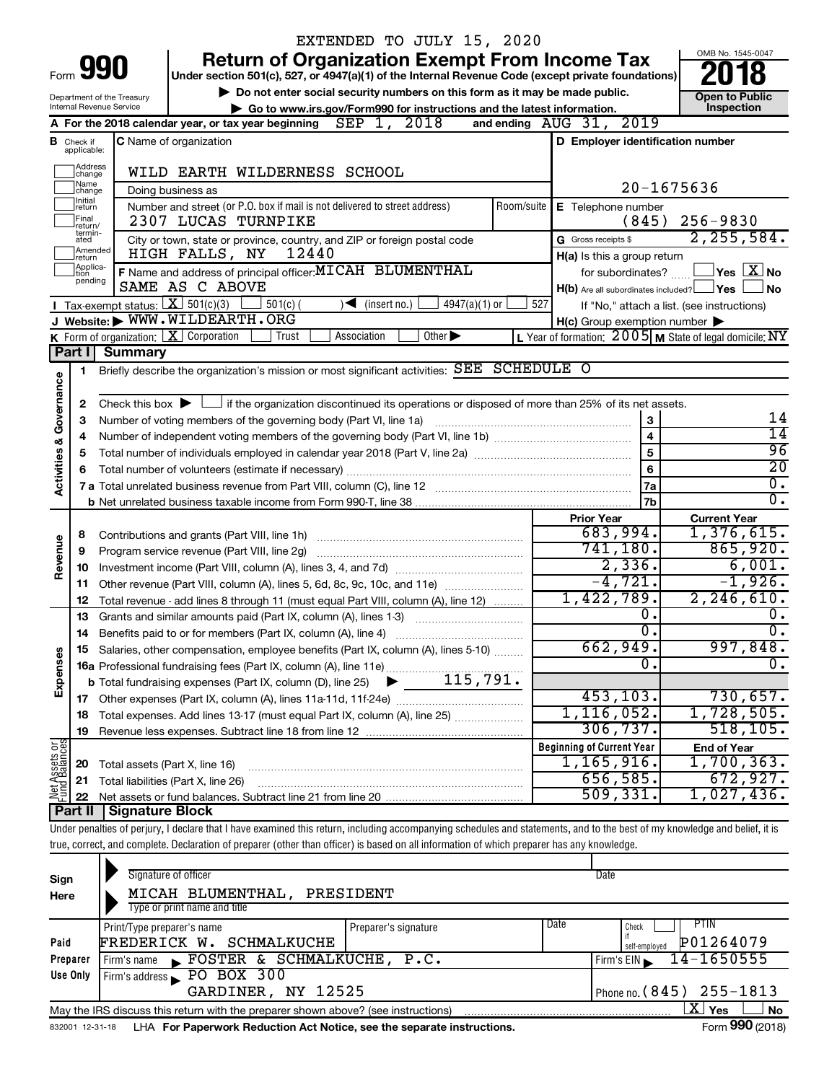|                         |                                                                                                                |                                 | EXTENDED TO JULY 15, 2020                                                                                                                                                  |            |                                                                       |                                                                        |
|-------------------------|----------------------------------------------------------------------------------------------------------------|---------------------------------|----------------------------------------------------------------------------------------------------------------------------------------------------------------------------|------------|-----------------------------------------------------------------------|------------------------------------------------------------------------|
|                         |                                                                                                                |                                 | <b>Return of Organization Exempt From Income Tax</b>                                                                                                                       |            |                                                                       | OMB No. 1545-0047                                                      |
|                         | Form 990<br>Under section 501(c), 527, or 4947(a)(1) of the Internal Revenue Code (except private foundations) |                                 |                                                                                                                                                                            |            |                                                                       |                                                                        |
|                         |                                                                                                                | Department of the Treasury      | Do not enter social security numbers on this form as it may be made public.                                                                                                |            |                                                                       | <b>Open to Public</b>                                                  |
|                         |                                                                                                                | <b>Internal Revenue Service</b> | Go to www.irs.gov/Form990 for instructions and the latest information.                                                                                                     |            |                                                                       | Inspection                                                             |
|                         |                                                                                                                |                                 | SEP 1, 2018<br>A For the 2018 calendar year, or tax year beginning                                                                                                         |            | and ending AUG 31, 2019                                               |                                                                        |
|                         | <b>B</b> Check if<br>applicable:                                                                               |                                 | <b>C</b> Name of organization                                                                                                                                              |            | D Employer identification number                                      |                                                                        |
|                         | Address<br>change                                                                                              |                                 | WILD EARTH WILDERNESS SCHOOL                                                                                                                                               |            |                                                                       |                                                                        |
|                         | Name<br>change                                                                                                 |                                 | Doing business as                                                                                                                                                          |            |                                                                       | $20 - 1675636$                                                         |
|                         | Initial<br> return                                                                                             |                                 | Number and street (or P.O. box if mail is not delivered to street address)                                                                                                 | Room/suite | E Telephone number                                                    |                                                                        |
|                         | Final<br>return/                                                                                               |                                 | 2307 LUCAS TURNPIKE                                                                                                                                                        |            | (845)                                                                 | $256 - 9830$                                                           |
|                         | termin-<br>ated<br>Amended                                                                                     |                                 | City or town, state or province, country, and ZIP or foreign postal code<br>12440<br>HIGH FALLS, NY                                                                        |            | G Gross receipts \$                                                   | 2, 255, 584.                                                           |
|                         | Ireturn<br>Applica-                                                                                            |                                 | F Name and address of principal officer: MICAH BLUMENTHAL                                                                                                                  |            | H(a) Is this a group return                                           | $\mathsf{\perp}$ Yes $\mathsf{\perp} \mathbf{X} \mathsf{\perp}$ No     |
|                         | tion<br>pending                                                                                                |                                 | SAME AS C ABOVE                                                                                                                                                            |            | for subordinates?<br>$H(b)$ Are all subordinates included? $\Box$ Yes | ∣No                                                                    |
|                         |                                                                                                                |                                 | Tax-exempt status: $X \over 301(c)(3)$<br>$501(c)$ (<br>$4947(a)(1)$ or<br>$(\mathsf{insert}\,\mathsf{no.})$                                                               | 527        |                                                                       | If "No," attach a list. (see instructions)                             |
|                         |                                                                                                                |                                 | J Website: WWW.WILDEARTH.ORG                                                                                                                                               |            | $H(c)$ Group exemption number $\blacktriangleright$                   |                                                                        |
|                         |                                                                                                                |                                 | K Form of organization:   X Corporation<br>$\overline{Other}$<br>Trust<br>Association                                                                                      |            |                                                                       | L Year of formation: $2005$ M State of legal domicile: $\overline{NY}$ |
|                         | Part I                                                                                                         | <b>Summary</b>                  |                                                                                                                                                                            |            |                                                                       |                                                                        |
|                         | 1                                                                                                              |                                 | Briefly describe the organization's mission or most significant activities: SEE SCHEDULE O                                                                                 |            |                                                                       |                                                                        |
| Governance              |                                                                                                                |                                 |                                                                                                                                                                            |            |                                                                       |                                                                        |
|                         | 2                                                                                                              |                                 | Check this box $\blacktriangleright$ $\Box$ if the organization discontinued its operations or disposed of more than 25% of its net assets.                                |            |                                                                       |                                                                        |
|                         | з                                                                                                              |                                 | Number of voting members of the governing body (Part VI, line 1a)                                                                                                          |            | 3                                                                     | 14<br>$\overline{14}$                                                  |
|                         | 4                                                                                                              |                                 |                                                                                                                                                                            |            | $\overline{\mathbf{4}}$<br>$\overline{5}$                             | 96                                                                     |
|                         | 5                                                                                                              |                                 |                                                                                                                                                                            |            |                                                                       | $\overline{20}$                                                        |
| <b>Activities &amp;</b> | 6                                                                                                              |                                 |                                                                                                                                                                            |            | 6<br>7a                                                               | $\overline{0}$ .                                                       |
|                         |                                                                                                                |                                 |                                                                                                                                                                            |            | 7b                                                                    | $\overline{0}$ .                                                       |
|                         |                                                                                                                |                                 |                                                                                                                                                                            |            | <b>Prior Year</b>                                                     | <b>Current Year</b>                                                    |
|                         | 8                                                                                                              |                                 | Contributions and grants (Part VIII, line 1h)                                                                                                                              |            | 683,994.                                                              | 1,376,615.                                                             |
|                         | 9                                                                                                              |                                 | Program service revenue (Part VIII, line 2g)                                                                                                                               |            | 741, 180.                                                             | 865,920.                                                               |
| Revenue                 | 10                                                                                                             |                                 |                                                                                                                                                                            |            | 2,336.                                                                | 6,001.                                                                 |
|                         | 11                                                                                                             |                                 | Other revenue (Part VIII, column (A), lines 5, 6d, 8c, 9c, 10c, and 11e)                                                                                                   |            | $-4,721.$                                                             | $-1,926.$                                                              |
|                         | 12                                                                                                             |                                 | Total revenue - add lines 8 through 11 (must equal Part VIII, column (A), line 12)                                                                                         |            | 1,422,789.                                                            | 2, 246, 610.                                                           |
|                         | 13                                                                                                             |                                 | Grants and similar amounts paid (Part IX, column (A), lines 1-3)                                                                                                           |            | 0.                                                                    | $\overline{0}$ .                                                       |
|                         | 14                                                                                                             |                                 |                                                                                                                                                                            |            | σ.                                                                    | $\overline{0}$ .                                                       |
|                         |                                                                                                                |                                 | Salaries, other compensation, employee benefits (Part IX, column (A), lines 5-10)                                                                                          |            | 662,949.                                                              | 997,848.                                                               |
|                         |                                                                                                                |                                 | 16a Professional fundraising fees (Part IX, column (A), line 11e)                                                                                                          |            | 0                                                                     | $\overline{0}$ .                                                       |
| Expenses                |                                                                                                                |                                 | 115,791.<br><b>b</b> Total fundraising expenses (Part IX, column (D), line 25)                                                                                             |            |                                                                       |                                                                        |
|                         |                                                                                                                |                                 |                                                                                                                                                                            |            | 453, 103.                                                             | 730,657.                                                               |
|                         | 18                                                                                                             |                                 | Total expenses. Add lines 13-17 (must equal Part IX, column (A), line 25)                                                                                                  |            | 1, 116, 052.                                                          | 1,728,505.                                                             |
|                         | 19                                                                                                             |                                 |                                                                                                                                                                            |            | 306, 737.                                                             | 518, 105.                                                              |
| Net Assets or           |                                                                                                                |                                 |                                                                                                                                                                            |            | <b>Beginning of Current Year</b>                                      | <b>End of Year</b>                                                     |
|                         | 20                                                                                                             | Total assets (Part X, line 16)  |                                                                                                                                                                            |            | 1, 165, 916.                                                          | 1,700,363.                                                             |
|                         | 21                                                                                                             |                                 | Total liabilities (Part X, line 26)                                                                                                                                        |            | 656,585.                                                              | 672,927.                                                               |
|                         | 22                                                                                                             |                                 |                                                                                                                                                                            |            | 509, 331.                                                             | 1,027,436.                                                             |
|                         |                                                                                                                | Part II   Signature Block       | Under penalties of perjury, I declare that I have examined this return, including accompanying schedules and statements, and to the best of my knowledge and belief, it is |            |                                                                       |                                                                        |
|                         |                                                                                                                |                                 | true, correct, and complete. Declaration of preparer (other than officer) is based on all information of which preparer has any knowledge.                                 |            |                                                                       |                                                                        |
|                         |                                                                                                                |                                 |                                                                                                                                                                            |            |                                                                       |                                                                        |
|                         |                                                                                                                |                                 | Signature of officer                                                                                                                                                       |            | Date                                                                  |                                                                        |
| Sign<br>Here            |                                                                                                                |                                 | MICAH BLUMENTHAL, PRESIDENT                                                                                                                                                |            |                                                                       |                                                                        |
|                         |                                                                                                                |                                 | Type or print name and title                                                                                                                                               |            |                                                                       |                                                                        |
|                         |                                                                                                                |                                 |                                                                                                                                                                            |            |                                                                       |                                                                        |

|          | Print/Type preparer's name                                                                                 | Preparer's signature | Date | PTIN<br>Check                    |  |  |  |
|----------|------------------------------------------------------------------------------------------------------------|----------------------|------|----------------------------------|--|--|--|
| Paid     | FREDERICK W. SCHMALKUCHE                                                                                   |                      |      | P01264079<br>self-employed       |  |  |  |
| Preparer | FOSTER & SCHMALKUCHE, P.C.<br>Firm's name                                                                  |                      |      | 14-1650555<br>Firm's EIN         |  |  |  |
| Use Only | Firm's address PO BOX 300                                                                                  |                      |      |                                  |  |  |  |
|          | GARDINER, NY 12525                                                                                         |                      |      | I Phone no. $(845)$ $255 - 1813$ |  |  |  |
|          | <b>No</b><br>Yes<br>May the IRS discuss this return with the preparer shown above? (see instructions)<br>▵ |                      |      |                                  |  |  |  |
|          | $\sim$                                                                                                     |                      |      |                                  |  |  |  |

832001 12-31-18 **For Paperwork Reduction Act Notice, see the separate instructions.** LHA Form (2018)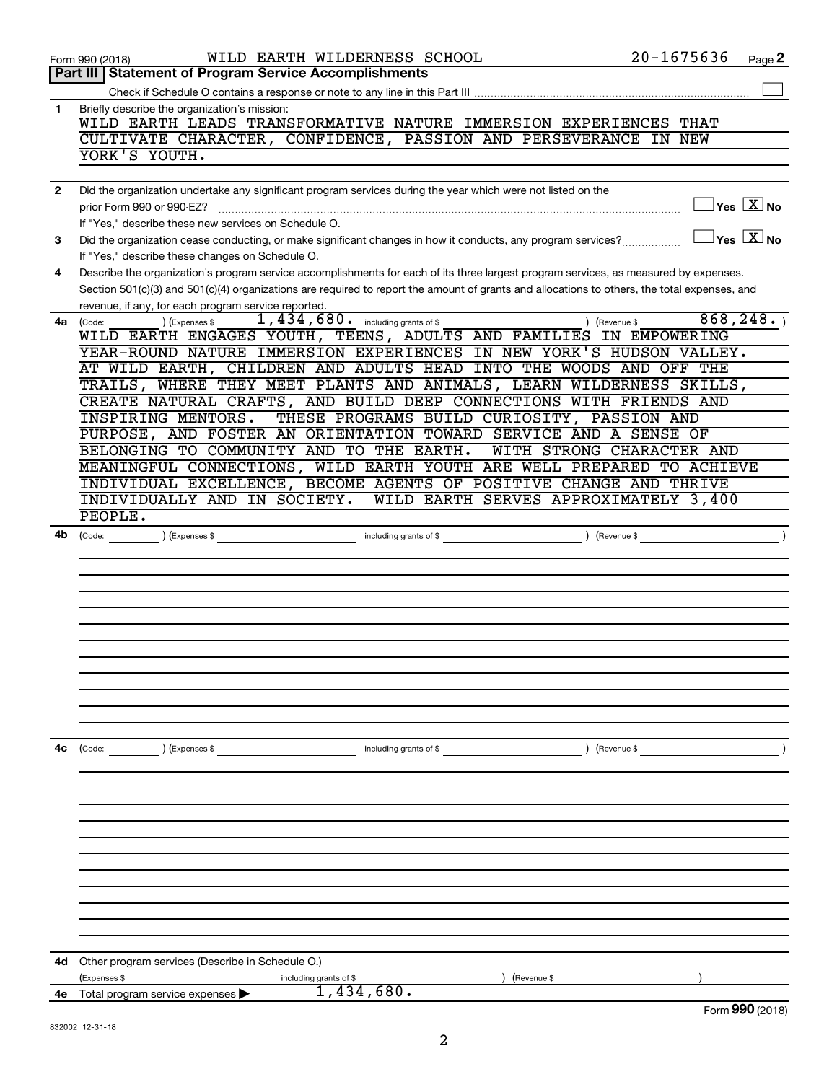|              | WILD EARTH WILDERNESS SCHOOL<br>Form 990 (2018)                                                                                                                                                                                                                                      | $20 - 1675636$ | Page 2                                                                                      |
|--------------|--------------------------------------------------------------------------------------------------------------------------------------------------------------------------------------------------------------------------------------------------------------------------------------|----------------|---------------------------------------------------------------------------------------------|
|              | Part III   Statement of Program Service Accomplishments                                                                                                                                                                                                                              |                |                                                                                             |
|              |                                                                                                                                                                                                                                                                                      |                |                                                                                             |
| 1            | Briefly describe the organization's mission:                                                                                                                                                                                                                                         |                |                                                                                             |
|              | WILD EARTH LEADS TRANSFORMATIVE NATURE IMMERSION EXPERIENCES THAT                                                                                                                                                                                                                    |                |                                                                                             |
|              | CULTIVATE CHARACTER, CONFIDENCE, PASSION AND PERSEVERANCE IN NEW<br>YORK'S YOUTH.                                                                                                                                                                                                    |                |                                                                                             |
|              |                                                                                                                                                                                                                                                                                      |                |                                                                                             |
|              | Did the organization undertake any significant program services during the year which were not listed on the                                                                                                                                                                         |                |                                                                                             |
| $\mathbf{2}$ | prior Form 990 or 990-EZ?                                                                                                                                                                                                                                                            |                | $\left\vert \mathsf{Yes}\right\vert \overline{\mathsf{X}}\left\vert \mathsf{No}\right\vert$ |
|              | If "Yes," describe these new services on Schedule O.                                                                                                                                                                                                                                 |                |                                                                                             |
|              |                                                                                                                                                                                                                                                                                      |                | $\Box$ Yes $[\overline{\mathrm{X}}]$ No                                                     |
| 3            | Did the organization cease conducting, or make significant changes in how it conducts, any program services?                                                                                                                                                                         |                |                                                                                             |
|              | If "Yes," describe these changes on Schedule O.                                                                                                                                                                                                                                      |                |                                                                                             |
| 4            | Describe the organization's program service accomplishments for each of its three largest program services, as measured by expenses.<br>Section 501(c)(3) and 501(c)(4) organizations are required to report the amount of grants and allocations to others, the total expenses, and |                |                                                                                             |
|              | revenue, if any, for each program service reported.                                                                                                                                                                                                                                  |                |                                                                                             |
| 4a           | 1,434,680. including grants of \$<br>) (Revenue \$<br>) (Expenses \$                                                                                                                                                                                                                 |                | 868, 248.                                                                                   |
|              | (Code:<br>WILD EARTH ENGAGES YOUTH, TEENS, ADULTS AND FAMILIES IN EMPOWERING                                                                                                                                                                                                         |                |                                                                                             |
|              | YEAR-ROUND NATURE IMMERSION EXPERIENCES IN NEW YORK'S HUDSON VALLEY.                                                                                                                                                                                                                 |                |                                                                                             |
|              | AT WILD EARTH, CHILDREN AND ADULTS HEAD INTO THE WOODS AND OFF THE                                                                                                                                                                                                                   |                |                                                                                             |
|              | TRAILS, WHERE THEY MEET PLANTS AND ANIMALS, LEARN WILDERNESS SKILLS,                                                                                                                                                                                                                 |                |                                                                                             |
|              | CREATE NATURAL CRAFTS, AND BUILD DEEP CONNECTIONS WITH FRIENDS AND                                                                                                                                                                                                                   |                |                                                                                             |
|              | <b>INSPIRING MENTORS.</b><br>THESE PROGRAMS BUILD CURIOSITY, PASSION AND                                                                                                                                                                                                             |                |                                                                                             |
|              | PURPOSE, AND FOSTER AN ORIENTATION TOWARD SERVICE AND A SENSE OF                                                                                                                                                                                                                     |                |                                                                                             |
|              | BELONGING TO COMMUNITY AND TO THE EARTH.<br>WITH STRONG CHARACTER AND                                                                                                                                                                                                                |                |                                                                                             |
|              | MEANINGFUL CONNECTIONS, WILD EARTH YOUTH ARE WELL PREPARED TO ACHIEVE                                                                                                                                                                                                                |                |                                                                                             |
|              | INDIVIDUAL EXCELLENCE, BECOME AGENTS OF POSITIVE CHANGE AND THRIVE                                                                                                                                                                                                                   |                |                                                                                             |
|              | INDIVIDUALLY AND IN SOCIETY. WILD EARTH SERVES APPROXIMATELY 3,400                                                                                                                                                                                                                   |                |                                                                                             |
|              | PEOPLE.                                                                                                                                                                                                                                                                              |                |                                                                                             |
| 4b           |                                                                                                                                                                                                                                                                                      |                |                                                                                             |
|              |                                                                                                                                                                                                                                                                                      |                |                                                                                             |
|              |                                                                                                                                                                                                                                                                                      |                |                                                                                             |
|              |                                                                                                                                                                                                                                                                                      |                |                                                                                             |
|              |                                                                                                                                                                                                                                                                                      |                |                                                                                             |
|              |                                                                                                                                                                                                                                                                                      |                |                                                                                             |
|              |                                                                                                                                                                                                                                                                                      |                |                                                                                             |
|              |                                                                                                                                                                                                                                                                                      |                |                                                                                             |
|              |                                                                                                                                                                                                                                                                                      |                |                                                                                             |
|              |                                                                                                                                                                                                                                                                                      |                |                                                                                             |
|              |                                                                                                                                                                                                                                                                                      |                |                                                                                             |
|              |                                                                                                                                                                                                                                                                                      |                |                                                                                             |
|              |                                                                                                                                                                                                                                                                                      |                |                                                                                             |
| 4c           | (Code:<br>) (Expenses \$<br>) (Revenue \$<br>including grants of \$                                                                                                                                                                                                                  |                |                                                                                             |
|              |                                                                                                                                                                                                                                                                                      |                |                                                                                             |
|              |                                                                                                                                                                                                                                                                                      |                |                                                                                             |
|              |                                                                                                                                                                                                                                                                                      |                |                                                                                             |
|              |                                                                                                                                                                                                                                                                                      |                |                                                                                             |
|              |                                                                                                                                                                                                                                                                                      |                |                                                                                             |
|              |                                                                                                                                                                                                                                                                                      |                |                                                                                             |
|              |                                                                                                                                                                                                                                                                                      |                |                                                                                             |
|              |                                                                                                                                                                                                                                                                                      |                |                                                                                             |
|              |                                                                                                                                                                                                                                                                                      |                |                                                                                             |
|              |                                                                                                                                                                                                                                                                                      |                |                                                                                             |
|              |                                                                                                                                                                                                                                                                                      |                |                                                                                             |
|              |                                                                                                                                                                                                                                                                                      |                |                                                                                             |
| 4d           | Other program services (Describe in Schedule O.)                                                                                                                                                                                                                                     |                |                                                                                             |
|              | (Expenses \$<br>(Revenue \$<br>including grants of \$                                                                                                                                                                                                                                |                |                                                                                             |
| 4е           | 1,434,680.<br>Total program service expenses                                                                                                                                                                                                                                         |                |                                                                                             |
|              |                                                                                                                                                                                                                                                                                      |                | Form 990 (2018)                                                                             |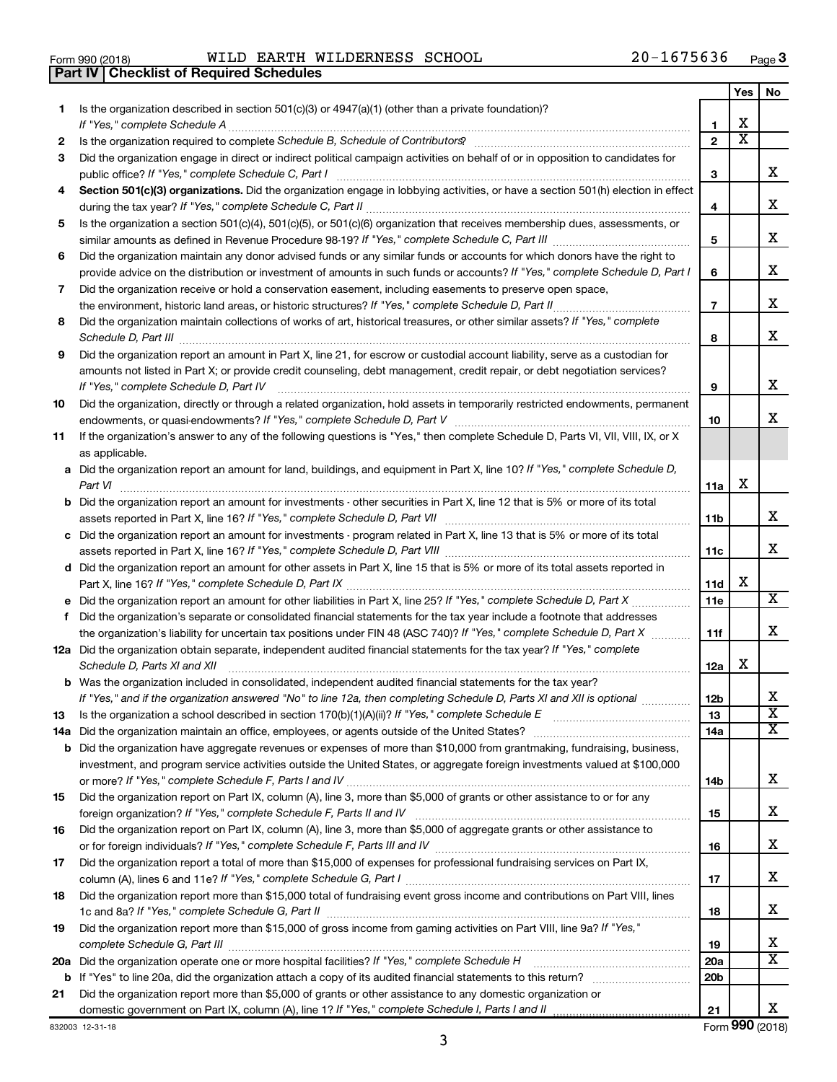| Form 990 (2018) |  |  |
|-----------------|--|--|

**Part IV Checklist of Required Schedules**

 $\frac{1}{100}$  Form 990 (2018) WILLD EARTH WILLDERNESS SCHOOL ZU-I6 /5636 Page WILD EARTH WILDERNESS SCHOOL 20-1675636

|    |                                                                                                                                                                                                                                      |                        | Yes                   | No                           |
|----|--------------------------------------------------------------------------------------------------------------------------------------------------------------------------------------------------------------------------------------|------------------------|-----------------------|------------------------------|
| 1. | Is the organization described in section $501(c)(3)$ or $4947(a)(1)$ (other than a private foundation)?                                                                                                                              |                        |                       |                              |
|    | If "Yes," complete Schedule A                                                                                                                                                                                                        | 1                      | х                     |                              |
| 2  | Is the organization required to complete Schedule B, Schedule of Contributors? [11] The organization required to complete Schedule B, Schedule of Contributors?                                                                      | $\overline{2}$         | $\overline{\text{x}}$ |                              |
| 3  | Did the organization engage in direct or indirect political campaign activities on behalf of or in opposition to candidates for                                                                                                      |                        |                       |                              |
|    | public office? If "Yes," complete Schedule C, Part I                                                                                                                                                                                 | 3                      |                       | х                            |
| 4  | Section 501(c)(3) organizations. Did the organization engage in lobbying activities, or have a section 501(h) election in effect                                                                                                     |                        |                       | х                            |
|    |                                                                                                                                                                                                                                      | 4                      |                       |                              |
| 5  | Is the organization a section 501(c)(4), 501(c)(5), or 501(c)(6) organization that receives membership dues, assessments, or                                                                                                         | 5                      |                       | х                            |
| 6  | Did the organization maintain any donor advised funds or any similar funds or accounts for which donors have the right to                                                                                                            |                        |                       |                              |
|    | provide advice on the distribution or investment of amounts in such funds or accounts? If "Yes," complete Schedule D, Part I                                                                                                         | 6                      |                       | х                            |
| 7  | Did the organization receive or hold a conservation easement, including easements to preserve open space,                                                                                                                            |                        |                       |                              |
|    | .                                                                                                                                                                                                                                    | $\overline{7}$         |                       | х                            |
| 8  | Did the organization maintain collections of works of art, historical treasures, or other similar assets? If "Yes," complete                                                                                                         |                        |                       |                              |
|    |                                                                                                                                                                                                                                      | 8                      |                       | х                            |
| 9  | Did the organization report an amount in Part X, line 21, for escrow or custodial account liability, serve as a custodian for                                                                                                        |                        |                       |                              |
|    | amounts not listed in Part X; or provide credit counseling, debt management, credit repair, or debt negotiation services?                                                                                                            |                        |                       |                              |
|    | If "Yes," complete Schedule D, Part IV                                                                                                                                                                                               | 9                      |                       | X.                           |
| 10 | Did the organization, directly or through a related organization, hold assets in temporarily restricted endowments, permanent                                                                                                        |                        |                       |                              |
|    |                                                                                                                                                                                                                                      | 10                     |                       | X.                           |
| 11 | If the organization's answer to any of the following questions is "Yes," then complete Schedule D, Parts VI, VII, VIII, IX, or X                                                                                                     |                        |                       |                              |
|    | as applicable.                                                                                                                                                                                                                       |                        |                       |                              |
|    | a Did the organization report an amount for land, buildings, and equipment in Part X, line 10? If "Yes," complete Schedule D,                                                                                                        |                        |                       |                              |
|    | Part VI                                                                                                                                                                                                                              | 11a                    | х                     |                              |
|    | <b>b</b> Did the organization report an amount for investments - other securities in Part X, line 12 that is 5% or more of its total                                                                                                 |                        |                       | х                            |
|    | c Did the organization report an amount for investments - program related in Part X, line 13 that is 5% or more of its total                                                                                                         | 11b                    |                       |                              |
|    |                                                                                                                                                                                                                                      | 11c                    |                       | х                            |
|    | d Did the organization report an amount for other assets in Part X, line 15 that is 5% or more of its total assets reported in                                                                                                       |                        |                       |                              |
|    |                                                                                                                                                                                                                                      | 11d                    | х                     |                              |
|    |                                                                                                                                                                                                                                      | 11e                    |                       | X                            |
| f  | Did the organization's separate or consolidated financial statements for the tax year include a footnote that addresses                                                                                                              |                        |                       |                              |
|    | the organization's liability for uncertain tax positions under FIN 48 (ASC 740)? If "Yes," complete Schedule D, Part X                                                                                                               | 11f                    |                       | х                            |
|    | 12a Did the organization obtain separate, independent audited financial statements for the tax year? If "Yes," complete                                                                                                              |                        |                       |                              |
|    | Schedule D, Parts XI and XII                                                                                                                                                                                                         | 12a                    | х                     |                              |
|    | <b>b</b> Was the organization included in consolidated, independent audited financial statements for the tax year?                                                                                                                   |                        |                       |                              |
|    | If "Yes," and if the organization answered "No" to line 12a, then completing Schedule D, Parts XI and XII is optional                                                                                                                | 12b                    |                       | ∡⊾                           |
| 13 |                                                                                                                                                                                                                                      | 13                     |                       | $\overline{\textbf{x}}$      |
|    |                                                                                                                                                                                                                                      | 14a                    |                       | $\overline{\mathtt{x}}$      |
|    | <b>b</b> Did the organization have aggregate revenues or expenses of more than \$10,000 from grantmaking, fundraising, business,                                                                                                     |                        |                       |                              |
|    | investment, and program service activities outside the United States, or aggregate foreign investments valued at \$100,000                                                                                                           | 14b                    |                       | X.                           |
| 15 | Did the organization report on Part IX, column (A), line 3, more than \$5,000 of grants or other assistance to or for any                                                                                                            |                        |                       |                              |
|    |                                                                                                                                                                                                                                      | 15                     |                       | x                            |
| 16 | Did the organization report on Part IX, column (A), line 3, more than \$5,000 of aggregate grants or other assistance to                                                                                                             |                        |                       |                              |
|    |                                                                                                                                                                                                                                      | 16                     |                       | x                            |
| 17 | Did the organization report a total of more than \$15,000 of expenses for professional fundraising services on Part IX,                                                                                                              |                        |                       |                              |
|    |                                                                                                                                                                                                                                      | 17                     |                       | x                            |
| 18 | Did the organization report more than \$15,000 total of fundraising event gross income and contributions on Part VIII, lines                                                                                                         |                        |                       |                              |
|    |                                                                                                                                                                                                                                      | 18                     |                       | X.                           |
| 19 | Did the organization report more than \$15,000 of gross income from gaming activities on Part VIII, line 9a? If "Yes,"                                                                                                               |                        |                       |                              |
|    |                                                                                                                                                                                                                                      | 19                     |                       | х<br>$\overline{\texttt{x}}$ |
|    | 20a Did the organization operate one or more hospital facilities? If "Yes," complete Schedule H                                                                                                                                      | 20a<br>20 <sub>b</sub> |                       |                              |
|    | <b>b</b> If "Yes" to line 20a, did the organization attach a copy of its audited financial statements to this return?<br>Did the organization report more than \$5,000 of grants or other assistance to any domestic organization or |                        |                       |                              |
| 21 |                                                                                                                                                                                                                                      | 21                     |                       | X.                           |
|    |                                                                                                                                                                                                                                      |                        |                       |                              |

832003 12-31-18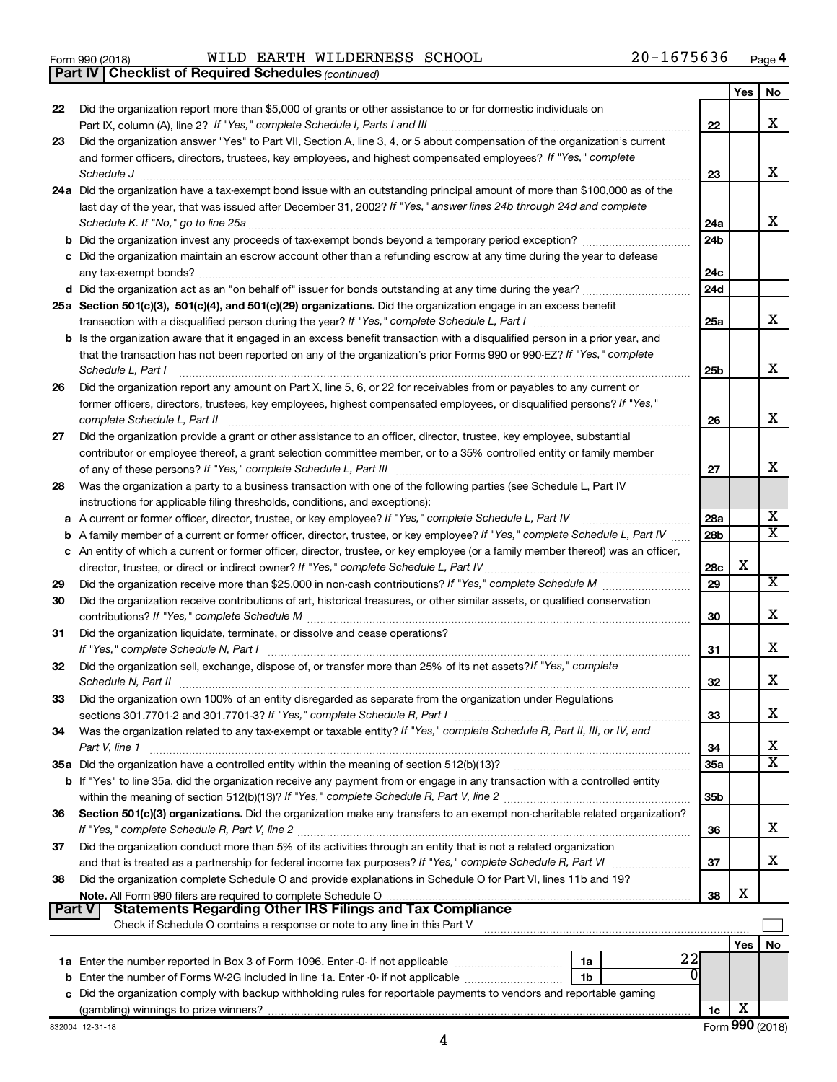Form 990 (2018) Page WILD EARTH WILDERNESS SCHOOL 20-1675636

*(continued)* **Part IV Checklist of Required Schedules**

|               |                                                                                                                                             |                 | Yes | No                      |
|---------------|---------------------------------------------------------------------------------------------------------------------------------------------|-----------------|-----|-------------------------|
| 22            | Did the organization report more than \$5,000 of grants or other assistance to or for domestic individuals on                               |                 |     |                         |
|               | Part IX, column (A), line 2? If "Yes," complete Schedule I, Parts I and III [11] [12] [12] [12] [12] [12] [12]                              | 22              |     | x                       |
| 23            | Did the organization answer "Yes" to Part VII, Section A, line 3, 4, or 5 about compensation of the organization's current                  |                 |     |                         |
|               | and former officers, directors, trustees, key employees, and highest compensated employees? If "Yes," complete                              |                 |     |                         |
|               | Schedule J                                                                                                                                  | 23              |     | x                       |
|               | 24a Did the organization have a tax-exempt bond issue with an outstanding principal amount of more than \$100,000 as of the                 |                 |     |                         |
|               | last day of the year, that was issued after December 31, 2002? If "Yes," answer lines 24b through 24d and complete                          |                 |     |                         |
|               | Schedule K. If "No," go to line 25a                                                                                                         | 24a             |     | x                       |
|               |                                                                                                                                             | 24 <sub>b</sub> |     |                         |
|               | c Did the organization maintain an escrow account other than a refunding escrow at any time during the year to defease                      |                 |     |                         |
|               | any tax-exempt bonds?                                                                                                                       | 24c             |     |                         |
|               |                                                                                                                                             | 24d             |     |                         |
|               | 25a Section 501(c)(3), 501(c)(4), and 501(c)(29) organizations. Did the organization engage in an excess benefit                            |                 |     | x                       |
|               |                                                                                                                                             | 25a             |     |                         |
|               | b Is the organization aware that it engaged in an excess benefit transaction with a disqualified person in a prior year, and                |                 |     |                         |
|               | that the transaction has not been reported on any of the organization's prior Forms 990 or 990-EZ? If "Yes," complete<br>Schedule L, Part I | 25b             |     | х                       |
|               | Did the organization report any amount on Part X, line 5, 6, or 22 for receivables from or payables to any current or                       |                 |     |                         |
| 26            | former officers, directors, trustees, key employees, highest compensated employees, or disqualified persons? If "Yes,"                      |                 |     |                         |
|               | complete Schedule L, Part II                                                                                                                | 26              |     | x                       |
| 27            | Did the organization provide a grant or other assistance to an officer, director, trustee, key employee, substantial                        |                 |     |                         |
|               | contributor or employee thereof, a grant selection committee member, or to a 35% controlled entity or family member                         |                 |     |                         |
|               |                                                                                                                                             | 27              |     | x                       |
| 28            | Was the organization a party to a business transaction with one of the following parties (see Schedule L, Part IV                           |                 |     |                         |
|               | instructions for applicable filing thresholds, conditions, and exceptions):                                                                 |                 |     |                         |
| a             | A current or former officer, director, trustee, or key employee? If "Yes," complete Schedule L, Part IV                                     | 28a             |     | х                       |
| b             | A family member of a current or former officer, director, trustee, or key employee? If "Yes," complete Schedule L, Part IV                  | 28 <sub>b</sub> |     | $\overline{\texttt{x}}$ |
|               | c An entity of which a current or former officer, director, trustee, or key employee (or a family member thereof) was an officer,           |                 |     |                         |
|               | director, trustee, or direct or indirect owner? If "Yes," complete Schedule L, Part IV                                                      | 28c             | X   |                         |
| 29            |                                                                                                                                             | 29              |     | х                       |
| 30            | Did the organization receive contributions of art, historical treasures, or other similar assets, or qualified conservation                 |                 |     |                         |
|               |                                                                                                                                             | 30              |     | х                       |
| 31            | Did the organization liquidate, terminate, or dissolve and cease operations?                                                                |                 |     |                         |
|               | If "Yes," complete Schedule N, Part I                                                                                                       | 31              |     | х                       |
| 32            | Did the organization sell, exchange, dispose of, or transfer more than 25% of its net assets? If "Yes," complete                            |                 |     |                         |
|               | Schedule N, Part II                                                                                                                         | 32              |     | х                       |
| 33            | Did the organization own 100% of an entity disregarded as separate from the organization under Regulations                                  |                 |     |                         |
|               |                                                                                                                                             | 33              |     | х                       |
| 34            | Was the organization related to any tax-exempt or taxable entity? If "Yes," complete Schedule R, Part II, III, or IV, and                   |                 |     |                         |
|               | Part V, line 1                                                                                                                              | 34              |     | х                       |
|               |                                                                                                                                             | 35a             |     | $\overline{\text{X}}$   |
|               | b If "Yes" to line 35a, did the organization receive any payment from or engage in any transaction with a controlled entity                 |                 |     |                         |
|               |                                                                                                                                             | 35 <sub>b</sub> |     |                         |
| 36            | Section 501(c)(3) organizations. Did the organization make any transfers to an exempt non-charitable related organization?                  |                 |     |                         |
|               |                                                                                                                                             | 36              |     | х                       |
| 37            | Did the organization conduct more than 5% of its activities through an entity that is not a related organization                            |                 |     |                         |
|               | and that is treated as a partnership for federal income tax purposes? If "Yes," complete Schedule R, Part VI                                | 37              |     | X.                      |
| 38            | Did the organization complete Schedule O and provide explanations in Schedule O for Part VI, lines 11b and 19?                              |                 | X   |                         |
| <b>Part V</b> | <b>Statements Regarding Other IRS Filings and Tax Compliance</b>                                                                            | 38              |     |                         |
|               | Check if Schedule O contains a response or note to any line in this Part V                                                                  |                 |     |                         |
|               |                                                                                                                                             |                 |     |                         |
|               | 22<br>1a                                                                                                                                    |                 | Yes | No                      |
|               | <b>b</b> Enter the number of Forms W-2G included in line 1a. Enter -0- if not applicable<br>1b                                              |                 |     |                         |
|               | c Did the organization comply with backup withholding rules for reportable payments to vendors and reportable gaming                        |                 |     |                         |
|               |                                                                                                                                             | 1c              | х   |                         |
|               |                                                                                                                                             |                 |     |                         |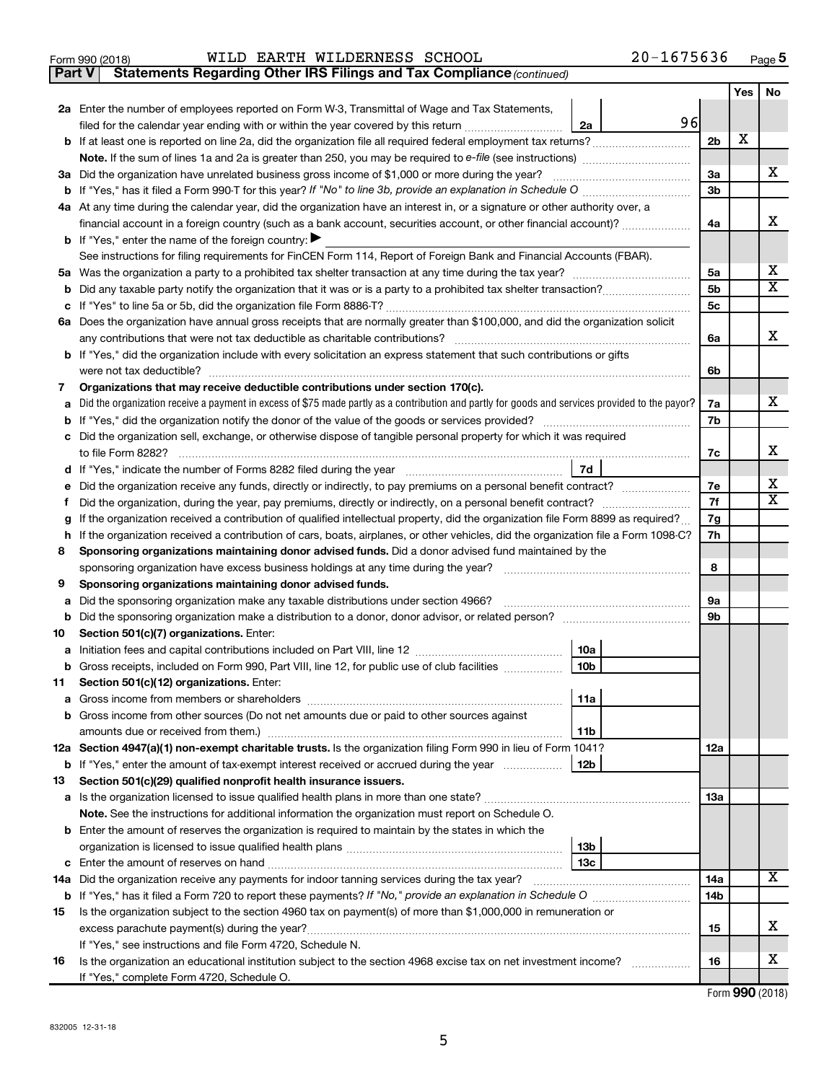|  | Form 990 (2018) |  |
|--|-----------------|--|

### Form 990 (2018) Page WILD EARTH WILDERNESS SCHOOL 20-1675636

**Part V** Statements Regarding Other IRS Filings and Tax Compliance (continued)

|    |                                                                                                                                                 |                 |                | Yes | No                      |  |
|----|-------------------------------------------------------------------------------------------------------------------------------------------------|-----------------|----------------|-----|-------------------------|--|
|    | 2a Enter the number of employees reported on Form W-3, Transmittal of Wage and Tax Statements,                                                  |                 |                |     |                         |  |
|    | filed for the calendar year ending with or within the year covered by this return                                                               | 96<br>2a        |                |     |                         |  |
|    |                                                                                                                                                 |                 | 2 <sub>b</sub> | х   |                         |  |
|    |                                                                                                                                                 |                 |                |     |                         |  |
|    | 3a Did the organization have unrelated business gross income of \$1,000 or more during the year?                                                |                 | За             |     | х                       |  |
|    |                                                                                                                                                 |                 | 3 <sub>b</sub> |     |                         |  |
|    | 4a At any time during the calendar year, did the organization have an interest in, or a signature or other authority over, a                    |                 |                |     |                         |  |
|    | financial account in a foreign country (such as a bank account, securities account, or other financial account)?                                |                 | 4a             |     | x                       |  |
|    | <b>b</b> If "Yes," enter the name of the foreign country: $\blacktriangleright$                                                                 |                 |                |     |                         |  |
|    | See instructions for filing requirements for FinCEN Form 114, Report of Foreign Bank and Financial Accounts (FBAR).                             |                 |                |     |                         |  |
|    |                                                                                                                                                 |                 |                |     |                         |  |
| b  |                                                                                                                                                 |                 | 5b             |     | $\overline{\mathbf{X}}$ |  |
|    |                                                                                                                                                 |                 | 5с             |     |                         |  |
|    | 6a Does the organization have annual gross receipts that are normally greater than \$100,000, and did the organization solicit                  |                 |                |     |                         |  |
|    |                                                                                                                                                 |                 | 6a             |     | x                       |  |
|    | <b>b</b> If "Yes," did the organization include with every solicitation an express statement that such contributions or gifts                   |                 |                |     |                         |  |
|    |                                                                                                                                                 |                 | 6b             |     |                         |  |
| 7  | Organizations that may receive deductible contributions under section 170(c).                                                                   |                 |                |     | х                       |  |
| a  | Did the organization receive a payment in excess of \$75 made partly as a contribution and partly for goods and services provided to the payor? |                 | 7a             |     |                         |  |
|    |                                                                                                                                                 |                 | 7b             |     |                         |  |
|    | c Did the organization sell, exchange, or otherwise dispose of tangible personal property for which it was required                             |                 |                |     | х                       |  |
|    |                                                                                                                                                 | 7d              | 7c             |     |                         |  |
|    |                                                                                                                                                 |                 | 7е             |     | x                       |  |
| f. | е                                                                                                                                               |                 |                |     |                         |  |
| g  | If the organization received a contribution of qualified intellectual property, did the organization file Form 8899 as required?                |                 |                |     | $\overline{\mathbf{X}}$ |  |
|    | If the organization received a contribution of cars, boats, airplanes, or other vehicles, did the organization file a Form 1098-C?<br>h.        |                 |                |     |                         |  |
| 8  | Sponsoring organizations maintaining donor advised funds. Did a donor advised fund maintained by the                                            |                 |                |     |                         |  |
|    |                                                                                                                                                 |                 | 8              |     |                         |  |
| 9  | Sponsoring organizations maintaining donor advised funds.                                                                                       |                 |                |     |                         |  |
| а  | Did the sponsoring organization make any taxable distributions under section 4966?                                                              |                 | 9а             |     |                         |  |
| b  |                                                                                                                                                 |                 | 9b             |     |                         |  |
| 10 | Section 501(c)(7) organizations. Enter:                                                                                                         |                 |                |     |                         |  |
| a  |                                                                                                                                                 | 10a             |                |     |                         |  |
|    | b Gross receipts, included on Form 990, Part VIII, line 12, for public use of club facilities                                                   | 10 <sub>b</sub> |                |     |                         |  |
| 11 | Section 501(c)(12) organizations. Enter:                                                                                                        |                 |                |     |                         |  |
|    |                                                                                                                                                 | 11a             |                |     |                         |  |
|    | b Gross income from other sources (Do not net amounts due or paid to other sources against                                                      |                 |                |     |                         |  |
|    |                                                                                                                                                 | 11b             |                |     |                         |  |
|    | 12a Section 4947(a)(1) non-exempt charitable trusts. Is the organization filing Form 990 in lieu of Form 1041?                                  |                 | <b>12a</b>     |     |                         |  |
|    | <b>b</b> If "Yes," enter the amount of tax-exempt interest received or accrued during the year                                                  | 12b             |                |     |                         |  |
| 13 | Section 501(c)(29) qualified nonprofit health insurance issuers.                                                                                |                 |                |     |                         |  |
|    |                                                                                                                                                 |                 | 1За            |     |                         |  |
|    | Note. See the instructions for additional information the organization must report on Schedule O.                                               |                 |                |     |                         |  |
|    | <b>b</b> Enter the amount of reserves the organization is required to maintain by the states in which the                                       |                 |                |     |                         |  |
|    |                                                                                                                                                 | 13b             |                |     |                         |  |
|    |                                                                                                                                                 | 13с             | 14a            |     |                         |  |
|    | 14a Did the organization receive any payments for indoor tanning services during the tax year?                                                  |                 |                |     | x                       |  |
|    |                                                                                                                                                 |                 | 14b            |     |                         |  |
| 15 | Is the organization subject to the section 4960 tax on payment(s) of more than \$1,000,000 in remuneration or                                   |                 |                |     |                         |  |
|    |                                                                                                                                                 |                 | 15             |     | X                       |  |
|    | If "Yes," see instructions and file Form 4720, Schedule N.                                                                                      |                 |                |     | х                       |  |
| 16 | Is the organization an educational institution subject to the section 4968 excise tax on net investment income?                                 |                 | 16             |     |                         |  |
|    | If "Yes," complete Form 4720, Schedule O.                                                                                                       |                 |                |     |                         |  |

Form (2018) **990**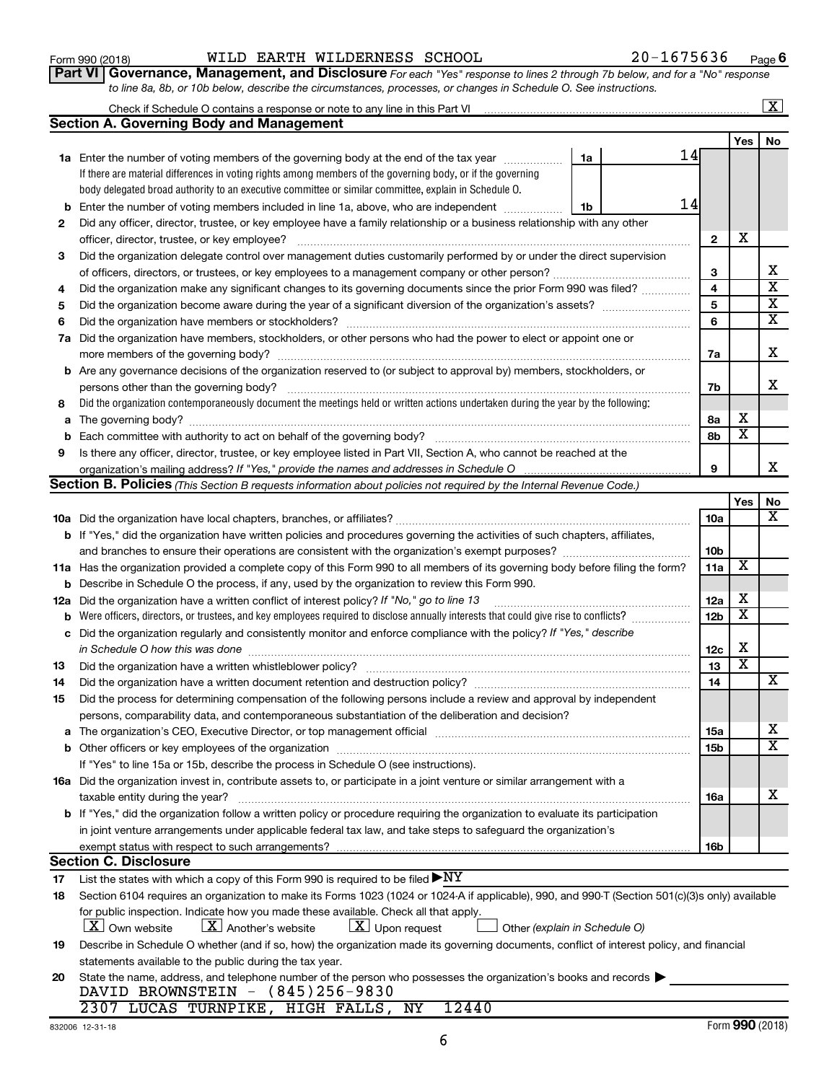#### **16a b 17 18 19** List the states with which a copy of this Form 990 is required to be filed for public inspection. Indicate how you made these available. Check all that apply. Own website  $\Box$  Another's website  $\Box$  Upon request  $\Box$  Other statements available to the public during the tax year. **Section C. Disclosure**  $\blacktriangleright$  $\lfloor X \rfloor$  Own website  $\lfloor X \rfloor$  Another's website  $\lfloor X \rfloor$  Upon request NY  $\overline{{\bf X}}$  Own website  $\overline{{\bf X}}$  Another's website  $\overline{{\bf X}}$

| 20 State the name, address, and telephone number of the person who possesses the organization's books and records<br>DAVID BROWNSTEIN - (845)256-9830 |
|-------------------------------------------------------------------------------------------------------------------------------------------------------|
| 2307 LUCAS TURNPIKE, HIGH FALLS, NY 12440                                                                                                             |

| WILD EARTH WILDERNESS SCHOOL<br>Form 990 (2018) | 20-1675636 | Page |
|-------------------------------------------------|------------|------|
|-------------------------------------------------|------------|------|

Check if Schedule O contains a response or note to any line in this Part VI

 $\boxed{\text{X}}$ 

**Part VI** Governance, Management, and Disclosure For each "Yes" response to lines 2 through 7b below, and for a "No" response *to line 8a, 8b, or 10b below, describe the circumstances, processes, or changes in Schedule O. See instructions.*

|     |                                                                                                                                                                                |                 | Yes                     | No                      |
|-----|--------------------------------------------------------------------------------------------------------------------------------------------------------------------------------|-----------------|-------------------------|-------------------------|
|     | 14<br>1a Enter the number of voting members of the governing body at the end of the tax year<br>1a                                                                             |                 |                         |                         |
|     | If there are material differences in voting rights among members of the governing body, or if the governing                                                                    |                 |                         |                         |
|     | body delegated broad authority to an executive committee or similar committee, explain in Schedule O.                                                                          |                 |                         |                         |
| b   | 14<br>Enter the number of voting members included in line 1a, above, who are independent<br>1b                                                                                 |                 |                         |                         |
| 2   | Did any officer, director, trustee, or key employee have a family relationship or a business relationship with any other                                                       |                 |                         |                         |
|     | officer, director, trustee, or key employee?                                                                                                                                   | $\mathbf{2}$    | X                       |                         |
| 3   | Did the organization delegate control over management duties customarily performed by or under the direct supervision                                                          |                 |                         |                         |
|     |                                                                                                                                                                                | 3               |                         | X                       |
| 4   | Did the organization make any significant changes to its governing documents since the prior Form 990 was filed?                                                               | 4               |                         | $\overline{\mathbf{x}}$ |
| 5   |                                                                                                                                                                                | 5               |                         | $\overline{\mathbf{X}}$ |
| 6   |                                                                                                                                                                                | 6               |                         | $\overline{\textbf{x}}$ |
|     | 7a Did the organization have members, stockholders, or other persons who had the power to elect or appoint one or                                                              |                 |                         |                         |
|     |                                                                                                                                                                                | 7a              |                         | X                       |
|     | <b>b</b> Are any governance decisions of the organization reserved to (or subject to approval by) members, stockholders, or                                                    |                 |                         |                         |
|     |                                                                                                                                                                                | 7b              |                         | х                       |
| 8   | Did the organization contemporaneously document the meetings held or written actions undertaken during the year by the following:                                              |                 |                         |                         |
| а   |                                                                                                                                                                                | 8а              | X                       |                         |
|     |                                                                                                                                                                                | 8b              | $\overline{\textbf{x}}$ |                         |
| 9   | Is there any officer, director, trustee, or key employee listed in Part VII, Section A, who cannot be reached at the                                                           |                 |                         |                         |
|     | organization's mailing address? If "Yes," provide the names and addresses in Schedule O manufaction's mailing address? If "Yes," provide the names and addresses in Schedule O | 9               |                         | х                       |
|     | Section B. Policies (This Section B requests information about policies not required by the Internal Revenue Code.)                                                            |                 |                         |                         |
|     |                                                                                                                                                                                |                 | Yes                     | No                      |
|     |                                                                                                                                                                                | 10a             |                         | х                       |
|     | <b>b</b> If "Yes," did the organization have written policies and procedures governing the activities of such chapters, affiliates,                                            |                 |                         |                         |
|     | and branches to ensure their operations are consistent with the organization's exempt purposes? www.www.www.www.                                                               | 10 <sub>b</sub> |                         |                         |
|     | 11a Has the organization provided a complete copy of this Form 990 to all members of its governing body before filing the form?                                                | 11a             | X                       |                         |
|     | <b>b</b> Describe in Schedule O the process, if any, used by the organization to review this Form 990.                                                                         |                 |                         |                         |
| 12a | Did the organization have a written conflict of interest policy? If "No," go to line 13                                                                                        | 12a             | X                       |                         |
| b   | Were officers, directors, or trustees, and key employees required to disclose annually interests that could give rise to conflicts?                                            | 12 <sub>b</sub> | х                       |                         |
| с   | Did the organization regularly and consistently monitor and enforce compliance with the policy? If "Yes," describe                                                             |                 |                         |                         |
|     | in Schedule O how this was done                                                                                                                                                | 12c             | X                       |                         |
| 13  |                                                                                                                                                                                | 13              | $\overline{\textbf{x}}$ |                         |
| 14  |                                                                                                                                                                                | 14              |                         | х                       |
| 15  | Did the process for determining compensation of the following persons include a review and approval by independent                                                             |                 |                         |                         |
|     | persons, comparability data, and contemporaneous substantiation of the deliberation and decision?                                                                              |                 |                         |                         |
|     | a The organization's CEO, Executive Director, or top management official manufactured content content of the S                                                                 | 15a             |                         | х                       |
|     |                                                                                                                                                                                | 15b             |                         | $\overline{\mathtt{x}}$ |
|     | If "Yes" to line 15a or 15b, describe the process in Schedule O (see instructions).                                                                                            |                 |                         |                         |
|     | 16a Did the organization invest in, contribute assets to, or participate in a joint venture or similar arrangement with a                                                      |                 |                         |                         |
|     | taxable entity during the year?                                                                                                                                                | 16a             |                         | х                       |
|     | b If "Yes," did the organization follow a written policy or procedure requiring the organization to evaluate its participation                                                 |                 |                         |                         |
|     | in joint venture arrangements under applicable federal tax law, and take steps to safeguard the organization's                                                                 |                 |                         |                         |
|     | exempt status with respect to such arrangements?                                                                                                                               | 16b             |                         |                         |
|     | <b>Section C. Disclosure</b>                                                                                                                                                   |                 |                         |                         |
| 17  | List the states with which a copy of this Form 990 is required to be filed $\blacktriangleright\text{NY}$                                                                      |                 |                         |                         |
| 18  | Section 6104 requires an organization to make its Forms 1023 (1024 or 1024 A if applicable), 990, and 990-T (Section 501(c)(3)s only) available                                |                 |                         |                         |
|     | for public inspection. Indicate how you made these available. Check all that apply.                                                                                            |                 |                         |                         |
|     | $\lfloor x \rfloor$ Another's website<br>$\lfloor x \rfloor$ Upon request<br>  X   Own website<br>Other (explain in Schedule O)                                                |                 |                         |                         |
| 19  | Describe in Schedule O whether (and if so, how) the organization made its governing documents, conflict of interest policy, and financial                                      |                 |                         |                         |
|     | statements available to the public during the tax year.                                                                                                                        |                 |                         |                         |
| 20  | State the name, address, and telephone number of the person who possesses the organization's books and records<br>DAVID BROWNSTEIN - (845)256-9830                             |                 |                         |                         |

| 990 (2018) |
|------------|
| --         |

**Section A. Governing Body and Management**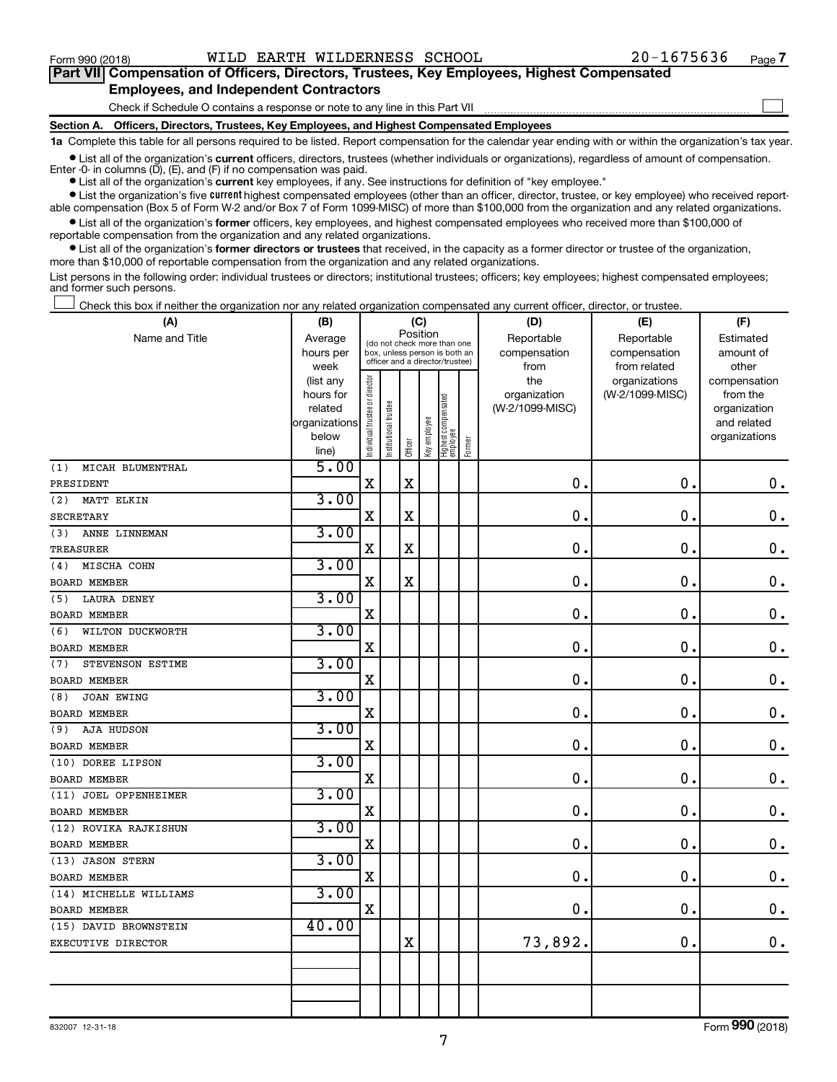$\Box$ 

| Part VII Compensation of Officers, Directors, Trustees, Key Employees, Highest Compensated |  |  |  |
|--------------------------------------------------------------------------------------------|--|--|--|
| <b>Employees, and Independent Contractors</b>                                              |  |  |  |

#### Check if Schedule O contains a response or note to any line in this Part VII

**Section A. Officers, Directors, Trustees, Key Employees, and Highest Compensated Employees**

**1a**  Complete this table for all persons required to be listed. Report compensation for the calendar year ending with or within the organization's tax year.

**•** List all of the organization's current officers, directors, trustees (whether individuals or organizations), regardless of amount of compensation. Enter  $-0$ - in columns  $(D)$ ,  $(E)$ , and  $(F)$  if no compensation was paid.

**•** List all of the organization's **current** key employees, if any. See instructions for definition of "key employee."

**•** List the organization's five current highest compensated employees (other than an officer, director, trustee, or key employee) who received reportable compensation (Box 5 of Form W-2 and/or Box 7 of Form 1099-MISC) of more than \$100,000 from the organization and any related organizations.

**•** List all of the organization's former officers, key employees, and highest compensated employees who received more than \$100,000 of reportable compensation from the organization and any related organizations.

**•** List all of the organization's former directors or trustees that received, in the capacity as a former director or trustee of the organization, more than \$10,000 of reportable compensation from the organization and any related organizations.

List persons in the following order: individual trustees or directors; institutional trustees; officers; key employees; highest compensated employees; and former such persons.

Check this box if neither the organization nor any related organization compensated any current officer, director, or trustee.  $\overline{a}$ 

| Position<br>Reportable<br>Reportable<br>Name and Title<br>Average<br>Estimated<br>(do not check more than one<br>hours per<br>box, unless person is both an<br>compensation<br>compensation<br>amount of<br>officer and a director/trustee)<br>from related<br>other<br>week<br>from<br>Individual trustee or director<br>the<br>(list any<br>organizations<br>compensation<br>organization<br>(W-2/1099-MISC)<br>from the<br>hours for<br>Highest compensated<br>employee<br>Institutional trustee<br>(W-2/1099-MISC)<br>related<br>organization<br>Key employee<br>organizations<br>and related<br>below<br>organizations<br>Former<br>Officer<br>line)<br>5.00<br>MICAH BLUMENTHAL<br>(1)<br>$\mathbf X$<br>$\mathbf X$<br>0.<br>0.<br>$\mathbf 0$ .<br>PRESIDENT<br>3.00<br>(2)<br>MATT ELKIN<br>$\mathbf X$<br>$\mathbf X$<br>$\mathbf 0$ .<br>$\mathbf 0$ .<br>$\mathbf 0$ .<br><b>SECRETARY</b><br>3.00<br>ANNE LINNEMAN<br>(3)<br>$\mathbf X$<br>$\mathbf X$<br>0.<br>$\mathbf 0$ .<br>$0$ .<br><b>TREASURER</b><br>3.00<br>MISCHA COHN<br>(4)<br>$\mathbf X$<br>$\mathbf X$<br>$\mathbf 0$ .<br>$\mathbf 0$ .<br>$\mathbf 0$ .<br><b>BOARD MEMBER</b><br>3.00<br><b>LAURA DENEY</b><br>(5)<br>$\mathbf X$<br>0.<br>$\mathbf 0$ .<br>0.<br><b>BOARD MEMBER</b><br>3.00<br>WILTON DUCKWORTH<br>(6)<br>$\mathbf X$<br>$\mathbf 0$ .<br>$\mathbf 0$ .<br>0<br><b>BOARD MEMBER</b><br>3.00<br>STEVENSON ESTIME<br>(7)<br>$\mathbf 0$ .<br>$\mathbf X$<br>$\mathbf 0$ .<br>$\mathbf 0$ .<br><b>BOARD MEMBER</b><br>3.00<br>JOAN EWING<br>(8)<br>$\mathbf 0$ .<br>$\mathbf 0$ .<br>X<br>0<br><b>BOARD MEMBER</b><br>3.00<br>AJA HUDSON<br>(9)<br>$\mathbf X$<br>0.<br>$\mathbf 0$ .<br>$\mathbf 0$ .<br><b>BOARD MEMBER</b><br>3.00<br>(10) DOREE LIPSON<br>$\mathbf X$<br>0<br>$\mathbf 0$ .<br>$\mathbf 0$ .<br><b>BOARD MEMBER</b><br>3.00<br>(11) JOEL OPPENHEIMER<br>$\mathbf 0$ .<br>$\mathbf 0$ .<br>$\mathbf X$<br>0<br><b>BOARD MEMBER</b><br>3.00<br>(12) ROVIKA RAJKISHUN<br>$\mathbf 0$ .<br>$\mathbf 0$ .<br>X<br>$\mathbf 0$ .<br><b>BOARD MEMBER</b><br>3.00<br>(13) JASON STERN<br>$\mathbf 0$ .<br>$\mathbf 0$ .<br>X<br>$\mathbf 0$ .<br>BOARD MEMBER<br>3.00<br>(14) MICHELLE WILLIAMS<br>X<br>$\mathbf 0$ .<br>$\mathbf 0$ .<br>$\boldsymbol{0}$ .<br><b>BOARD MEMBER</b><br>40.00<br>(15) DAVID BROWNSTEIN<br>73,892.<br>$\mathbf 0$ .<br>$\mathbf 0$ .<br>$\mathbf X$<br>EXECUTIVE DIRECTOR | (A) | (B) |  | (C) |  | (D) | (E) | (F) |
|---------------------------------------------------------------------------------------------------------------------------------------------------------------------------------------------------------------------------------------------------------------------------------------------------------------------------------------------------------------------------------------------------------------------------------------------------------------------------------------------------------------------------------------------------------------------------------------------------------------------------------------------------------------------------------------------------------------------------------------------------------------------------------------------------------------------------------------------------------------------------------------------------------------------------------------------------------------------------------------------------------------------------------------------------------------------------------------------------------------------------------------------------------------------------------------------------------------------------------------------------------------------------------------------------------------------------------------------------------------------------------------------------------------------------------------------------------------------------------------------------------------------------------------------------------------------------------------------------------------------------------------------------------------------------------------------------------------------------------------------------------------------------------------------------------------------------------------------------------------------------------------------------------------------------------------------------------------------------------------------------------------------------------------------------------------------------------------------------------------------------------------------------------------------------------------------------------------------------------------------------------------------------------------------------------------------------------------------------------------------------------------------------------------------|-----|-----|--|-----|--|-----|-----|-----|
|                                                                                                                                                                                                                                                                                                                                                                                                                                                                                                                                                                                                                                                                                                                                                                                                                                                                                                                                                                                                                                                                                                                                                                                                                                                                                                                                                                                                                                                                                                                                                                                                                                                                                                                                                                                                                                                                                                                                                                                                                                                                                                                                                                                                                                                                                                                                                                                                                     |     |     |  |     |  |     |     |     |
|                                                                                                                                                                                                                                                                                                                                                                                                                                                                                                                                                                                                                                                                                                                                                                                                                                                                                                                                                                                                                                                                                                                                                                                                                                                                                                                                                                                                                                                                                                                                                                                                                                                                                                                                                                                                                                                                                                                                                                                                                                                                                                                                                                                                                                                                                                                                                                                                                     |     |     |  |     |  |     |     |     |
|                                                                                                                                                                                                                                                                                                                                                                                                                                                                                                                                                                                                                                                                                                                                                                                                                                                                                                                                                                                                                                                                                                                                                                                                                                                                                                                                                                                                                                                                                                                                                                                                                                                                                                                                                                                                                                                                                                                                                                                                                                                                                                                                                                                                                                                                                                                                                                                                                     |     |     |  |     |  |     |     |     |
|                                                                                                                                                                                                                                                                                                                                                                                                                                                                                                                                                                                                                                                                                                                                                                                                                                                                                                                                                                                                                                                                                                                                                                                                                                                                                                                                                                                                                                                                                                                                                                                                                                                                                                                                                                                                                                                                                                                                                                                                                                                                                                                                                                                                                                                                                                                                                                                                                     |     |     |  |     |  |     |     |     |
|                                                                                                                                                                                                                                                                                                                                                                                                                                                                                                                                                                                                                                                                                                                                                                                                                                                                                                                                                                                                                                                                                                                                                                                                                                                                                                                                                                                                                                                                                                                                                                                                                                                                                                                                                                                                                                                                                                                                                                                                                                                                                                                                                                                                                                                                                                                                                                                                                     |     |     |  |     |  |     |     |     |
|                                                                                                                                                                                                                                                                                                                                                                                                                                                                                                                                                                                                                                                                                                                                                                                                                                                                                                                                                                                                                                                                                                                                                                                                                                                                                                                                                                                                                                                                                                                                                                                                                                                                                                                                                                                                                                                                                                                                                                                                                                                                                                                                                                                                                                                                                                                                                                                                                     |     |     |  |     |  |     |     |     |
|                                                                                                                                                                                                                                                                                                                                                                                                                                                                                                                                                                                                                                                                                                                                                                                                                                                                                                                                                                                                                                                                                                                                                                                                                                                                                                                                                                                                                                                                                                                                                                                                                                                                                                                                                                                                                                                                                                                                                                                                                                                                                                                                                                                                                                                                                                                                                                                                                     |     |     |  |     |  |     |     |     |
|                                                                                                                                                                                                                                                                                                                                                                                                                                                                                                                                                                                                                                                                                                                                                                                                                                                                                                                                                                                                                                                                                                                                                                                                                                                                                                                                                                                                                                                                                                                                                                                                                                                                                                                                                                                                                                                                                                                                                                                                                                                                                                                                                                                                                                                                                                                                                                                                                     |     |     |  |     |  |     |     |     |
|                                                                                                                                                                                                                                                                                                                                                                                                                                                                                                                                                                                                                                                                                                                                                                                                                                                                                                                                                                                                                                                                                                                                                                                                                                                                                                                                                                                                                                                                                                                                                                                                                                                                                                                                                                                                                                                                                                                                                                                                                                                                                                                                                                                                                                                                                                                                                                                                                     |     |     |  |     |  |     |     |     |
|                                                                                                                                                                                                                                                                                                                                                                                                                                                                                                                                                                                                                                                                                                                                                                                                                                                                                                                                                                                                                                                                                                                                                                                                                                                                                                                                                                                                                                                                                                                                                                                                                                                                                                                                                                                                                                                                                                                                                                                                                                                                                                                                                                                                                                                                                                                                                                                                                     |     |     |  |     |  |     |     |     |
|                                                                                                                                                                                                                                                                                                                                                                                                                                                                                                                                                                                                                                                                                                                                                                                                                                                                                                                                                                                                                                                                                                                                                                                                                                                                                                                                                                                                                                                                                                                                                                                                                                                                                                                                                                                                                                                                                                                                                                                                                                                                                                                                                                                                                                                                                                                                                                                                                     |     |     |  |     |  |     |     |     |
|                                                                                                                                                                                                                                                                                                                                                                                                                                                                                                                                                                                                                                                                                                                                                                                                                                                                                                                                                                                                                                                                                                                                                                                                                                                                                                                                                                                                                                                                                                                                                                                                                                                                                                                                                                                                                                                                                                                                                                                                                                                                                                                                                                                                                                                                                                                                                                                                                     |     |     |  |     |  |     |     |     |
|                                                                                                                                                                                                                                                                                                                                                                                                                                                                                                                                                                                                                                                                                                                                                                                                                                                                                                                                                                                                                                                                                                                                                                                                                                                                                                                                                                                                                                                                                                                                                                                                                                                                                                                                                                                                                                                                                                                                                                                                                                                                                                                                                                                                                                                                                                                                                                                                                     |     |     |  |     |  |     |     |     |
|                                                                                                                                                                                                                                                                                                                                                                                                                                                                                                                                                                                                                                                                                                                                                                                                                                                                                                                                                                                                                                                                                                                                                                                                                                                                                                                                                                                                                                                                                                                                                                                                                                                                                                                                                                                                                                                                                                                                                                                                                                                                                                                                                                                                                                                                                                                                                                                                                     |     |     |  |     |  |     |     |     |
|                                                                                                                                                                                                                                                                                                                                                                                                                                                                                                                                                                                                                                                                                                                                                                                                                                                                                                                                                                                                                                                                                                                                                                                                                                                                                                                                                                                                                                                                                                                                                                                                                                                                                                                                                                                                                                                                                                                                                                                                                                                                                                                                                                                                                                                                                                                                                                                                                     |     |     |  |     |  |     |     |     |
|                                                                                                                                                                                                                                                                                                                                                                                                                                                                                                                                                                                                                                                                                                                                                                                                                                                                                                                                                                                                                                                                                                                                                                                                                                                                                                                                                                                                                                                                                                                                                                                                                                                                                                                                                                                                                                                                                                                                                                                                                                                                                                                                                                                                                                                                                                                                                                                                                     |     |     |  |     |  |     |     |     |
|                                                                                                                                                                                                                                                                                                                                                                                                                                                                                                                                                                                                                                                                                                                                                                                                                                                                                                                                                                                                                                                                                                                                                                                                                                                                                                                                                                                                                                                                                                                                                                                                                                                                                                                                                                                                                                                                                                                                                                                                                                                                                                                                                                                                                                                                                                                                                                                                                     |     |     |  |     |  |     |     |     |
|                                                                                                                                                                                                                                                                                                                                                                                                                                                                                                                                                                                                                                                                                                                                                                                                                                                                                                                                                                                                                                                                                                                                                                                                                                                                                                                                                                                                                                                                                                                                                                                                                                                                                                                                                                                                                                                                                                                                                                                                                                                                                                                                                                                                                                                                                                                                                                                                                     |     |     |  |     |  |     |     |     |
|                                                                                                                                                                                                                                                                                                                                                                                                                                                                                                                                                                                                                                                                                                                                                                                                                                                                                                                                                                                                                                                                                                                                                                                                                                                                                                                                                                                                                                                                                                                                                                                                                                                                                                                                                                                                                                                                                                                                                                                                                                                                                                                                                                                                                                                                                                                                                                                                                     |     |     |  |     |  |     |     |     |
|                                                                                                                                                                                                                                                                                                                                                                                                                                                                                                                                                                                                                                                                                                                                                                                                                                                                                                                                                                                                                                                                                                                                                                                                                                                                                                                                                                                                                                                                                                                                                                                                                                                                                                                                                                                                                                                                                                                                                                                                                                                                                                                                                                                                                                                                                                                                                                                                                     |     |     |  |     |  |     |     |     |
|                                                                                                                                                                                                                                                                                                                                                                                                                                                                                                                                                                                                                                                                                                                                                                                                                                                                                                                                                                                                                                                                                                                                                                                                                                                                                                                                                                                                                                                                                                                                                                                                                                                                                                                                                                                                                                                                                                                                                                                                                                                                                                                                                                                                                                                                                                                                                                                                                     |     |     |  |     |  |     |     |     |
|                                                                                                                                                                                                                                                                                                                                                                                                                                                                                                                                                                                                                                                                                                                                                                                                                                                                                                                                                                                                                                                                                                                                                                                                                                                                                                                                                                                                                                                                                                                                                                                                                                                                                                                                                                                                                                                                                                                                                                                                                                                                                                                                                                                                                                                                                                                                                                                                                     |     |     |  |     |  |     |     |     |
|                                                                                                                                                                                                                                                                                                                                                                                                                                                                                                                                                                                                                                                                                                                                                                                                                                                                                                                                                                                                                                                                                                                                                                                                                                                                                                                                                                                                                                                                                                                                                                                                                                                                                                                                                                                                                                                                                                                                                                                                                                                                                                                                                                                                                                                                                                                                                                                                                     |     |     |  |     |  |     |     |     |
|                                                                                                                                                                                                                                                                                                                                                                                                                                                                                                                                                                                                                                                                                                                                                                                                                                                                                                                                                                                                                                                                                                                                                                                                                                                                                                                                                                                                                                                                                                                                                                                                                                                                                                                                                                                                                                                                                                                                                                                                                                                                                                                                                                                                                                                                                                                                                                                                                     |     |     |  |     |  |     |     |     |
|                                                                                                                                                                                                                                                                                                                                                                                                                                                                                                                                                                                                                                                                                                                                                                                                                                                                                                                                                                                                                                                                                                                                                                                                                                                                                                                                                                                                                                                                                                                                                                                                                                                                                                                                                                                                                                                                                                                                                                                                                                                                                                                                                                                                                                                                                                                                                                                                                     |     |     |  |     |  |     |     |     |
|                                                                                                                                                                                                                                                                                                                                                                                                                                                                                                                                                                                                                                                                                                                                                                                                                                                                                                                                                                                                                                                                                                                                                                                                                                                                                                                                                                                                                                                                                                                                                                                                                                                                                                                                                                                                                                                                                                                                                                                                                                                                                                                                                                                                                                                                                                                                                                                                                     |     |     |  |     |  |     |     |     |
|                                                                                                                                                                                                                                                                                                                                                                                                                                                                                                                                                                                                                                                                                                                                                                                                                                                                                                                                                                                                                                                                                                                                                                                                                                                                                                                                                                                                                                                                                                                                                                                                                                                                                                                                                                                                                                                                                                                                                                                                                                                                                                                                                                                                                                                                                                                                                                                                                     |     |     |  |     |  |     |     |     |
|                                                                                                                                                                                                                                                                                                                                                                                                                                                                                                                                                                                                                                                                                                                                                                                                                                                                                                                                                                                                                                                                                                                                                                                                                                                                                                                                                                                                                                                                                                                                                                                                                                                                                                                                                                                                                                                                                                                                                                                                                                                                                                                                                                                                                                                                                                                                                                                                                     |     |     |  |     |  |     |     |     |
|                                                                                                                                                                                                                                                                                                                                                                                                                                                                                                                                                                                                                                                                                                                                                                                                                                                                                                                                                                                                                                                                                                                                                                                                                                                                                                                                                                                                                                                                                                                                                                                                                                                                                                                                                                                                                                                                                                                                                                                                                                                                                                                                                                                                                                                                                                                                                                                                                     |     |     |  |     |  |     |     |     |
|                                                                                                                                                                                                                                                                                                                                                                                                                                                                                                                                                                                                                                                                                                                                                                                                                                                                                                                                                                                                                                                                                                                                                                                                                                                                                                                                                                                                                                                                                                                                                                                                                                                                                                                                                                                                                                                                                                                                                                                                                                                                                                                                                                                                                                                                                                                                                                                                                     |     |     |  |     |  |     |     |     |
|                                                                                                                                                                                                                                                                                                                                                                                                                                                                                                                                                                                                                                                                                                                                                                                                                                                                                                                                                                                                                                                                                                                                                                                                                                                                                                                                                                                                                                                                                                                                                                                                                                                                                                                                                                                                                                                                                                                                                                                                                                                                                                                                                                                                                                                                                                                                                                                                                     |     |     |  |     |  |     |     |     |
|                                                                                                                                                                                                                                                                                                                                                                                                                                                                                                                                                                                                                                                                                                                                                                                                                                                                                                                                                                                                                                                                                                                                                                                                                                                                                                                                                                                                                                                                                                                                                                                                                                                                                                                                                                                                                                                                                                                                                                                                                                                                                                                                                                                                                                                                                                                                                                                                                     |     |     |  |     |  |     |     |     |
|                                                                                                                                                                                                                                                                                                                                                                                                                                                                                                                                                                                                                                                                                                                                                                                                                                                                                                                                                                                                                                                                                                                                                                                                                                                                                                                                                                                                                                                                                                                                                                                                                                                                                                                                                                                                                                                                                                                                                                                                                                                                                                                                                                                                                                                                                                                                                                                                                     |     |     |  |     |  |     |     |     |
|                                                                                                                                                                                                                                                                                                                                                                                                                                                                                                                                                                                                                                                                                                                                                                                                                                                                                                                                                                                                                                                                                                                                                                                                                                                                                                                                                                                                                                                                                                                                                                                                                                                                                                                                                                                                                                                                                                                                                                                                                                                                                                                                                                                                                                                                                                                                                                                                                     |     |     |  |     |  |     |     |     |
|                                                                                                                                                                                                                                                                                                                                                                                                                                                                                                                                                                                                                                                                                                                                                                                                                                                                                                                                                                                                                                                                                                                                                                                                                                                                                                                                                                                                                                                                                                                                                                                                                                                                                                                                                                                                                                                                                                                                                                                                                                                                                                                                                                                                                                                                                                                                                                                                                     |     |     |  |     |  |     |     |     |
|                                                                                                                                                                                                                                                                                                                                                                                                                                                                                                                                                                                                                                                                                                                                                                                                                                                                                                                                                                                                                                                                                                                                                                                                                                                                                                                                                                                                                                                                                                                                                                                                                                                                                                                                                                                                                                                                                                                                                                                                                                                                                                                                                                                                                                                                                                                                                                                                                     |     |     |  |     |  |     |     |     |
|                                                                                                                                                                                                                                                                                                                                                                                                                                                                                                                                                                                                                                                                                                                                                                                                                                                                                                                                                                                                                                                                                                                                                                                                                                                                                                                                                                                                                                                                                                                                                                                                                                                                                                                                                                                                                                                                                                                                                                                                                                                                                                                                                                                                                                                                                                                                                                                                                     |     |     |  |     |  |     |     |     |
|                                                                                                                                                                                                                                                                                                                                                                                                                                                                                                                                                                                                                                                                                                                                                                                                                                                                                                                                                                                                                                                                                                                                                                                                                                                                                                                                                                                                                                                                                                                                                                                                                                                                                                                                                                                                                                                                                                                                                                                                                                                                                                                                                                                                                                                                                                                                                                                                                     |     |     |  |     |  |     |     |     |
|                                                                                                                                                                                                                                                                                                                                                                                                                                                                                                                                                                                                                                                                                                                                                                                                                                                                                                                                                                                                                                                                                                                                                                                                                                                                                                                                                                                                                                                                                                                                                                                                                                                                                                                                                                                                                                                                                                                                                                                                                                                                                                                                                                                                                                                                                                                                                                                                                     |     |     |  |     |  |     |     |     |
|                                                                                                                                                                                                                                                                                                                                                                                                                                                                                                                                                                                                                                                                                                                                                                                                                                                                                                                                                                                                                                                                                                                                                                                                                                                                                                                                                                                                                                                                                                                                                                                                                                                                                                                                                                                                                                                                                                                                                                                                                                                                                                                                                                                                                                                                                                                                                                                                                     |     |     |  |     |  |     |     |     |
|                                                                                                                                                                                                                                                                                                                                                                                                                                                                                                                                                                                                                                                                                                                                                                                                                                                                                                                                                                                                                                                                                                                                                                                                                                                                                                                                                                                                                                                                                                                                                                                                                                                                                                                                                                                                                                                                                                                                                                                                                                                                                                                                                                                                                                                                                                                                                                                                                     |     |     |  |     |  |     |     |     |

Form (2018) **990**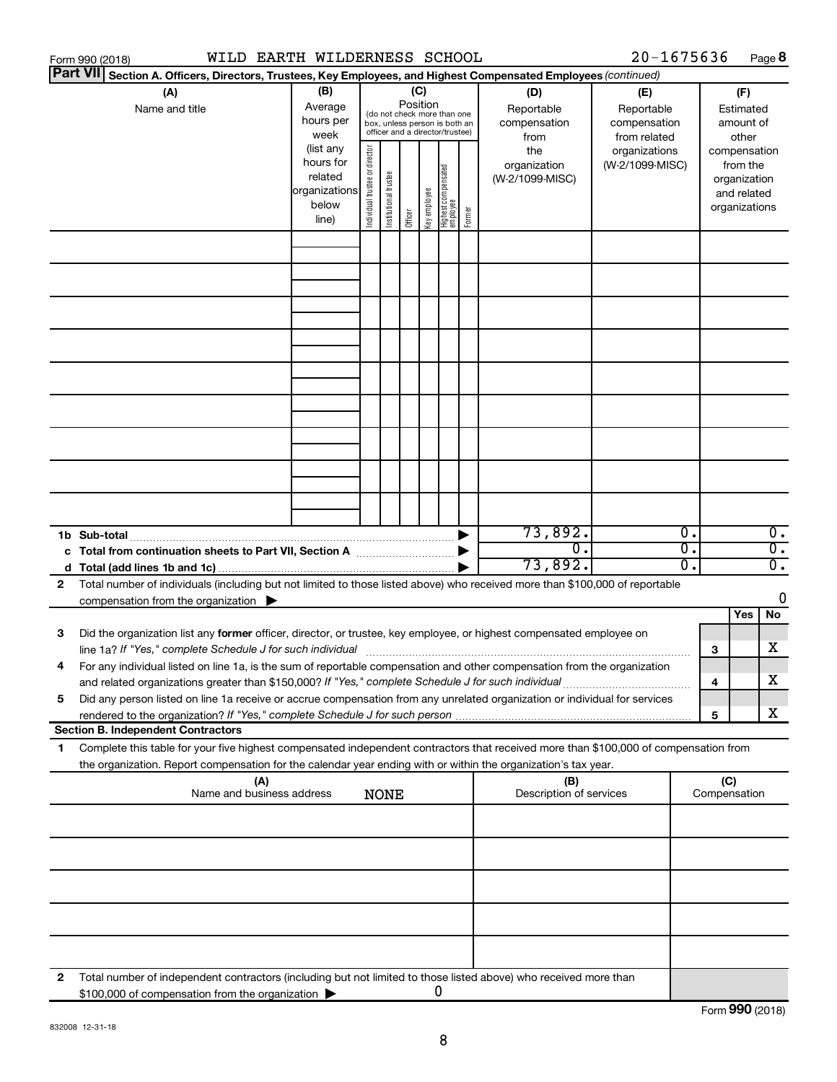|    | WILD EARTH WILDERNESS SCHOOL<br>Form 990 (2018)                                                                                                                                                                                                        |                                                                      |                                |                       |                 |              |                                                                                                 |        |                                           | 20-1675636                                        |              |                                                                          | Page 8           |
|----|--------------------------------------------------------------------------------------------------------------------------------------------------------------------------------------------------------------------------------------------------------|----------------------------------------------------------------------|--------------------------------|-----------------------|-----------------|--------------|-------------------------------------------------------------------------------------------------|--------|-------------------------------------------|---------------------------------------------------|--------------|--------------------------------------------------------------------------|------------------|
|    | <b>Part VII</b><br>Section A. Officers, Directors, Trustees, Key Employees, and Highest Compensated Employees (continued)                                                                                                                              |                                                                      |                                |                       |                 |              |                                                                                                 |        |                                           |                                                   |              |                                                                          |                  |
|    | (A)<br>Name and title                                                                                                                                                                                                                                  | (B)<br>Average<br>hours per<br>week                                  |                                |                       | (C)<br>Position |              | (do not check more than one<br>box, unless person is both an<br>officer and a director/trustee) |        | (D)<br>Reportable<br>compensation<br>from | (E)<br>Reportable<br>compensation<br>from related |              | (F)<br>Estimated<br>amount of<br>other                                   |                  |
|    |                                                                                                                                                                                                                                                        | (list any<br>hours for<br>related<br>organizations<br>below<br>line) | Individual trustee or director | Institutional trustee | Officer         | Key employee | <br>  Highest compensated<br>  employee                                                         | Former | the<br>organization<br>(W-2/1099-MISC)    | organizations<br>(W-2/1099-MISC)                  |              | compensation<br>from the<br>organization<br>and related<br>organizations |                  |
|    |                                                                                                                                                                                                                                                        |                                                                      |                                |                       |                 |              |                                                                                                 |        |                                           |                                                   |              |                                                                          |                  |
|    |                                                                                                                                                                                                                                                        |                                                                      |                                |                       |                 |              |                                                                                                 |        |                                           |                                                   |              |                                                                          |                  |
|    |                                                                                                                                                                                                                                                        |                                                                      |                                |                       |                 |              |                                                                                                 |        |                                           |                                                   |              |                                                                          |                  |
|    |                                                                                                                                                                                                                                                        |                                                                      |                                |                       |                 |              |                                                                                                 |        |                                           |                                                   |              |                                                                          |                  |
|    |                                                                                                                                                                                                                                                        |                                                                      |                                |                       |                 |              |                                                                                                 |        |                                           |                                                   |              |                                                                          |                  |
|    |                                                                                                                                                                                                                                                        |                                                                      |                                |                       |                 |              |                                                                                                 |        |                                           |                                                   |              |                                                                          |                  |
|    | 1b Sub-total                                                                                                                                                                                                                                           |                                                                      |                                |                       |                 |              |                                                                                                 |        | 73,892.                                   | $\overline{0}$ .                                  |              |                                                                          | $\overline{0}$ . |
|    |                                                                                                                                                                                                                                                        |                                                                      |                                |                       |                 |              |                                                                                                 |        | $\overline{0}$ .                          | $\overline{0}$ .                                  |              |                                                                          | $\overline{0}$ . |
| 2  | Total number of individuals (including but not limited to those listed above) who received more than \$100,000 of reportable                                                                                                                           |                                                                      |                                |                       |                 |              |                                                                                                 |        | 73,892.                                   | 0.                                                |              |                                                                          | $\overline{0}$ . |
|    | compensation from the organization $\blacktriangleright$                                                                                                                                                                                               |                                                                      |                                |                       |                 |              |                                                                                                 |        |                                           |                                                   |              |                                                                          | 0                |
|    |                                                                                                                                                                                                                                                        |                                                                      |                                |                       |                 |              |                                                                                                 |        |                                           |                                                   |              | Yes                                                                      | No               |
| 3  | Did the organization list any former officer, director, or trustee, key employee, or highest compensated employee on                                                                                                                                   |                                                                      |                                |                       |                 |              |                                                                                                 |        |                                           |                                                   |              |                                                                          | х                |
|    | line 1a? If "Yes," complete Schedule J for such individual [11] manufacture manufacture in the set of the set o<br>For any individual listed on line 1a, is the sum of reportable compensation and other compensation from the organization            |                                                                      |                                |                       |                 |              |                                                                                                 |        |                                           |                                                   | з            |                                                                          |                  |
| 5  | and related organizations greater than \$150,000? If "Yes," complete Schedule J for such individual<br>Did any person listed on line 1a receive or accrue compensation from any unrelated organization or individual for services                      |                                                                      |                                |                       |                 |              |                                                                                                 |        |                                           |                                                   | 4            |                                                                          | x                |
|    |                                                                                                                                                                                                                                                        |                                                                      |                                |                       |                 |              |                                                                                                 |        |                                           |                                                   | 5            |                                                                          | х                |
|    | <b>Section B. Independent Contractors</b>                                                                                                                                                                                                              |                                                                      |                                |                       |                 |              |                                                                                                 |        |                                           |                                                   |              |                                                                          |                  |
| 1. | Complete this table for your five highest compensated independent contractors that received more than \$100,000 of compensation from<br>the organization. Report compensation for the calendar year ending with or within the organization's tax year. |                                                                      |                                |                       |                 |              |                                                                                                 |        |                                           |                                                   |              |                                                                          |                  |
|    | (A)<br>Name and business address                                                                                                                                                                                                                       |                                                                      |                                | <b>NONE</b>           |                 |              |                                                                                                 |        | (B)<br>Description of services            |                                                   | Compensation | (C)                                                                      |                  |
|    |                                                                                                                                                                                                                                                        |                                                                      |                                |                       |                 |              |                                                                                                 |        |                                           |                                                   |              |                                                                          |                  |
|    |                                                                                                                                                                                                                                                        |                                                                      |                                |                       |                 |              |                                                                                                 |        |                                           |                                                   |              |                                                                          |                  |
|    |                                                                                                                                                                                                                                                        |                                                                      |                                |                       |                 |              |                                                                                                 |        |                                           |                                                   |              |                                                                          |                  |
|    |                                                                                                                                                                                                                                                        |                                                                      |                                |                       |                 |              |                                                                                                 |        |                                           |                                                   |              |                                                                          |                  |
| 2  | Total number of independent contractors (including but not limited to those listed above) who received more than<br>\$100,000 of compensation from the organization                                                                                    |                                                                      |                                |                       |                 | 0            |                                                                                                 |        |                                           |                                                   |              |                                                                          |                  |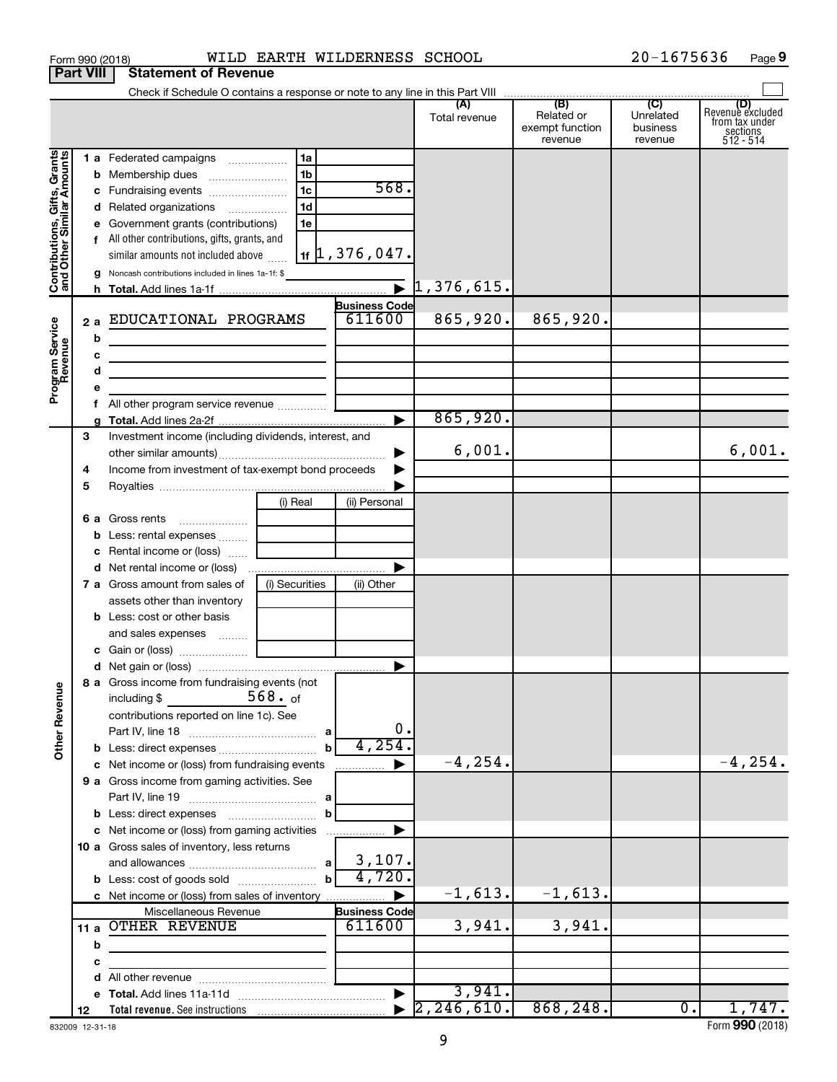|                                                                                                   | <b>Part VIII</b>             | <b>Statement of Revenue</b>                                                                                                                                                                                                                                                                                                                                                                                                                                                                                                |                                        |                                                                                                    |                      |                                          |                                           |                                                                    |
|---------------------------------------------------------------------------------------------------|------------------------------|----------------------------------------------------------------------------------------------------------------------------------------------------------------------------------------------------------------------------------------------------------------------------------------------------------------------------------------------------------------------------------------------------------------------------------------------------------------------------------------------------------------------------|----------------------------------------|----------------------------------------------------------------------------------------------------|----------------------|------------------------------------------|-------------------------------------------|--------------------------------------------------------------------|
|                                                                                                   |                              |                                                                                                                                                                                                                                                                                                                                                                                                                                                                                                                            |                                        |                                                                                                    |                      |                                          |                                           |                                                                    |
|                                                                                                   |                              |                                                                                                                                                                                                                                                                                                                                                                                                                                                                                                                            |                                        |                                                                                                    | Total revenue        | Related or<br>exempt function<br>revenue | Unrelated<br>business<br>revenue          | (D)<br>Revenuè excluded<br>from tax under<br>sections<br>512 - 514 |
| Grants<br>Contributions, Gifts, Grants<br>and Other Similar Amounts<br>Program Service<br>Revenue | 2a<br>b<br>с<br>d<br>е<br>f. | 1 a Federated campaigns<br><b>b</b> Membership dues<br>c Fundraising events<br>d Related organizations<br>e Government grants (contributions)<br>f All other contributions, gifts, grants, and<br>similar amounts not included above<br>g Noncash contributions included in lines 1a-1f: \$<br>EDUCATIONAL PROGRAMS<br><u> 1989 - Johann Barbara, martin amerikan basar dan basar dan basar dalam basar dalam basar dalam basar dalam ba</u><br>the control of the control of the control of the control of the control of | 1a<br>1b<br>1с<br>1 <sub>d</sub><br>1e | 568.<br>$\vert$ 1f $\vert$ 1, 376, 047.<br><b>Business Code</b><br>611600<br>$\blacktriangleright$ | 865,920.<br>865,920. | 865,920.                                 |                                           |                                                                    |
|                                                                                                   | 3                            | Investment income (including dividends, interest, and                                                                                                                                                                                                                                                                                                                                                                                                                                                                      |                                        |                                                                                                    |                      |                                          |                                           |                                                                    |
| <b>Other Revenue</b>                                                                              | 4<br>5                       | Income from investment of tax-exempt bond proceeds                                                                                                                                                                                                                                                                                                                                                                                                                                                                         |                                        | ▶                                                                                                  | 6,001.               |                                          |                                           | 6,001.                                                             |
|                                                                                                   |                              | 6 a Gross rents<br><b>b</b> Less: rental expenses<br>c Rental income or (loss)                                                                                                                                                                                                                                                                                                                                                                                                                                             | (i) Real                               | (ii) Personal                                                                                      |                      |                                          |                                           |                                                                    |
|                                                                                                   |                              | <b>7 a</b> Gross amount from sales of<br>assets other than inventory<br><b>b</b> Less: cost or other basis                                                                                                                                                                                                                                                                                                                                                                                                                 | (i) Securities                         | (ii) Other                                                                                         |                      |                                          |                                           |                                                                    |
|                                                                                                   |                              | 8 a Gross income from fundraising events (not                                                                                                                                                                                                                                                                                                                                                                                                                                                                              |                                        |                                                                                                    |                      |                                          |                                           |                                                                    |
|                                                                                                   |                              | including $$$<br>contributions reported on line 1c). See                                                                                                                                                                                                                                                                                                                                                                                                                                                                   | 568. of<br>$\mathbf b$                 | 0.<br>4,254.                                                                                       |                      |                                          |                                           |                                                                    |
|                                                                                                   |                              | c Net income or (loss) from fundraising events                                                                                                                                                                                                                                                                                                                                                                                                                                                                             |                                        | ▶<br>.                                                                                             | $-4, 254.$           |                                          |                                           | $-4, 254.$                                                         |
|                                                                                                   |                              | 9 a Gross income from gaming activities. See                                                                                                                                                                                                                                                                                                                                                                                                                                                                               | b                                      |                                                                                                    |                      |                                          |                                           |                                                                    |
|                                                                                                   |                              | c Net income or (loss) from gaming activities<br>10 a Gross sales of inventory, less returns<br><b>b</b> Less: cost of goods sold                                                                                                                                                                                                                                                                                                                                                                                          | $\mathbf b$                            | 3,107.<br>4,720.                                                                                   |                      |                                          |                                           |                                                                    |
|                                                                                                   |                              | c Net income or (loss) from sales of inventory                                                                                                                                                                                                                                                                                                                                                                                                                                                                             |                                        |                                                                                                    | $-1,613.$            | $-1,613.$                                |                                           |                                                                    |
|                                                                                                   | b                            | Miscellaneous Revenue<br>11 a OTHER REVENUE                                                                                                                                                                                                                                                                                                                                                                                                                                                                                |                                        | <b>Business Code</b><br>611600                                                                     | 3,941.               | 3,941.                                   |                                           |                                                                    |
|                                                                                                   | с                            |                                                                                                                                                                                                                                                                                                                                                                                                                                                                                                                            |                                        |                                                                                                    |                      |                                          |                                           |                                                                    |
|                                                                                                   |                              |                                                                                                                                                                                                                                                                                                                                                                                                                                                                                                                            |                                        |                                                                                                    | 3,941.               |                                          |                                           |                                                                    |
|                                                                                                   | 12                           |                                                                                                                                                                                                                                                                                                                                                                                                                                                                                                                            |                                        |                                                                                                    | 2, 246, 610.         | 868, 248.                                | $\overline{\overline{\phantom{0}}\!\!\!}$ | 1,747.                                                             |

Form 990 (2018) Page WILD EARTH WILDERNESS SCHOOL 20-1675636

832009 12-31-18

**9**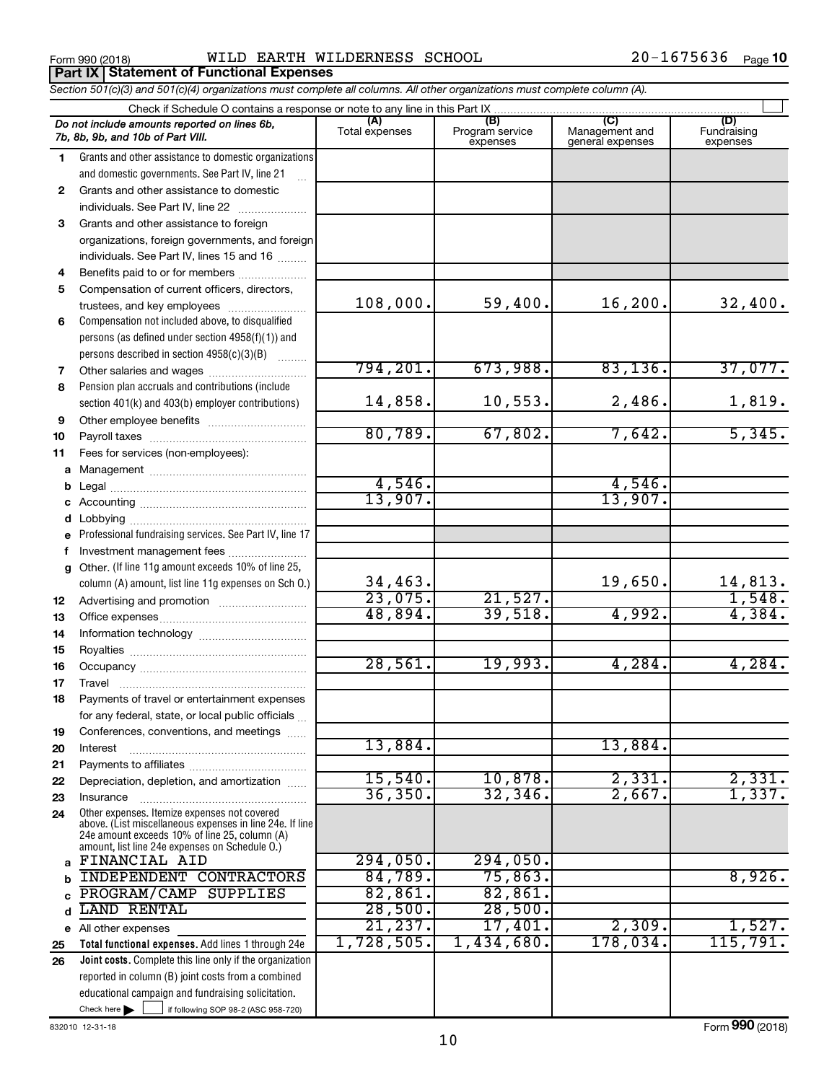Form 990 (2018) Page WILD EARTH WILDERNESS SCHOOL 20-1675636 **Part IX Statement of Functional Expenses**

*Section 501(c)(3) and 501(c)(4) organizations must complete all columns. All other organizations must complete column (A).*

|              | Do not include amounts reported on lines 6b,<br>7b, 8b, 9b, and 10b of Part VIII.                        | (A)<br>Total expenses | (B)<br>Program service<br>expenses | (C)<br>Management and<br>general expenses | (D)<br>Fundraising<br>expenses |  |  |  |  |  |  |  |
|--------------|----------------------------------------------------------------------------------------------------------|-----------------------|------------------------------------|-------------------------------------------|--------------------------------|--|--|--|--|--|--|--|
| 1.           | Grants and other assistance to domestic organizations                                                    |                       |                                    |                                           |                                |  |  |  |  |  |  |  |
|              | and domestic governments. See Part IV, line 21                                                           |                       |                                    |                                           |                                |  |  |  |  |  |  |  |
| $\mathbf{2}$ | Grants and other assistance to domestic                                                                  |                       |                                    |                                           |                                |  |  |  |  |  |  |  |
|              | individuals. See Part IV, line 22                                                                        |                       |                                    |                                           |                                |  |  |  |  |  |  |  |
| 3            | Grants and other assistance to foreign                                                                   |                       |                                    |                                           |                                |  |  |  |  |  |  |  |
|              | organizations, foreign governments, and foreign                                                          |                       |                                    |                                           |                                |  |  |  |  |  |  |  |
|              | individuals. See Part IV, lines 15 and 16                                                                |                       |                                    |                                           |                                |  |  |  |  |  |  |  |
| 4            | Benefits paid to or for members                                                                          |                       |                                    |                                           |                                |  |  |  |  |  |  |  |
| 5            | Compensation of current officers, directors,                                                             |                       |                                    |                                           |                                |  |  |  |  |  |  |  |
|              | trustees, and key employees                                                                              | 108,000.              | 59,400.                            | 16, 200.                                  | 32,400.                        |  |  |  |  |  |  |  |
| 6            | Compensation not included above, to disqualified                                                         |                       |                                    |                                           |                                |  |  |  |  |  |  |  |
|              | persons (as defined under section 4958(f)(1)) and                                                        |                       |                                    |                                           |                                |  |  |  |  |  |  |  |
|              | persons described in section 4958(c)(3)(B)                                                               |                       |                                    |                                           |                                |  |  |  |  |  |  |  |
| 7            | Other salaries and wages                                                                                 | 794, 201.             | 673,988.                           | 83,136.                                   | 37,077.                        |  |  |  |  |  |  |  |
| 8            | Pension plan accruals and contributions (include                                                         |                       |                                    |                                           |                                |  |  |  |  |  |  |  |
|              | section 401(k) and 403(b) employer contributions)                                                        | 14,858.               | 10,553.                            | 2,486.                                    | 1,819.                         |  |  |  |  |  |  |  |
| 9            | Other employee benefits                                                                                  |                       |                                    |                                           |                                |  |  |  |  |  |  |  |
| 10           |                                                                                                          | 80,789.               | 67,802.                            | 7,642.                                    | 5,345.                         |  |  |  |  |  |  |  |
| 11           | Fees for services (non-employees):                                                                       |                       |                                    |                                           |                                |  |  |  |  |  |  |  |
|              |                                                                                                          |                       |                                    |                                           |                                |  |  |  |  |  |  |  |
|              |                                                                                                          | 4,546.                |                                    | 4,546.                                    |                                |  |  |  |  |  |  |  |
|              |                                                                                                          | 13,907.               |                                    | 13,907.                                   |                                |  |  |  |  |  |  |  |
|              |                                                                                                          |                       |                                    |                                           |                                |  |  |  |  |  |  |  |
| e            | Professional fundraising services. See Part IV, line 17                                                  |                       |                                    |                                           |                                |  |  |  |  |  |  |  |
| f            | Investment management fees                                                                               |                       |                                    |                                           |                                |  |  |  |  |  |  |  |
|              | g Other. (If line 11g amount exceeds 10% of line 25,                                                     |                       |                                    |                                           |                                |  |  |  |  |  |  |  |
|              | column (A) amount, list line 11g expenses on Sch 0.)                                                     | 34,463.               |                                    | 19,650.                                   | 14,813.                        |  |  |  |  |  |  |  |
| 12           |                                                                                                          | 23,075.               | 21,527.                            |                                           | 1,548.                         |  |  |  |  |  |  |  |
| 13           |                                                                                                          | 48,894.               | 39,518.                            | 4,992.                                    | 4,384.                         |  |  |  |  |  |  |  |
| 14           |                                                                                                          |                       |                                    |                                           |                                |  |  |  |  |  |  |  |
| 15           |                                                                                                          |                       |                                    |                                           |                                |  |  |  |  |  |  |  |
| 16           |                                                                                                          | 28,561.               | 19,993.                            | 4,284.                                    | 4,284.                         |  |  |  |  |  |  |  |
| 17           |                                                                                                          |                       |                                    |                                           |                                |  |  |  |  |  |  |  |
| 18           | Payments of travel or entertainment expenses                                                             |                       |                                    |                                           |                                |  |  |  |  |  |  |  |
|              | for any federal, state, or local public officials                                                        |                       |                                    |                                           |                                |  |  |  |  |  |  |  |
| 19           | Conferences, conventions, and meetings                                                                   |                       |                                    |                                           |                                |  |  |  |  |  |  |  |
| 20           | Interest                                                                                                 | 13,884.               |                                    | 13,884.                                   |                                |  |  |  |  |  |  |  |
| 21           |                                                                                                          | 15,540.               | 10,878.                            | 2,331.                                    |                                |  |  |  |  |  |  |  |
| 22           | Depreciation, depletion, and amortization                                                                | 36, 350.              | 32, 346                            | 2,667.                                    | 2,331.<br>1,337.               |  |  |  |  |  |  |  |
| 23           | Insurance                                                                                                |                       |                                    |                                           |                                |  |  |  |  |  |  |  |
| 24           | Other expenses. Itemize expenses not covered<br>above. (List miscellaneous expenses in line 24e. If line |                       |                                    |                                           |                                |  |  |  |  |  |  |  |
|              | 24e amount exceeds 10% of line 25, column (A)                                                            |                       |                                    |                                           |                                |  |  |  |  |  |  |  |
|              | amount, list line 24e expenses on Schedule O.)<br>FINANCIAL AID                                          | 294,050.              | 294,050.                           |                                           |                                |  |  |  |  |  |  |  |
| a            | <b>INDEPENDENT CONTRACTORS</b>                                                                           | 84,789.               | 75,863.                            |                                           | 8,926.                         |  |  |  |  |  |  |  |
| b            | PROGRAM/CAMP<br><b>SUPPLIES</b>                                                                          | 82,861.               | 82,861.                            |                                           |                                |  |  |  |  |  |  |  |
| c            | LAND RENTAL                                                                                              | 28,500.               | 28,500.                            |                                           |                                |  |  |  |  |  |  |  |
| d            |                                                                                                          | 21,237.               | 17,401.                            | 2,309.                                    | 1,527.                         |  |  |  |  |  |  |  |
|              | e All other expenses<br>Total functional expenses. Add lines 1 through 24e                               | 1,728,505.            | 1,434,680.                         | 178,034.                                  | 115,791.                       |  |  |  |  |  |  |  |
| 25<br>26     | <b>Joint costs.</b> Complete this line only if the organization                                          |                       |                                    |                                           |                                |  |  |  |  |  |  |  |
|              | reported in column (B) joint costs from a combined                                                       |                       |                                    |                                           |                                |  |  |  |  |  |  |  |
|              | educational campaign and fundraising solicitation.                                                       |                       |                                    |                                           |                                |  |  |  |  |  |  |  |
|              | Check here $\blacktriangleright$<br>if following SOP 98-2 (ASC 958-720)                                  |                       |                                    |                                           |                                |  |  |  |  |  |  |  |
|              |                                                                                                          |                       |                                    |                                           |                                |  |  |  |  |  |  |  |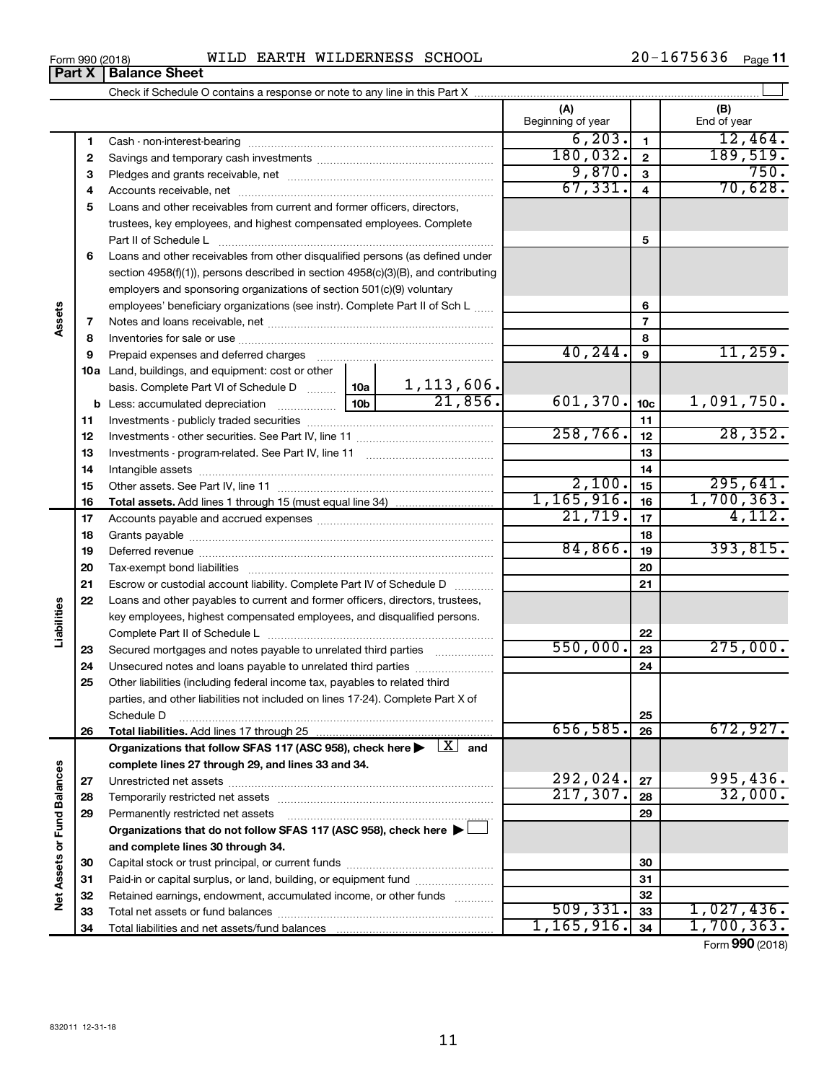|  | Form 990 (2018) | <b>EARTH</b><br>WILD | WILDERNESS | SCHOOL | $\epsilon$ = $\epsilon$ 0.2<br>$20 -$<br>16.<br>75636 | Page |
|--|-----------------|----------------------|------------|--------|-------------------------------------------------------|------|
|--|-----------------|----------------------|------------|--------|-------------------------------------------------------|------|

|                             |    |                                                                                                                           | (A)<br>Beginning of year |                 | (B)<br>End of year |
|-----------------------------|----|---------------------------------------------------------------------------------------------------------------------------|--------------------------|-----------------|--------------------|
|                             | 1  |                                                                                                                           | 6, 203.                  | $\blacksquare$  | 12,464.            |
|                             | 2  |                                                                                                                           | 180,032.                 | $\mathbf{2}$    | 189,519.           |
|                             | З  |                                                                                                                           | 9,870.                   | 3               | 750.               |
|                             | 4  |                                                                                                                           | 67, 331.                 | 4               | 70,628.            |
|                             | 5  | Loans and other receivables from current and former officers, directors,                                                  |                          |                 |                    |
|                             |    | trustees, key employees, and highest compensated employees. Complete                                                      |                          |                 |                    |
|                             |    | Part II of Schedule Later and Communications and Contract II of Schedule Later and Communications and Dental I            |                          | 5               |                    |
|                             | 6  | Loans and other receivables from other disqualified persons (as defined under                                             |                          |                 |                    |
|                             |    | section 4958(f)(1)), persons described in section 4958(c)(3)(B), and contributing                                         |                          |                 |                    |
|                             |    | employers and sponsoring organizations of section 501(c)(9) voluntary                                                     |                          |                 |                    |
|                             |    | employees' beneficiary organizations (see instr). Complete Part II of Sch L                                               |                          | 6               |                    |
| Assets                      | 7  |                                                                                                                           |                          | $\overline{7}$  |                    |
|                             | 8  |                                                                                                                           |                          | 8               |                    |
|                             | 9  | Prepaid expenses and deferred charges                                                                                     | 40, 244.                 | 9               | 11,259.            |
|                             |    | 10a Land, buildings, and equipment: cost or other                                                                         |                          |                 |                    |
|                             |    | 1,113,606.<br>  10a  <br>basis. Complete Part VI of Schedule D                                                            |                          |                 |                    |
|                             |    | 21,856.<br>10 <sub>b</sub><br><b>b</b> Less: accumulated depreciation <i></i>                                             | 601, 370.                | 10 <sub>c</sub> | 1,091,750.         |
|                             | 11 |                                                                                                                           |                          | 11              |                    |
|                             | 12 |                                                                                                                           | 258,766.                 | 12              | 28, 352.           |
|                             | 13 |                                                                                                                           |                          | 13              |                    |
|                             | 14 |                                                                                                                           |                          | 14              |                    |
|                             | 15 |                                                                                                                           | 2,100.                   | 15              | 295,641.           |
|                             | 16 |                                                                                                                           | 1,165,916.               | 16              | 1,700,363.         |
|                             | 17 |                                                                                                                           | 21,719.                  | 17              | 4,112.             |
|                             | 18 |                                                                                                                           |                          | 18              |                    |
|                             | 19 |                                                                                                                           | 84,866.                  | 19              | 393,815.           |
|                             | 20 |                                                                                                                           |                          | 20              |                    |
|                             | 21 | Escrow or custodial account liability. Complete Part IV of Schedule D                                                     |                          | 21              |                    |
|                             | 22 | Loans and other payables to current and former officers, directors, trustees,                                             |                          |                 |                    |
|                             |    | key employees, highest compensated employees, and disqualified persons.                                                   |                          |                 |                    |
| Liabilities                 |    |                                                                                                                           | 550,000.                 | 22              | 275,000.           |
|                             | 23 | Secured mortgages and notes payable to unrelated third parties                                                            |                          | 23              |                    |
|                             | 24 | Unsecured notes and loans payable to unrelated third parties                                                              |                          | 24              |                    |
|                             | 25 | Other liabilities (including federal income tax, payables to related third                                                |                          |                 |                    |
|                             |    | parties, and other liabilities not included on lines 17-24). Complete Part X of<br>Schedule D                             |                          | 25              |                    |
|                             | 26 |                                                                                                                           | 656,585.                 | 26              | 672,927.           |
|                             |    | Organizations that follow SFAS 117 (ASC 958), check here $\blacktriangleright \begin{array}{c} \boxed{X} \end{array}$ and |                          |                 |                    |
|                             |    | complete lines 27 through 29, and lines 33 and 34.                                                                        |                          |                 |                    |
|                             | 27 |                                                                                                                           | 292,024.                 | 27              | 995,436.           |
|                             | 28 |                                                                                                                           | 217,307.                 | 28              | 32,000.            |
|                             | 29 | Permanently restricted net assets                                                                                         |                          | 29              |                    |
|                             |    | Organizations that do not follow SFAS 117 (ASC 958), check here ▶                                                         |                          |                 |                    |
|                             |    | and complete lines 30 through 34.                                                                                         |                          |                 |                    |
|                             | 30 |                                                                                                                           |                          | 30              |                    |
|                             | 31 | Paid-in or capital surplus, or land, building, or equipment fund                                                          |                          | 31              |                    |
| Net Assets or Fund Balances | 32 | Retained earnings, endowment, accumulated income, or other funds                                                          |                          | 32              |                    |
|                             | 33 |                                                                                                                           | 509, 331.                | 33              | 1,027,436.         |
|                             | 34 |                                                                                                                           | 1, 165, 916.             | 34              | 1,700,363.         |

Form (2018) **990**

| Form 990 (2018) |                               |  |
|-----------------|-------------------------------|--|
|                 | <b>Part X   Balance Sheet</b> |  |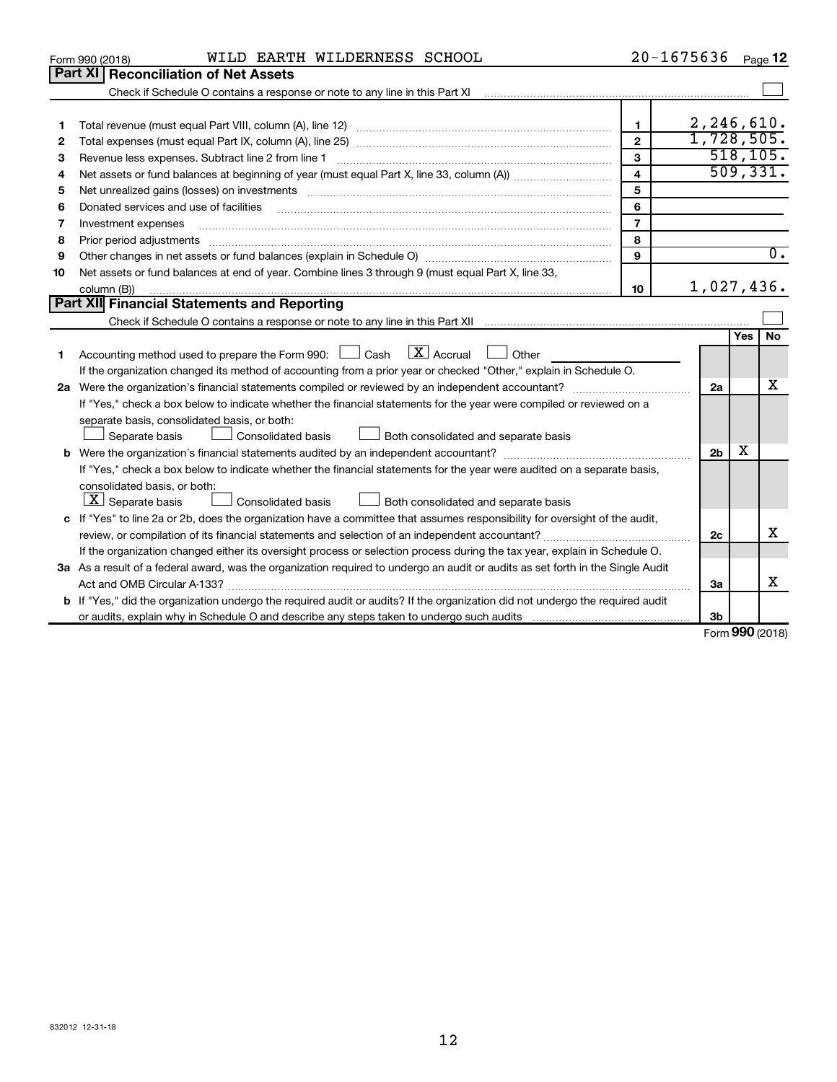|    | WILD EARTH WILDERNESS SCHOOL<br>Form 990 (2018)                                                                                                                                                                                                                                                                                                                                                                                                                                                     |                         | 20-1675636     |               | Page 12          |
|----|-----------------------------------------------------------------------------------------------------------------------------------------------------------------------------------------------------------------------------------------------------------------------------------------------------------------------------------------------------------------------------------------------------------------------------------------------------------------------------------------------------|-------------------------|----------------|---------------|------------------|
|    | <b>Part XI</b><br><b>Reconciliation of Net Assets</b>                                                                                                                                                                                                                                                                                                                                                                                                                                               |                         |                |               |                  |
|    |                                                                                                                                                                                                                                                                                                                                                                                                                                                                                                     |                         |                |               |                  |
|    |                                                                                                                                                                                                                                                                                                                                                                                                                                                                                                     |                         |                |               |                  |
| 1  |                                                                                                                                                                                                                                                                                                                                                                                                                                                                                                     | $\mathbf{1}$            | 2,246,610.     |               |                  |
| 2  |                                                                                                                                                                                                                                                                                                                                                                                                                                                                                                     | $\overline{2}$          | 1,728,505.     |               |                  |
| 3  | Revenue less expenses. Subtract line 2 from line 1                                                                                                                                                                                                                                                                                                                                                                                                                                                  | 3                       |                |               | 518, 105.        |
| 4  |                                                                                                                                                                                                                                                                                                                                                                                                                                                                                                     | $\overline{\mathbf{4}}$ |                |               | 509, 331.        |
| 5  | Net unrealized gains (losses) on investments [11] non-manufactured manufactured manufactured manufactured manu                                                                                                                                                                                                                                                                                                                                                                                      | 5                       |                |               |                  |
| 6  | Donated services and use of facilities                                                                                                                                                                                                                                                                                                                                                                                                                                                              | 6                       |                |               |                  |
| 7  | Investment expenses                                                                                                                                                                                                                                                                                                                                                                                                                                                                                 | $\overline{7}$          |                |               |                  |
| 8  |                                                                                                                                                                                                                                                                                                                                                                                                                                                                                                     | 8                       |                |               |                  |
| 9  |                                                                                                                                                                                                                                                                                                                                                                                                                                                                                                     | 9                       |                |               | $\overline{0}$ . |
| 10 | Net assets or fund balances at end of year. Combine lines 3 through 9 (must equal Part X, line 33,                                                                                                                                                                                                                                                                                                                                                                                                  |                         |                |               |                  |
|    | column (B))<br>$\begin{minipage}{0.9\linewidth} \begin{tabular}{l} \hline \textbf{0.01} \end{tabular} \end{minipage} \begin{tabular}{l} \hline \textbf{1.01} \end{tabular} \end{minipage} \begin{tabular}{l} \hline \textbf{1.01} \end{tabular} \end{minipage} \begin{minipage}{0.9\linewidth} \textbf{1.01} \end{minipage} \begin{tabular}{l} \hline \textbf{1.01} \end{tabular} \end{minipage} \begin{minipage}{0.9\linewidth} \textbf{1.01} \end{minipage} \begin{tabular}{l} \hline \textbf{1.$ | 10                      | 1,027,436.     |               |                  |
|    | Part XII Financial Statements and Reporting                                                                                                                                                                                                                                                                                                                                                                                                                                                         |                         |                |               |                  |
|    |                                                                                                                                                                                                                                                                                                                                                                                                                                                                                                     |                         |                |               |                  |
|    |                                                                                                                                                                                                                                                                                                                                                                                                                                                                                                     |                         |                | Yes           | No               |
| 1. | Accounting method used to prepare the Form 990: $\Box$ Cash $\Box X$ Accrual<br><b>Durier</b> Other                                                                                                                                                                                                                                                                                                                                                                                                 |                         |                |               |                  |
|    | If the organization changed its method of accounting from a prior year or checked "Other," explain in Schedule O.                                                                                                                                                                                                                                                                                                                                                                                   |                         |                |               |                  |
|    |                                                                                                                                                                                                                                                                                                                                                                                                                                                                                                     |                         | 2a             |               | х                |
|    | If "Yes," check a box below to indicate whether the financial statements for the year were compiled or reviewed on a                                                                                                                                                                                                                                                                                                                                                                                |                         |                |               |                  |
|    | separate basis, consolidated basis, or both:                                                                                                                                                                                                                                                                                                                                                                                                                                                        |                         |                |               |                  |
|    | Both consolidated and separate basis<br>Separate basis<br>Consolidated basis                                                                                                                                                                                                                                                                                                                                                                                                                        |                         |                |               |                  |
|    |                                                                                                                                                                                                                                                                                                                                                                                                                                                                                                     |                         | 2 <sub>b</sub> | х             |                  |
|    | If "Yes," check a box below to indicate whether the financial statements for the year were audited on a separate basis,                                                                                                                                                                                                                                                                                                                                                                             |                         |                |               |                  |
|    | consolidated basis, or both:                                                                                                                                                                                                                                                                                                                                                                                                                                                                        |                         |                |               |                  |
|    | $ \mathbf{X} $ Separate basis<br>Consolidated basis<br>Both consolidated and separate basis                                                                                                                                                                                                                                                                                                                                                                                                         |                         |                |               |                  |
|    | c If "Yes" to line 2a or 2b, does the organization have a committee that assumes responsibility for oversight of the audit,                                                                                                                                                                                                                                                                                                                                                                         |                         |                |               |                  |
|    | review, or compilation of its financial statements and selection of an independent accountant?                                                                                                                                                                                                                                                                                                                                                                                                      |                         | 2c             |               | X                |
|    | If the organization changed either its oversight process or selection process during the tax year, explain in Schedule O.                                                                                                                                                                                                                                                                                                                                                                           |                         |                |               |                  |
|    | 3a As a result of a federal award, was the organization required to undergo an audit or audits as set forth in the Single Audit                                                                                                                                                                                                                                                                                                                                                                     |                         |                |               |                  |
|    | Act and OMB Circular A-133?                                                                                                                                                                                                                                                                                                                                                                                                                                                                         |                         | За             |               | x                |
|    | <b>b</b> If "Yes," did the organization undergo the required audit or audits? If the organization did not undergo the required audit                                                                                                                                                                                                                                                                                                                                                                |                         |                |               |                  |
|    |                                                                                                                                                                                                                                                                                                                                                                                                                                                                                                     |                         | 3b             | $000 \approx$ |                  |
|    |                                                                                                                                                                                                                                                                                                                                                                                                                                                                                                     |                         |                |               |                  |

Form (2018) **990**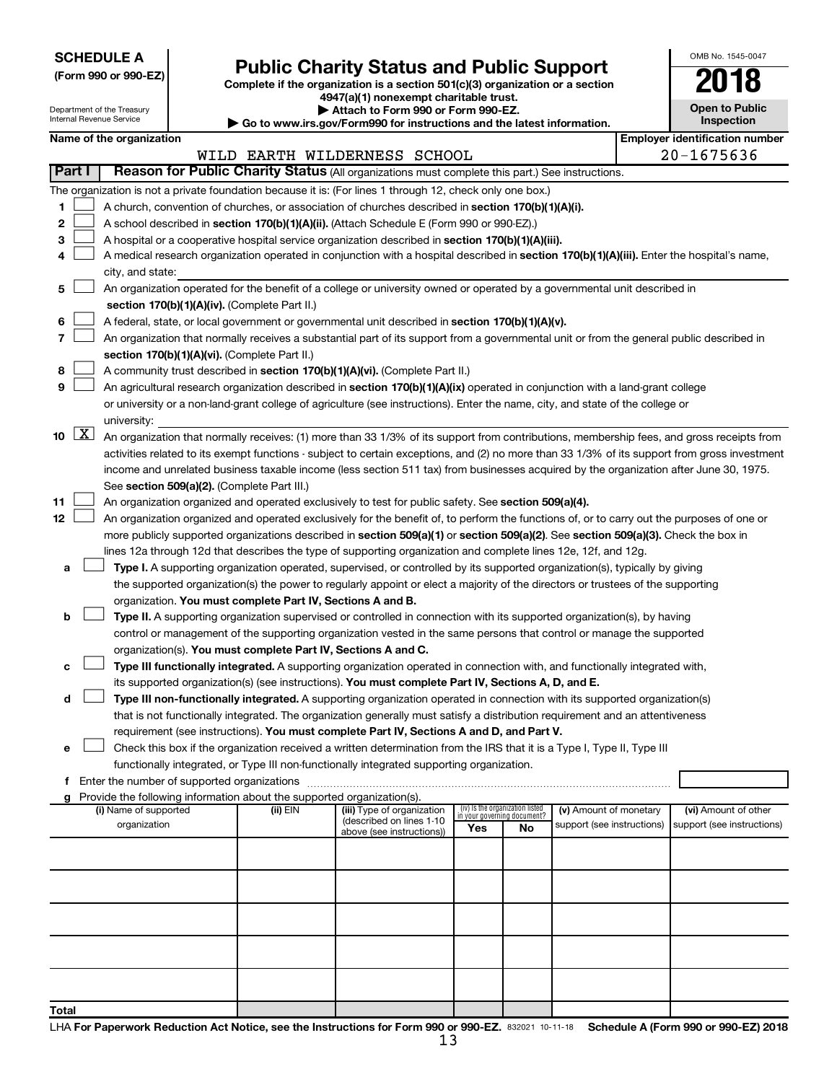**SCHEDULE A**

# Form 990 or 990-EZ)<br>
Complete if the organization is a section 501(c)(3) organization or a section<br> **Public Charity Status and Public Support**

**4947(a)(1) nonexempt charitable trust.**

| <b>Open to Public</b><br>Inspection |  |  |  |  |  |  |  |
|-------------------------------------|--|--|--|--|--|--|--|
|                                     |  |  |  |  |  |  |  |

OMB No. 1545-0047

|             | Department of the Treasury<br>Internal Revenue Service |                                                                                                    |                                                                        | 4947(a)(1) nonexempt charitable trust.<br>▶ Attach to Form 990 or Form 990-EZ.                                                                |                                    |    |                            |  |                                       |  |  |  |
|-------------|--------------------------------------------------------|----------------------------------------------------------------------------------------------------|------------------------------------------------------------------------|-----------------------------------------------------------------------------------------------------------------------------------------------|------------------------------------|----|----------------------------|--|---------------------------------------|--|--|--|
|             |                                                        |                                                                                                    |                                                                        | $\triangleright$ Go to www.irs.gov/Form990 for instructions and the latest information.                                                       |                                    |    |                            |  | <b>Inspection</b>                     |  |  |  |
|             | Name of the organization                               |                                                                                                    |                                                                        |                                                                                                                                               |                                    |    |                            |  | <b>Employer identification number</b> |  |  |  |
| Part I      |                                                        |                                                                                                    |                                                                        | WILD EARTH WILDERNESS SCHOOL<br>Reason for Public Charity Status (All organizations must complete this part.) See instructions.               |                                    |    |                            |  | $20 - 1675636$                        |  |  |  |
|             |                                                        |                                                                                                    |                                                                        |                                                                                                                                               |                                    |    |                            |  |                                       |  |  |  |
|             |                                                        |                                                                                                    |                                                                        | The organization is not a private foundation because it is: (For lines 1 through 12, check only one box.)                                     |                                    |    |                            |  |                                       |  |  |  |
| 1           |                                                        | A church, convention of churches, or association of churches described in section 170(b)(1)(A)(i). |                                                                        |                                                                                                                                               |                                    |    |                            |  |                                       |  |  |  |
| 2           |                                                        |                                                                                                    |                                                                        | A school described in section 170(b)(1)(A)(ii). (Attach Schedule E (Form 990 or 990-EZ).)                                                     |                                    |    |                            |  |                                       |  |  |  |
| з           |                                                        |                                                                                                    |                                                                        | A hospital or a cooperative hospital service organization described in section 170(b)(1)(A)(iii).                                             |                                    |    |                            |  |                                       |  |  |  |
| 4           |                                                        |                                                                                                    |                                                                        | A medical research organization operated in conjunction with a hospital described in section 170(b)(1)(A)(iii). Enter the hospital's name,    |                                    |    |                            |  |                                       |  |  |  |
|             | city, and state:                                       |                                                                                                    |                                                                        |                                                                                                                                               |                                    |    |                            |  |                                       |  |  |  |
| 5           |                                                        |                                                                                                    |                                                                        | An organization operated for the benefit of a college or university owned or operated by a governmental unit described in                     |                                    |    |                            |  |                                       |  |  |  |
|             |                                                        |                                                                                                    | section 170(b)(1)(A)(iv). (Complete Part II.)                          |                                                                                                                                               |                                    |    |                            |  |                                       |  |  |  |
| 6           |                                                        |                                                                                                    |                                                                        | A federal, state, or local government or governmental unit described in section 170(b)(1)(A)(v).                                              |                                    |    |                            |  |                                       |  |  |  |
| 7           |                                                        |                                                                                                    |                                                                        | An organization that normally receives a substantial part of its support from a governmental unit or from the general public described in     |                                    |    |                            |  |                                       |  |  |  |
|             |                                                        |                                                                                                    | section 170(b)(1)(A)(vi). (Complete Part II.)                          |                                                                                                                                               |                                    |    |                            |  |                                       |  |  |  |
| 8           |                                                        |                                                                                                    |                                                                        | A community trust described in section 170(b)(1)(A)(vi). (Complete Part II.)                                                                  |                                    |    |                            |  |                                       |  |  |  |
| 9           |                                                        |                                                                                                    |                                                                        | An agricultural research organization described in section 170(b)(1)(A)(ix) operated in conjunction with a land-grant college                 |                                    |    |                            |  |                                       |  |  |  |
|             |                                                        |                                                                                                    |                                                                        | or university or a non-land-grant college of agriculture (see instructions). Enter the name, city, and state of the college or                |                                    |    |                            |  |                                       |  |  |  |
| $10 \mid X$ | university:                                            |                                                                                                    |                                                                        |                                                                                                                                               |                                    |    |                            |  |                                       |  |  |  |
|             |                                                        |                                                                                                    |                                                                        | An organization that normally receives: (1) more than 33 1/3% of its support from contributions, membership fees, and gross receipts from     |                                    |    |                            |  |                                       |  |  |  |
|             |                                                        |                                                                                                    |                                                                        | activities related to its exempt functions - subject to certain exceptions, and (2) no more than 33 1/3% of its support from gross investment |                                    |    |                            |  |                                       |  |  |  |
|             |                                                        |                                                                                                    | See section 509(a)(2). (Complete Part III.)                            | income and unrelated business taxable income (less section 511 tax) from businesses acquired by the organization after June 30, 1975.         |                                    |    |                            |  |                                       |  |  |  |
| 11          |                                                        |                                                                                                    |                                                                        | An organization organized and operated exclusively to test for public safety. See section 509(a)(4).                                          |                                    |    |                            |  |                                       |  |  |  |
| 12          |                                                        |                                                                                                    |                                                                        | An organization organized and operated exclusively for the benefit of, to perform the functions of, or to carry out the purposes of one or    |                                    |    |                            |  |                                       |  |  |  |
|             |                                                        |                                                                                                    |                                                                        | more publicly supported organizations described in section 509(a)(1) or section 509(a)(2). See section 509(a)(3). Check the box in            |                                    |    |                            |  |                                       |  |  |  |
|             |                                                        |                                                                                                    |                                                                        | lines 12a through 12d that describes the type of supporting organization and complete lines 12e, 12f, and 12g.                                |                                    |    |                            |  |                                       |  |  |  |
| а           |                                                        |                                                                                                    |                                                                        | Type I. A supporting organization operated, supervised, or controlled by its supported organization(s), typically by giving                   |                                    |    |                            |  |                                       |  |  |  |
|             |                                                        |                                                                                                    |                                                                        | the supported organization(s) the power to regularly appoint or elect a majority of the directors or trustees of the supporting               |                                    |    |                            |  |                                       |  |  |  |
|             |                                                        |                                                                                                    | organization. You must complete Part IV, Sections A and B.             |                                                                                                                                               |                                    |    |                            |  |                                       |  |  |  |
| b           |                                                        |                                                                                                    |                                                                        | Type II. A supporting organization supervised or controlled in connection with its supported organization(s), by having                       |                                    |    |                            |  |                                       |  |  |  |
|             |                                                        |                                                                                                    |                                                                        | control or management of the supporting organization vested in the same persons that control or manage the supported                          |                                    |    |                            |  |                                       |  |  |  |
|             |                                                        |                                                                                                    | organization(s). You must complete Part IV, Sections A and C.          |                                                                                                                                               |                                    |    |                            |  |                                       |  |  |  |
| с           |                                                        |                                                                                                    |                                                                        | Type III functionally integrated. A supporting organization operated in connection with, and functionally integrated with,                    |                                    |    |                            |  |                                       |  |  |  |
|             |                                                        |                                                                                                    |                                                                        | its supported organization(s) (see instructions). You must complete Part IV, Sections A, D, and E.                                            |                                    |    |                            |  |                                       |  |  |  |
| d           |                                                        |                                                                                                    |                                                                        | Type III non-functionally integrated. A supporting organization operated in connection with its supported organization(s)                     |                                    |    |                            |  |                                       |  |  |  |
|             |                                                        |                                                                                                    |                                                                        | that is not functionally integrated. The organization generally must satisfy a distribution requirement and an attentiveness                  |                                    |    |                            |  |                                       |  |  |  |
|             |                                                        |                                                                                                    |                                                                        | requirement (see instructions). You must complete Part IV, Sections A and D, and Part V.                                                      |                                    |    |                            |  |                                       |  |  |  |
| е           |                                                        |                                                                                                    |                                                                        | Check this box if the organization received a written determination from the IRS that it is a Type I, Type II, Type III                       |                                    |    |                            |  |                                       |  |  |  |
|             |                                                        |                                                                                                    |                                                                        | functionally integrated, or Type III non-functionally integrated supporting organization.                                                     |                                    |    |                            |  |                                       |  |  |  |
| f           | Enter the number of supported organizations            |                                                                                                    |                                                                        |                                                                                                                                               |                                    |    |                            |  |                                       |  |  |  |
| g           |                                                        |                                                                                                    | Provide the following information about the supported organization(s). |                                                                                                                                               |                                    |    |                            |  |                                       |  |  |  |
|             | (i) Name of supported                                  |                                                                                                    | (ii) EIN                                                               | (iii) Type of organization                                                                                                                    | (iv) Is the organization listed    |    | (v) Amount of monetary     |  | (vi) Amount of other                  |  |  |  |
|             | organization                                           |                                                                                                    |                                                                        | (described on lines 1-10<br>above (see instructions))                                                                                         | in your governing document?<br>Yes | No | support (see instructions) |  | support (see instructions)            |  |  |  |
|             |                                                        |                                                                                                    |                                                                        |                                                                                                                                               |                                    |    |                            |  |                                       |  |  |  |
|             |                                                        |                                                                                                    |                                                                        |                                                                                                                                               |                                    |    |                            |  |                                       |  |  |  |
|             |                                                        |                                                                                                    |                                                                        |                                                                                                                                               |                                    |    |                            |  |                                       |  |  |  |
|             |                                                        |                                                                                                    |                                                                        |                                                                                                                                               |                                    |    |                            |  |                                       |  |  |  |
|             |                                                        |                                                                                                    |                                                                        |                                                                                                                                               |                                    |    |                            |  |                                       |  |  |  |
|             |                                                        |                                                                                                    |                                                                        |                                                                                                                                               |                                    |    |                            |  |                                       |  |  |  |
|             |                                                        |                                                                                                    |                                                                        |                                                                                                                                               |                                    |    |                            |  |                                       |  |  |  |
|             |                                                        |                                                                                                    |                                                                        |                                                                                                                                               |                                    |    |                            |  |                                       |  |  |  |
|             |                                                        |                                                                                                    |                                                                        |                                                                                                                                               |                                    |    |                            |  |                                       |  |  |  |
|             |                                                        |                                                                                                    |                                                                        |                                                                                                                                               |                                    |    |                            |  |                                       |  |  |  |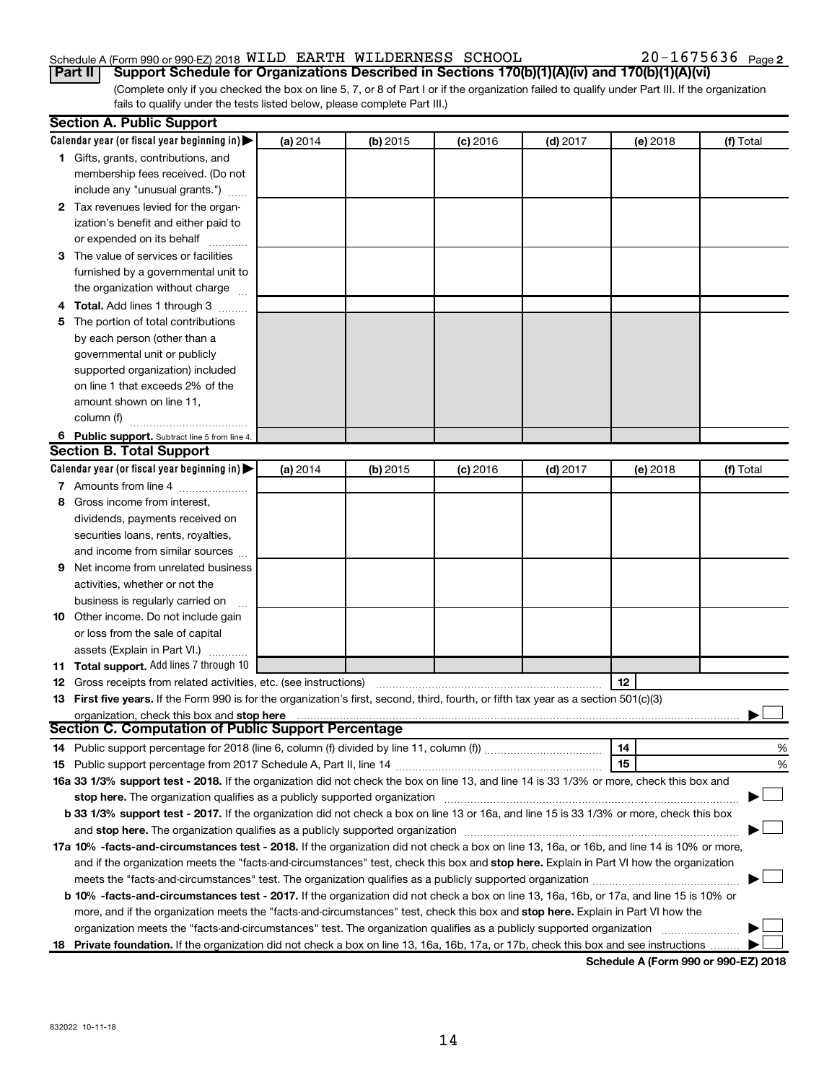## Schedule A (Form 990 or 990-EZ) 2018  $\verb|WILD ERNESS|$  SCHOOL  $20-1675636$  Page

(Complete only if you checked the box on line 5, 7, or 8 of Part I or if the organization failed to qualify under Part III. If the organization fails to qualify under the tests listed below, please complete Part III.) **Part II Support Schedule for Organizations Described in Sections 170(b)(1)(A)(iv) and 170(b)(1)(A)(vi)**

|   | <b>Section A. Public Support</b>                                                                                                                                                                                               |          |            |            |            |          |           |
|---|--------------------------------------------------------------------------------------------------------------------------------------------------------------------------------------------------------------------------------|----------|------------|------------|------------|----------|-----------|
|   | Calendar year (or fiscal year beginning in)                                                                                                                                                                                    | (a) 2014 | $(b)$ 2015 | $(c)$ 2016 | $(d)$ 2017 | (e) 2018 | (f) Total |
|   | 1 Gifts, grants, contributions, and                                                                                                                                                                                            |          |            |            |            |          |           |
|   | membership fees received. (Do not                                                                                                                                                                                              |          |            |            |            |          |           |
|   | include any "unusual grants.")                                                                                                                                                                                                 |          |            |            |            |          |           |
|   | 2 Tax revenues levied for the organ-                                                                                                                                                                                           |          |            |            |            |          |           |
|   | ization's benefit and either paid to                                                                                                                                                                                           |          |            |            |            |          |           |
|   | or expended on its behalf                                                                                                                                                                                                      |          |            |            |            |          |           |
|   | 3 The value of services or facilities                                                                                                                                                                                          |          |            |            |            |          |           |
|   | furnished by a governmental unit to                                                                                                                                                                                            |          |            |            |            |          |           |
|   | the organization without charge                                                                                                                                                                                                |          |            |            |            |          |           |
|   | 4 Total. Add lines 1 through 3                                                                                                                                                                                                 |          |            |            |            |          |           |
|   | 5 The portion of total contributions                                                                                                                                                                                           |          |            |            |            |          |           |
|   | by each person (other than a                                                                                                                                                                                                   |          |            |            |            |          |           |
|   | governmental unit or publicly                                                                                                                                                                                                  |          |            |            |            |          |           |
|   | supported organization) included                                                                                                                                                                                               |          |            |            |            |          |           |
|   | on line 1 that exceeds 2% of the                                                                                                                                                                                               |          |            |            |            |          |           |
|   | amount shown on line 11,                                                                                                                                                                                                       |          |            |            |            |          |           |
|   | column (f)                                                                                                                                                                                                                     |          |            |            |            |          |           |
|   | 6 Public support. Subtract line 5 from line 4.                                                                                                                                                                                 |          |            |            |            |          |           |
|   | <b>Section B. Total Support</b>                                                                                                                                                                                                |          |            |            |            |          |           |
|   | Calendar year (or fiscal year beginning in)                                                                                                                                                                                    | (a) 2014 | $(b)$ 2015 | $(c)$ 2016 | $(d)$ 2017 | (e) 2018 | (f) Total |
|   | 7 Amounts from line 4                                                                                                                                                                                                          |          |            |            |            |          |           |
| 8 | Gross income from interest,                                                                                                                                                                                                    |          |            |            |            |          |           |
|   | dividends, payments received on                                                                                                                                                                                                |          |            |            |            |          |           |
|   | securities loans, rents, royalties,                                                                                                                                                                                            |          |            |            |            |          |           |
|   | and income from similar sources                                                                                                                                                                                                |          |            |            |            |          |           |
| 9 | Net income from unrelated business                                                                                                                                                                                             |          |            |            |            |          |           |
|   | activities, whether or not the                                                                                                                                                                                                 |          |            |            |            |          |           |
|   | business is regularly carried on                                                                                                                                                                                               |          |            |            |            |          |           |
|   | 10 Other income. Do not include gain                                                                                                                                                                                           |          |            |            |            |          |           |
|   | or loss from the sale of capital                                                                                                                                                                                               |          |            |            |            |          |           |
|   | assets (Explain in Part VI.)                                                                                                                                                                                                   |          |            |            |            |          |           |
|   | 11 Total support. Add lines 7 through 10                                                                                                                                                                                       |          |            |            |            |          |           |
|   | <b>12</b> Gross receipts from related activities, etc. (see instructions)                                                                                                                                                      |          |            |            |            | 12       |           |
|   | 13 First five years. If the Form 990 is for the organization's first, second, third, fourth, or fifth tax year as a section 501(c)(3)                                                                                          |          |            |            |            |          |           |
|   | organization, check this box and stop here                                                                                                                                                                                     |          |            |            |            |          |           |
|   | <b>Section C. Computation of Public Support Percentage</b>                                                                                                                                                                     |          |            |            |            |          |           |
|   |                                                                                                                                                                                                                                |          |            |            |            | 14       | %         |
|   |                                                                                                                                                                                                                                |          |            |            |            | 15       | %         |
|   | 16a 33 1/3% support test - 2018. If the organization did not check the box on line 13, and line 14 is 33 1/3% or more, check this box and                                                                                      |          |            |            |            |          |           |
|   | stop here. The organization qualifies as a publicly supported organization manufaction manufacture or the organization manufacture or the organization manufacture or the organization manufacture or the state of the state o |          |            |            |            |          |           |
|   | b 33 1/3% support test - 2017. If the organization did not check a box on line 13 or 16a, and line 15 is 33 1/3% or more, check this box                                                                                       |          |            |            |            |          |           |
|   |                                                                                                                                                                                                                                |          |            |            |            |          |           |
|   | 17a 10% -facts-and-circumstances test - 2018. If the organization did not check a box on line 13, 16a, or 16b, and line 14 is 10% or more,                                                                                     |          |            |            |            |          |           |
|   | and if the organization meets the "facts-and-circumstances" test, check this box and stop here. Explain in Part VI how the organization                                                                                        |          |            |            |            |          |           |
|   |                                                                                                                                                                                                                                |          |            |            |            |          |           |
|   | b 10% -facts-and-circumstances test - 2017. If the organization did not check a box on line 13, 16a, 16b, or 17a, and line 15 is 10% or                                                                                        |          |            |            |            |          |           |
|   | more, and if the organization meets the "facts-and-circumstances" test, check this box and stop here. Explain in Part VI how the                                                                                               |          |            |            |            |          |           |
|   | organization meets the "facts-and-circumstances" test. The organization qualifies as a publicly supported organization                                                                                                         |          |            |            |            |          |           |
|   | 18 Private foundation. If the organization did not check a box on line 13, 16a, 16b, 17a, or 17b, check this box and see instructions                                                                                          |          |            |            |            |          |           |
|   |                                                                                                                                                                                                                                |          |            |            |            |          |           |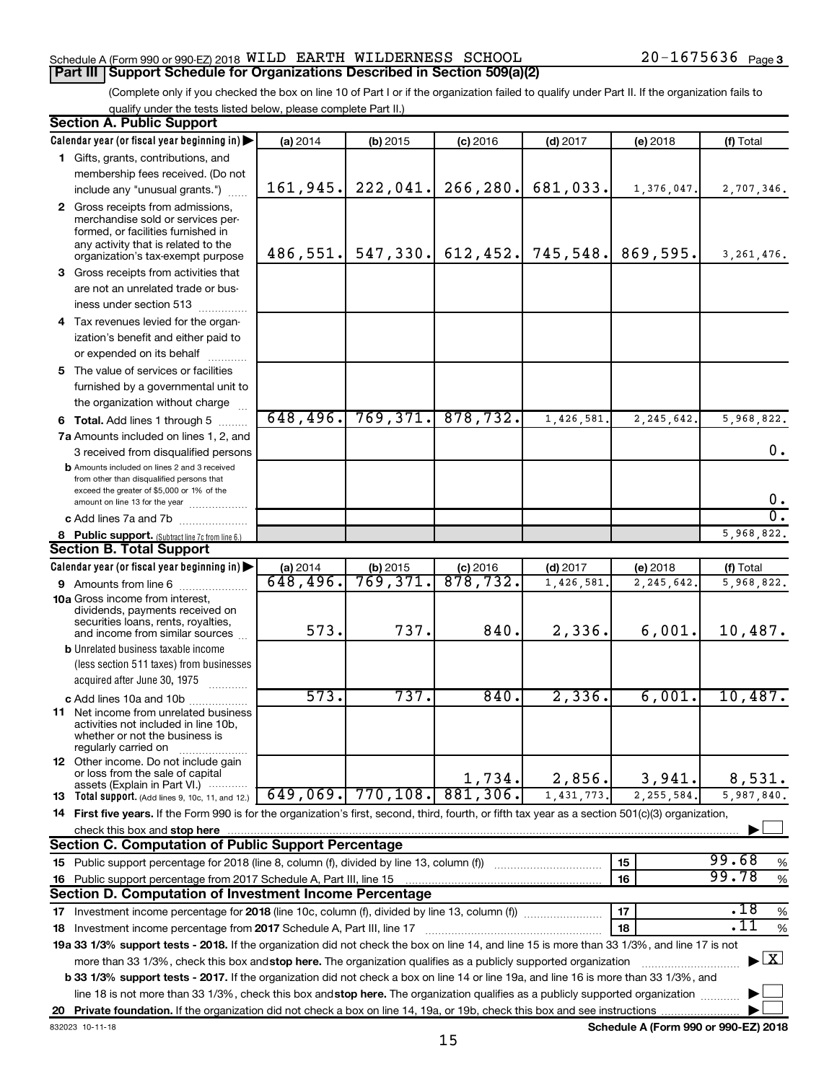#### Schedule A (Form 990 or 990-EZ) 2018  $\verb|WILD ERNESS|$  SCHOOL  $20-1675636$  Page **Part III Support Schedule for Organizations Described in Section 509(a)(2)**

(Complete only if you checked the box on line 10 of Part I or if the organization failed to qualify under Part II. If the organization fails to qualify under the tests listed below, please complete Part II.)

| <b>Section A. Public Support</b>                                                                                                                    |          |           |                   |            |             |                                    |
|-----------------------------------------------------------------------------------------------------------------------------------------------------|----------|-----------|-------------------|------------|-------------|------------------------------------|
| Calendar year (or fiscal year beginning in)                                                                                                         | (a) 2014 | (b) 2015  | $(c)$ 2016        | $(d)$ 2017 | $(e)$ 2018  | (f) Total                          |
| 1 Gifts, grants, contributions, and                                                                                                                 |          |           |                   |            |             |                                    |
| membership fees received. (Do not                                                                                                                   |          |           |                   |            |             |                                    |
| include any "unusual grants.")                                                                                                                      | 161,945. | 222,041.  | 266, 280.         | 681,033.   | 1,376,047.  | 2,707,346.                         |
| 2 Gross receipts from admissions,                                                                                                                   |          |           |                   |            |             |                                    |
| merchandise sold or services per-                                                                                                                   |          |           |                   |            |             |                                    |
| formed, or facilities furnished in<br>any activity that is related to the                                                                           |          |           |                   |            |             |                                    |
| organization's tax-exempt purpose                                                                                                                   | 486,551. | 547, 330. | 612, 452.         | 745,548.   | 869,595.    | 3, 261, 476.                       |
| 3 Gross receipts from activities that                                                                                                               |          |           |                   |            |             |                                    |
| are not an unrelated trade or bus-                                                                                                                  |          |           |                   |            |             |                                    |
| iness under section 513                                                                                                                             |          |           |                   |            |             |                                    |
| 4 Tax revenues levied for the organ-                                                                                                                |          |           |                   |            |             |                                    |
| ization's benefit and either paid to                                                                                                                |          |           |                   |            |             |                                    |
| or expended on its behalf                                                                                                                           |          |           |                   |            |             |                                    |
| 5 The value of services or facilities                                                                                                               |          |           |                   |            |             |                                    |
| furnished by a governmental unit to                                                                                                                 |          |           |                   |            |             |                                    |
| the organization without charge                                                                                                                     |          |           |                   |            |             |                                    |
| <b>6 Total.</b> Add lines 1 through 5                                                                                                               | 648,496. | 769, 371. | 878,732.          | 1,426,581  | 2,245,642   | 5,968,822.                         |
| 7a Amounts included on lines 1, 2, and                                                                                                              |          |           |                   |            |             |                                    |
| 3 received from disqualified persons                                                                                                                |          |           |                   |            |             | 0.                                 |
| <b>b</b> Amounts included on lines 2 and 3 received                                                                                                 |          |           |                   |            |             |                                    |
| from other than disqualified persons that                                                                                                           |          |           |                   |            |             |                                    |
| exceed the greater of \$5,000 or 1% of the<br>amount on line 13 for the year                                                                        |          |           |                   |            |             | 0.                                 |
| c Add lines 7a and 7b                                                                                                                               |          |           |                   |            |             | σ.                                 |
| 8 Public support. (Subtract line 7c from line 6.)                                                                                                   |          |           |                   |            |             | 5,968,822.                         |
| <b>Section B. Total Support</b>                                                                                                                     |          |           |                   |            |             |                                    |
| Calendar year (or fiscal year beginning in)                                                                                                         | (a) 2014 | (b) 2015  | $(c)$ 2016        | $(d)$ 2017 | (e) 2018    | (f) Total                          |
| 9 Amounts from line 6                                                                                                                               | 648,496. | 769,371.  | $\frac{878}{732}$ | 1,426,581  | 2, 245, 642 | 5,968,822.                         |
| <b>10a</b> Gross income from interest,                                                                                                              |          |           |                   |            |             |                                    |
| dividends, payments received on                                                                                                                     |          |           |                   |            |             |                                    |
| securities loans, rents, royalties,<br>and income from similar sources                                                                              | 573.     | 737.      | 840.              | 2,336.     | 6,001.      | 10,487.                            |
| <b>b</b> Unrelated business taxable income                                                                                                          |          |           |                   |            |             |                                    |
| (less section 511 taxes) from businesses                                                                                                            |          |           |                   |            |             |                                    |
| acquired after June 30, 1975                                                                                                                        |          |           |                   |            |             |                                    |
| c Add lines 10a and 10b                                                                                                                             | 573.     | 737.      | 840.              | 2,336.     | 6,001.      | 10,487.                            |
| <b>11</b> Net income from unrelated business                                                                                                        |          |           |                   |            |             |                                    |
| activities not included in line 10b,                                                                                                                |          |           |                   |            |             |                                    |
| whether or not the business is<br>regularly carried on                                                                                              |          |           |                   |            |             |                                    |
| 12 Other income. Do not include gain                                                                                                                |          |           |                   |            |             |                                    |
| or loss from the sale of capital                                                                                                                    |          |           | 1,734.            | 2,856.     | 3,941.      | 8,531.                             |
| assets (Explain in Part VI.)<br><b>13</b> Total support. (Add lines 9, 10c, 11, and 12.)                                                            | 649,069. | 770, 108. | 881,306.          | 1,431,773. | 2, 255, 584 | 5,987,840.                         |
|                                                                                                                                                     |          |           |                   |            |             |                                    |
| 14 First five years. If the Form 990 is for the organization's first, second, third, fourth, or fifth tax year as a section 501(c)(3) organization, |          |           |                   |            |             |                                    |
| check this box and stop here<br>Section C. Computation of Public Support Percentage                                                                 |          |           |                   |            |             |                                    |
|                                                                                                                                                     |          |           |                   |            | 15          | 99.68                              |
| 15 Public support percentage for 2018 (line 8, column (f), divided by line 13, column (f))                                                          |          |           |                   |            | 16          | %<br>99.78<br>$\%$                 |
| 16 Public support percentage from 2017 Schedule A, Part III, line 15<br>Section D. Computation of Investment Income Percentage                      |          |           |                   |            |             |                                    |
|                                                                                                                                                     |          |           |                   |            | 17          | .18                                |
| 17 Investment income percentage for 2018 (line 10c, column (f), divided by line 13, column (f))                                                     |          |           |                   |            |             | $\%$<br>$\overline{.11}$           |
| 18 Investment income percentage from 2017 Schedule A, Part III, line 17                                                                             |          |           |                   |            | 18          | $\%$                               |
| 19a 33 1/3% support tests - 2018. If the organization did not check the box on line 14, and line 15 is more than 33 1/3%, and line 17 is not        |          |           |                   |            |             | $\blacktriangleright$ $\mathbf{X}$ |
| more than 33 1/3%, check this box and stop here. The organization qualifies as a publicly supported organization                                    |          |           |                   |            |             |                                    |
| b 33 1/3% support tests - 2017. If the organization did not check a box on line 14 or line 19a, and line 16 is more than 33 1/3%, and               |          |           |                   |            |             |                                    |
| line 18 is not more than 33 1/3%, check this box and stop here. The organization qualifies as a publicly supported organization                     |          |           |                   |            |             |                                    |
|                                                                                                                                                     |          |           |                   |            |             |                                    |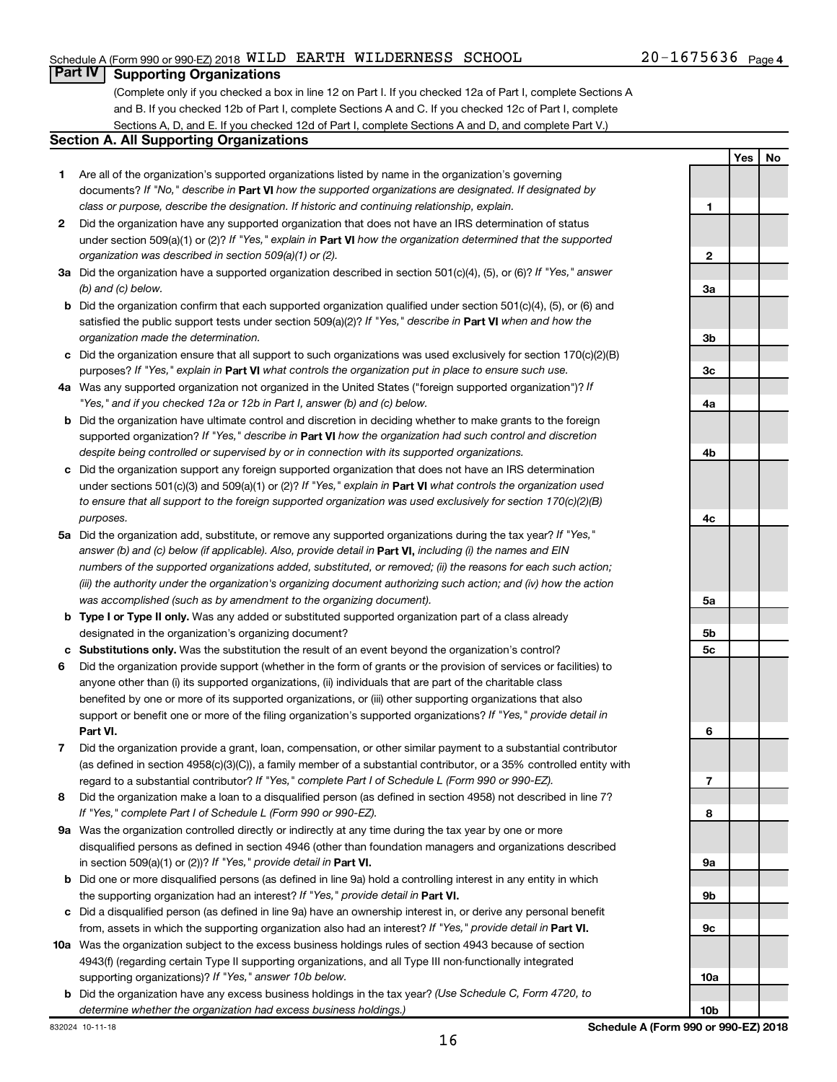**Yes No**

# **Part IV Supporting Organizations**

(Complete only if you checked a box in line 12 on Part I. If you checked 12a of Part I, complete Sections A and B. If you checked 12b of Part I, complete Sections A and C. If you checked 12c of Part I, complete Sections A, D, and E. If you checked 12d of Part I, complete Sections A and D, and complete Part V.)

#### **Section A. All Supporting Organizations**

- **1** Are all of the organization's supported organizations listed by name in the organization's governing documents? If "No," describe in Part VI how the supported organizations are designated. If designated by *class or purpose, describe the designation. If historic and continuing relationship, explain.*
- **2** Did the organization have any supported organization that does not have an IRS determination of status under section 509(a)(1) or (2)? If "Yes," explain in Part **VI** how the organization determined that the supported *organization was described in section 509(a)(1) or (2).*
- **3a** Did the organization have a supported organization described in section 501(c)(4), (5), or (6)? If "Yes," answer *(b) and (c) below.*
- **b** Did the organization confirm that each supported organization qualified under section 501(c)(4), (5), or (6) and satisfied the public support tests under section 509(a)(2)? If "Yes," describe in Part VI when and how the *organization made the determination.*
- **c** Did the organization ensure that all support to such organizations was used exclusively for section 170(c)(2)(B) purposes? If "Yes," explain in Part VI what controls the organization put in place to ensure such use.
- **4 a** *If* Was any supported organization not organized in the United States ("foreign supported organization")? *"Yes," and if you checked 12a or 12b in Part I, answer (b) and (c) below.*
- **b** Did the organization have ultimate control and discretion in deciding whether to make grants to the foreign supported organization? If "Yes," describe in Part VI how the organization had such control and discretion *despite being controlled or supervised by or in connection with its supported organizations.*
- **c** Did the organization support any foreign supported organization that does not have an IRS determination under sections 501(c)(3) and 509(a)(1) or (2)? If "Yes," explain in Part VI what controls the organization used *to ensure that all support to the foreign supported organization was used exclusively for section 170(c)(2)(B) purposes.*
- **5a** Did the organization add, substitute, or remove any supported organizations during the tax year? If "Yes," answer (b) and (c) below (if applicable). Also, provide detail in **Part VI,** including (i) the names and EIN *numbers of the supported organizations added, substituted, or removed; (ii) the reasons for each such action; (iii) the authority under the organization's organizing document authorizing such action; and (iv) how the action was accomplished (such as by amendment to the organizing document).*
- **b Type I or Type II only.** Was any added or substituted supported organization part of a class already designated in the organization's organizing document?
- **c Substitutions only.**  Was the substitution the result of an event beyond the organization's control?
- **6** Did the organization provide support (whether in the form of grants or the provision of services or facilities) to **Part VI.** support or benefit one or more of the filing organization's supported organizations? If "Yes," provide detail in anyone other than (i) its supported organizations, (ii) individuals that are part of the charitable class benefited by one or more of its supported organizations, or (iii) other supporting organizations that also
- **7** Did the organization provide a grant, loan, compensation, or other similar payment to a substantial contributor regard to a substantial contributor? If "Yes," complete Part I of Schedule L (Form 990 or 990-EZ). (as defined in section 4958(c)(3)(C)), a family member of a substantial contributor, or a 35% controlled entity with
- **8** Did the organization make a loan to a disqualified person (as defined in section 4958) not described in line 7? *If "Yes," complete Part I of Schedule L (Form 990 or 990-EZ).*
- **9 a** Was the organization controlled directly or indirectly at any time during the tax year by one or more in section 509(a)(1) or (2))? If "Yes," provide detail in **Part VI.** disqualified persons as defined in section 4946 (other than foundation managers and organizations described
- **b** Did one or more disqualified persons (as defined in line 9a) hold a controlling interest in any entity in which the supporting organization had an interest? If "Yes," provide detail in Part VI.
- **c** Did a disqualified person (as defined in line 9a) have an ownership interest in, or derive any personal benefit from, assets in which the supporting organization also had an interest? If "Yes," provide detail in Part VI.
- **10 a** Was the organization subject to the excess business holdings rules of section 4943 because of section supporting organizations)? If "Yes," answer 10b below. 4943(f) (regarding certain Type II supporting organizations, and all Type III non-functionally integrated
	- **b** Did the organization have any excess business holdings in the tax year? (Use Schedule C, Form 4720, to *determine whether the organization had excess business holdings.)*

**1 2 3a 3b 3c 4a 4b 4c 5a 5b 5c 6 7 8 9a 9b 9c 10a**

**10b**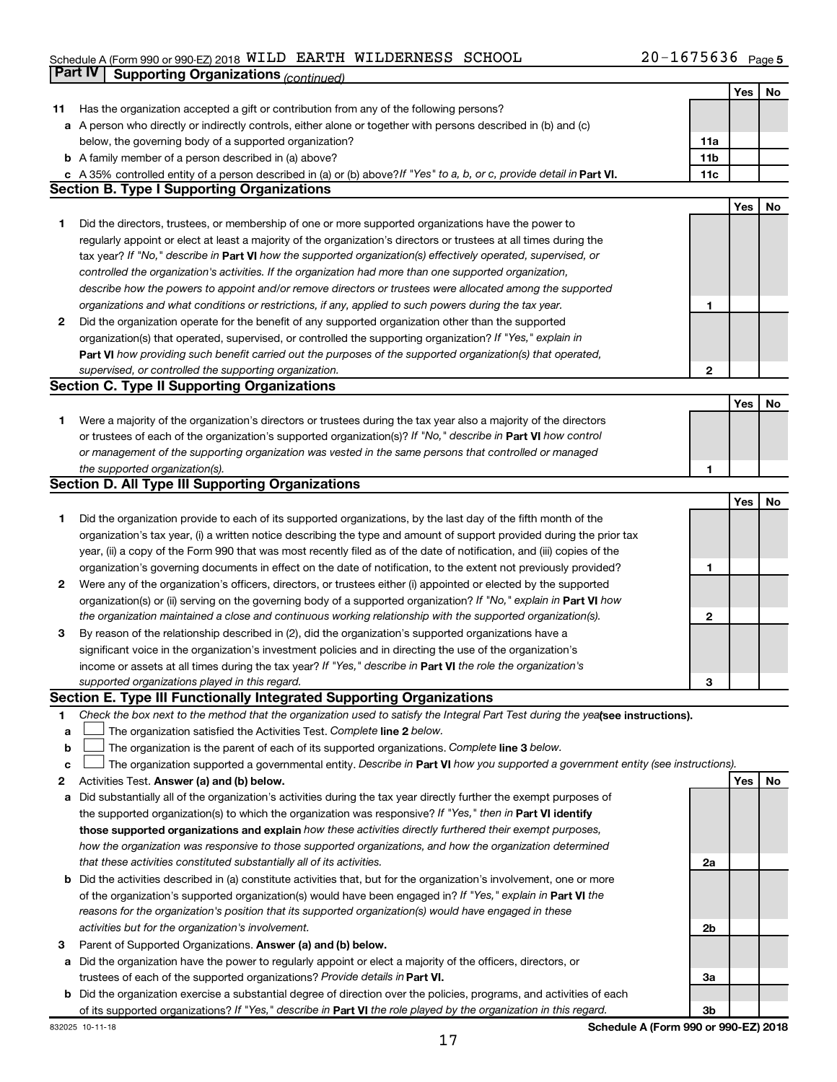# Schedule A (Form 990 or 990-EZ) 2018  $\verb|WILD ERNESS|$  SCHOOL  $20-1675636$  Page **Part IV Supporting Organizations** *(continued)*

|    |                                                                                                                                 |                | Yes | No |
|----|---------------------------------------------------------------------------------------------------------------------------------|----------------|-----|----|
| 11 | Has the organization accepted a gift or contribution from any of the following persons?                                         |                |     |    |
|    | a A person who directly or indirectly controls, either alone or together with persons described in (b) and (c)                  |                |     |    |
|    | below, the governing body of a supported organization?                                                                          | 11a            |     |    |
|    | <b>b</b> A family member of a person described in (a) above?                                                                    | 11b            |     |    |
|    | c A 35% controlled entity of a person described in (a) or (b) above? If "Yes" to a, b, or c, provide detail in Part VI.         | 11c            |     |    |
|    | <b>Section B. Type I Supporting Organizations</b>                                                                               |                |     |    |
|    |                                                                                                                                 |                | Yes | No |
| 1  | Did the directors, trustees, or membership of one or more supported organizations have the power to                             |                |     |    |
|    | regularly appoint or elect at least a majority of the organization's directors or trustees at all times during the              |                |     |    |
|    | tax year? If "No," describe in Part VI how the supported organization(s) effectively operated, supervised, or                   |                |     |    |
|    | controlled the organization's activities. If the organization had more than one supported organization,                         |                |     |    |
|    | describe how the powers to appoint and/or remove directors or trustees were allocated among the supported                       |                |     |    |
|    | organizations and what conditions or restrictions, if any, applied to such powers during the tax year.                          | 1              |     |    |
|    |                                                                                                                                 |                |     |    |
| 2  | Did the organization operate for the benefit of any supported organization other than the supported                             |                |     |    |
|    | organization(s) that operated, supervised, or controlled the supporting organization? If "Yes," explain in                      |                |     |    |
|    | Part VI how providing such benefit carried out the purposes of the supported organization(s) that operated,                     |                |     |    |
|    | supervised, or controlled the supporting organization.                                                                          | $\mathbf{2}$   |     |    |
|    | <b>Section C. Type II Supporting Organizations</b>                                                                              |                |     |    |
|    |                                                                                                                                 |                | Yes | No |
| 1  | Were a majority of the organization's directors or trustees during the tax year also a majority of the directors                |                |     |    |
|    | or trustees of each of the organization's supported organization(s)? If "No," describe in Part VI how control                   |                |     |    |
|    | or management of the supporting organization was vested in the same persons that controlled or managed                          |                |     |    |
|    | the supported organization(s).                                                                                                  | 1              |     |    |
|    | <b>Section D. All Type III Supporting Organizations</b>                                                                         |                |     |    |
|    |                                                                                                                                 |                | Yes | No |
| 1  | Did the organization provide to each of its supported organizations, by the last day of the fifth month of the                  |                |     |    |
|    | organization's tax year, (i) a written notice describing the type and amount of support provided during the prior tax           |                |     |    |
|    | year, (ii) a copy of the Form 990 that was most recently filed as of the date of notification, and (iii) copies of the          |                |     |    |
|    | organization's governing documents in effect on the date of notification, to the extent not previously provided?                | 1              |     |    |
| 2  | Were any of the organization's officers, directors, or trustees either (i) appointed or elected by the supported                |                |     |    |
|    | organization(s) or (ii) serving on the governing body of a supported organization? If "No," explain in Part VI how              |                |     |    |
|    | the organization maintained a close and continuous working relationship with the supported organization(s).                     | 2              |     |    |
| 3  | By reason of the relationship described in (2), did the organization's supported organizations have a                           |                |     |    |
|    | significant voice in the organization's investment policies and in directing the use of the organization's                      |                |     |    |
|    | income or assets at all times during the tax year? If "Yes," describe in Part VI the role the organization's                    |                |     |    |
|    | supported organizations played in this regard.                                                                                  | З              |     |    |
|    | <b>Section E. Type III Functionally Integrated Supporting Organizations</b>                                                     |                |     |    |
| 1  | Check the box next to the method that the organization used to satisfy the Integral Part Test during the yealsee instructions). |                |     |    |
|    | The organization satisfied the Activities Test. Complete line 2 below.                                                          |                |     |    |
| а  |                                                                                                                                 |                |     |    |
| b  | The organization is the parent of each of its supported organizations. Complete line 3 below.                                   |                |     |    |
| с  | The organization supported a governmental entity. Describe in Part VI how you supported a government entity (see instructions). |                |     |    |
| 2  | Activities Test. Answer (a) and (b) below.                                                                                      |                | Yes | No |
| а  | Did substantially all of the organization's activities during the tax year directly further the exempt purposes of              |                |     |    |
|    | the supported organization(s) to which the organization was responsive? If "Yes," then in Part VI identify                      |                |     |    |
|    | those supported organizations and explain how these activities directly furthered their exempt purposes,                        |                |     |    |
|    | how the organization was responsive to those supported organizations, and how the organization determined                       |                |     |    |
|    | that these activities constituted substantially all of its activities.                                                          | 2a             |     |    |
|    | b Did the activities described in (a) constitute activities that, but for the organization's involvement, one or more           |                |     |    |
|    | of the organization's supported organization(s) would have been engaged in? If "Yes," explain in Part VI the                    |                |     |    |
|    | reasons for the organization's position that its supported organization(s) would have engaged in these                          |                |     |    |
|    | activities but for the organization's involvement.                                                                              | 2 <sub>b</sub> |     |    |
| з  | Parent of Supported Organizations. Answer (a) and (b) below.                                                                    |                |     |    |
| а  | Did the organization have the power to regularly appoint or elect a majority of the officers, directors, or                     |                |     |    |
|    | trustees of each of the supported organizations? Provide details in Part VI.                                                    | За             |     |    |
|    | <b>b</b> Did the organization exercise a substantial degree of direction over the policies, programs, and activities of each    |                |     |    |
|    | of its supported organizations? If "Yes," describe in Part VI the role played by the organization in this regard.               | 3b             |     |    |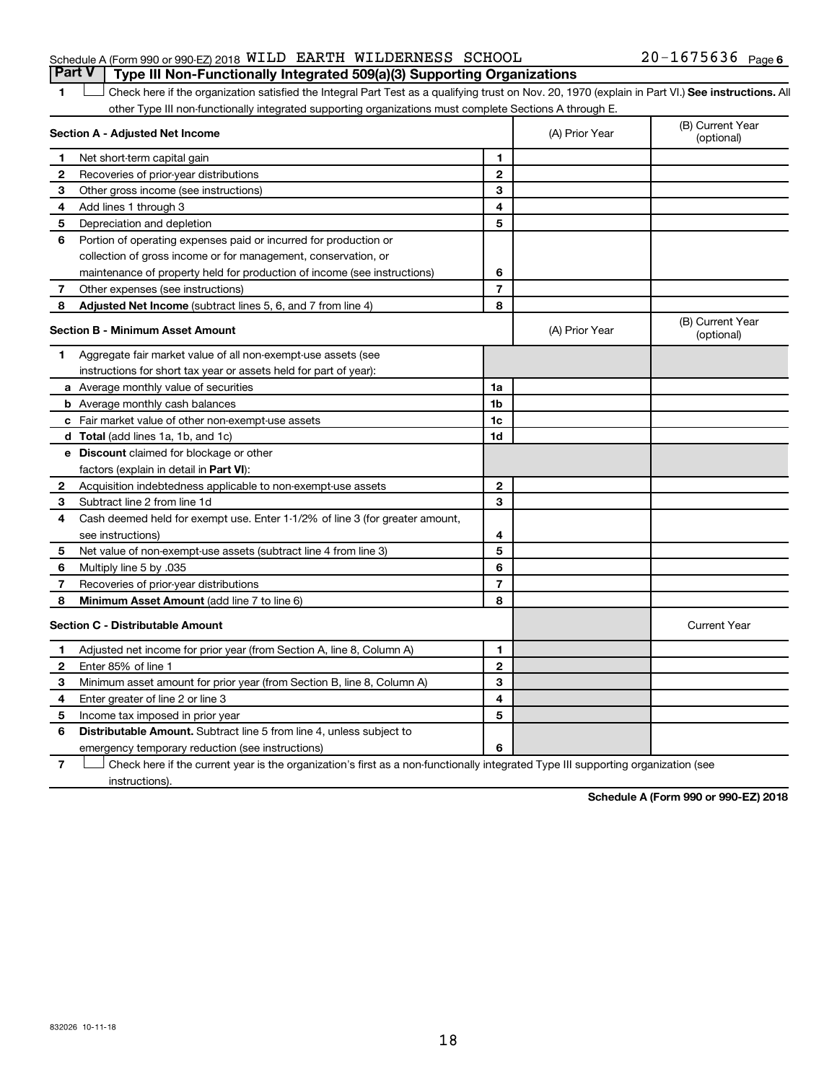### Schedule A (Form 990 or 990-EZ) 2018  $\verb|WILD ERNESS|$  SCHOOL  $20-1675636$  Page **Part V Type III Non-Functionally Integrated 509(a)(3) Supporting Organizations**

### 1 **Letter See instructions.** All Check here if the organization satisfied the Integral Part Test as a qualifying trust on Nov. 20, 1970 (explain in Part VI.) See instructions. All other Type III non-functionally integrated supporting organizations must complete Sections A through E.

|              | Section A - Adjusted Net Income                                              |                          | (A) Prior Year | (B) Current Year<br>(optional) |
|--------------|------------------------------------------------------------------------------|--------------------------|----------------|--------------------------------|
| 1            | Net short-term capital gain                                                  | 1                        |                |                                |
| 2            | Recoveries of prior-year distributions                                       | $\mathbf{2}$             |                |                                |
| З            | Other gross income (see instructions)                                        | 3                        |                |                                |
| 4            | Add lines 1 through 3                                                        | 4                        |                |                                |
| 5            | Depreciation and depletion                                                   | 5                        |                |                                |
| 6            | Portion of operating expenses paid or incurred for production or             |                          |                |                                |
|              | collection of gross income or for management, conservation, or               |                          |                |                                |
|              | maintenance of property held for production of income (see instructions)     | 6                        |                |                                |
| 7            | Other expenses (see instructions)                                            | $\overline{7}$           |                |                                |
| 8            | Adjusted Net Income (subtract lines 5, 6, and 7 from line 4)                 | 8                        |                |                                |
|              | <b>Section B - Minimum Asset Amount</b>                                      |                          | (A) Prior Year | (B) Current Year<br>(optional) |
| 1            | Aggregate fair market value of all non-exempt-use assets (see                |                          |                |                                |
|              | instructions for short tax year or assets held for part of year):            |                          |                |                                |
|              | a Average monthly value of securities                                        | 1a                       |                |                                |
|              | <b>b</b> Average monthly cash balances                                       | 1b                       |                |                                |
|              | <b>c</b> Fair market value of other non-exempt-use assets                    | 1 <sub>c</sub>           |                |                                |
|              | d Total (add lines 1a, 1b, and 1c)                                           | 1d                       |                |                                |
|              | <b>e</b> Discount claimed for blockage or other                              |                          |                |                                |
|              | factors (explain in detail in <b>Part VI</b> ):                              |                          |                |                                |
| 2            | Acquisition indebtedness applicable to non-exempt-use assets                 | $\mathbf{2}$             |                |                                |
| З            | Subtract line 2 from line 1d                                                 | 3                        |                |                                |
| 4            | Cash deemed held for exempt use. Enter 1-1/2% of line 3 (for greater amount, |                          |                |                                |
|              | see instructions)                                                            | 4                        |                |                                |
| 5            | Net value of non-exempt-use assets (subtract line 4 from line 3)             | 5                        |                |                                |
| 6            | Multiply line 5 by .035                                                      | 6                        |                |                                |
| 7            | Recoveries of prior-year distributions                                       | $\overline{\phantom{a}}$ |                |                                |
| 8            | Minimum Asset Amount (add line 7 to line 6)                                  | 8                        |                |                                |
|              | <b>Section C - Distributable Amount</b>                                      |                          |                | <b>Current Year</b>            |
| 1            | Adjusted net income for prior year (from Section A, line 8, Column A)        | 1                        |                |                                |
| $\mathbf{2}$ | Enter 85% of line 1                                                          | $\overline{2}$           |                |                                |
| 3            | Minimum asset amount for prior year (from Section B, line 8, Column A)       | 3                        |                |                                |
| 4            | Enter greater of line 2 or line 3                                            | 4                        |                |                                |
| 5            | Income tax imposed in prior year                                             | 5                        |                |                                |
| 6            | Distributable Amount. Subtract line 5 from line 4, unless subject to         |                          |                |                                |
|              | emergency temporary reduction (see instructions)                             | 6                        |                |                                |
|              |                                                                              |                          |                |                                |

**7** Let Check here if the current year is the organization's first as a non-functionally integrated Type III supporting organization (see instructions).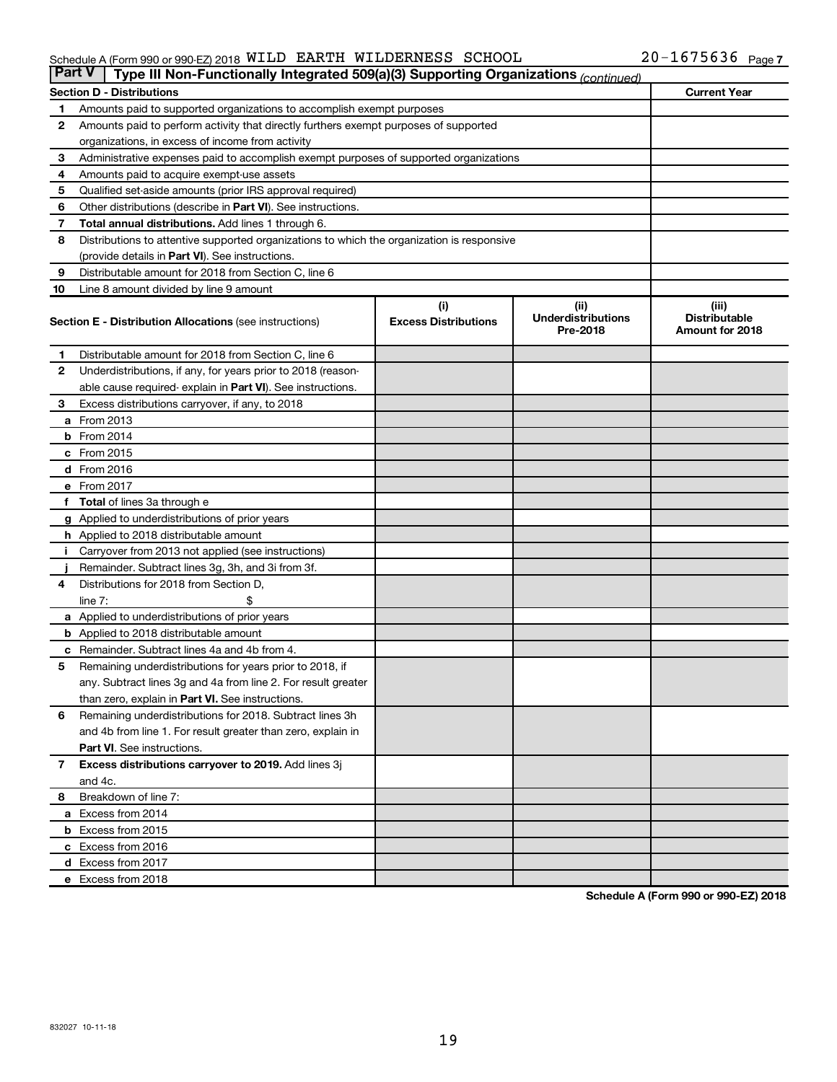#### Schedule A (Form 990 or 990-EZ) 2018 Page WILD EARTH WILDERNESS SCHOOL 20-1675636

| <b>Part V</b><br>Type III Non-Functionally Integrated 509(a)(3) Supporting Organizations (continued) |                                                                                            |                                    |                                               |                                                  |  |  |  |  |
|------------------------------------------------------------------------------------------------------|--------------------------------------------------------------------------------------------|------------------------------------|-----------------------------------------------|--------------------------------------------------|--|--|--|--|
|                                                                                                      | <b>Section D - Distributions</b>                                                           |                                    |                                               | <b>Current Year</b>                              |  |  |  |  |
| 1                                                                                                    | Amounts paid to supported organizations to accomplish exempt purposes                      |                                    |                                               |                                                  |  |  |  |  |
| 2                                                                                                    | Amounts paid to perform activity that directly furthers exempt purposes of supported       |                                    |                                               |                                                  |  |  |  |  |
|                                                                                                      | organizations, in excess of income from activity                                           |                                    |                                               |                                                  |  |  |  |  |
| 3                                                                                                    | Administrative expenses paid to accomplish exempt purposes of supported organizations      |                                    |                                               |                                                  |  |  |  |  |
| 4                                                                                                    | Amounts paid to acquire exempt-use assets                                                  |                                    |                                               |                                                  |  |  |  |  |
| 5                                                                                                    | Qualified set-aside amounts (prior IRS approval required)                                  |                                    |                                               |                                                  |  |  |  |  |
| 6                                                                                                    | Other distributions (describe in Part VI). See instructions.                               |                                    |                                               |                                                  |  |  |  |  |
| 7                                                                                                    | Total annual distributions. Add lines 1 through 6.                                         |                                    |                                               |                                                  |  |  |  |  |
| 8                                                                                                    | Distributions to attentive supported organizations to which the organization is responsive |                                    |                                               |                                                  |  |  |  |  |
|                                                                                                      | (provide details in Part VI). See instructions.                                            |                                    |                                               |                                                  |  |  |  |  |
| 9                                                                                                    | Distributable amount for 2018 from Section C, line 6                                       |                                    |                                               |                                                  |  |  |  |  |
| 10                                                                                                   | Line 8 amount divided by line 9 amount                                                     |                                    |                                               |                                                  |  |  |  |  |
|                                                                                                      | <b>Section E - Distribution Allocations (see instructions)</b>                             | (i)<br><b>Excess Distributions</b> | (ii)<br><b>Underdistributions</b><br>Pre-2018 | (iii)<br><b>Distributable</b><br>Amount for 2018 |  |  |  |  |
| 1.                                                                                                   | Distributable amount for 2018 from Section C, line 6                                       |                                    |                                               |                                                  |  |  |  |  |
| $\mathbf{2}$                                                                                         | Underdistributions, if any, for years prior to 2018 (reason-                               |                                    |                                               |                                                  |  |  |  |  |
|                                                                                                      | able cause required- explain in Part VI). See instructions.                                |                                    |                                               |                                                  |  |  |  |  |
| 3                                                                                                    | Excess distributions carryover, if any, to 2018                                            |                                    |                                               |                                                  |  |  |  |  |
|                                                                                                      | a From 2013                                                                                |                                    |                                               |                                                  |  |  |  |  |
|                                                                                                      | <b>b</b> From 2014                                                                         |                                    |                                               |                                                  |  |  |  |  |
|                                                                                                      | c From 2015                                                                                |                                    |                                               |                                                  |  |  |  |  |
|                                                                                                      | d From 2016                                                                                |                                    |                                               |                                                  |  |  |  |  |
|                                                                                                      | e From 2017                                                                                |                                    |                                               |                                                  |  |  |  |  |
|                                                                                                      | f Total of lines 3a through e                                                              |                                    |                                               |                                                  |  |  |  |  |
|                                                                                                      | <b>g</b> Applied to underdistributions of prior years                                      |                                    |                                               |                                                  |  |  |  |  |
|                                                                                                      | <b>h</b> Applied to 2018 distributable amount                                              |                                    |                                               |                                                  |  |  |  |  |
|                                                                                                      | Carryover from 2013 not applied (see instructions)                                         |                                    |                                               |                                                  |  |  |  |  |
|                                                                                                      | Remainder. Subtract lines 3g, 3h, and 3i from 3f.                                          |                                    |                                               |                                                  |  |  |  |  |
| 4                                                                                                    | Distributions for 2018 from Section D,                                                     |                                    |                                               |                                                  |  |  |  |  |
|                                                                                                      | $line 7$ :                                                                                 |                                    |                                               |                                                  |  |  |  |  |
|                                                                                                      | a Applied to underdistributions of prior years                                             |                                    |                                               |                                                  |  |  |  |  |
|                                                                                                      | <b>b</b> Applied to 2018 distributable amount                                              |                                    |                                               |                                                  |  |  |  |  |
| с                                                                                                    | Remainder. Subtract lines 4a and 4b from 4.                                                |                                    |                                               |                                                  |  |  |  |  |
| 5                                                                                                    | Remaining underdistributions for years prior to 2018, if                                   |                                    |                                               |                                                  |  |  |  |  |
|                                                                                                      | any. Subtract lines 3g and 4a from line 2. For result greater                              |                                    |                                               |                                                  |  |  |  |  |
|                                                                                                      | than zero, explain in Part VI. See instructions.                                           |                                    |                                               |                                                  |  |  |  |  |
| 6                                                                                                    | Remaining underdistributions for 2018. Subtract lines 3h                                   |                                    |                                               |                                                  |  |  |  |  |
|                                                                                                      | and 4b from line 1. For result greater than zero, explain in                               |                                    |                                               |                                                  |  |  |  |  |
|                                                                                                      | <b>Part VI.</b> See instructions.                                                          |                                    |                                               |                                                  |  |  |  |  |
| $\mathbf{7}$                                                                                         | Excess distributions carryover to 2019. Add lines 3j                                       |                                    |                                               |                                                  |  |  |  |  |
|                                                                                                      | and 4c.                                                                                    |                                    |                                               |                                                  |  |  |  |  |
| 8                                                                                                    | Breakdown of line 7:                                                                       |                                    |                                               |                                                  |  |  |  |  |
|                                                                                                      | a Excess from 2014                                                                         |                                    |                                               |                                                  |  |  |  |  |
|                                                                                                      | <b>b</b> Excess from 2015                                                                  |                                    |                                               |                                                  |  |  |  |  |
|                                                                                                      | c Excess from 2016                                                                         |                                    |                                               |                                                  |  |  |  |  |
|                                                                                                      | d Excess from 2017                                                                         |                                    |                                               |                                                  |  |  |  |  |
|                                                                                                      | e Excess from 2018                                                                         |                                    |                                               |                                                  |  |  |  |  |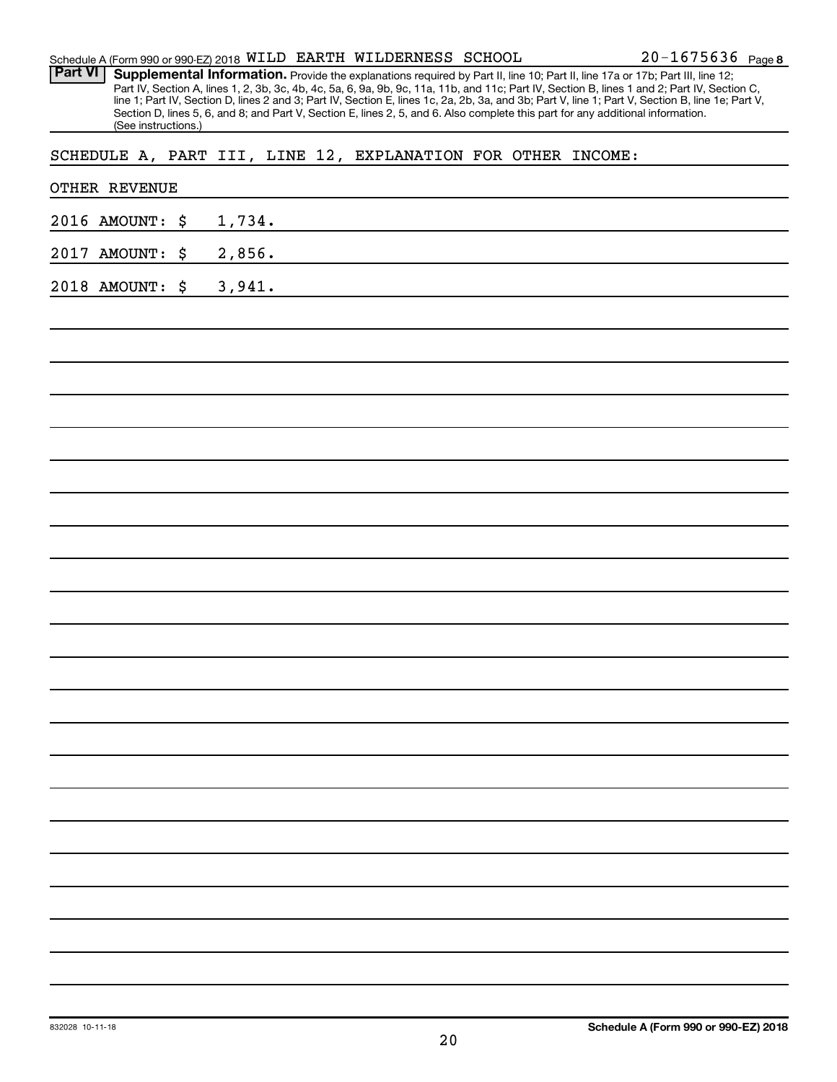| Part VI         | (See instructions.) | Supplemental Information. Provide the explanations required by Part II, line 10; Part II, line 17a or 17b; Part III, line 12;<br>Part IV, Section A, lines 1, 2, 3b, 3c, 4b, 4c, 5a, 6, 9a, 9b, 9c, 11a, 11b, and 11c; Part IV, Section B, lines 1 and 2; Part IV, Section C,<br>line 1; Part IV, Section D, lines 2 and 3; Part IV, Section E, lines 1c, 2a, 2b, 3a, and 3b; Part V, line 1; Part V, Section B, line 1e; Part V,<br>Section D, lines 5, 6, and 8; and Part V, Section E, lines 2, 5, and 6. Also complete this part for any additional information. |  |
|-----------------|---------------------|----------------------------------------------------------------------------------------------------------------------------------------------------------------------------------------------------------------------------------------------------------------------------------------------------------------------------------------------------------------------------------------------------------------------------------------------------------------------------------------------------------------------------------------------------------------------|--|
|                 |                     | SCHEDULE A, PART III, LINE 12, EXPLANATION FOR OTHER INCOME:                                                                                                                                                                                                                                                                                                                                                                                                                                                                                                         |  |
|                 | OTHER REVENUE       |                                                                                                                                                                                                                                                                                                                                                                                                                                                                                                                                                                      |  |
|                 | 2016 AMOUNT:        | \$<br>1,734.                                                                                                                                                                                                                                                                                                                                                                                                                                                                                                                                                         |  |
|                 | 2017 AMOUNT:        | \$<br>2,856.                                                                                                                                                                                                                                                                                                                                                                                                                                                                                                                                                         |  |
|                 | 2018 AMOUNT:        | \$<br>3,941.                                                                                                                                                                                                                                                                                                                                                                                                                                                                                                                                                         |  |
|                 |                     |                                                                                                                                                                                                                                                                                                                                                                                                                                                                                                                                                                      |  |
|                 |                     |                                                                                                                                                                                                                                                                                                                                                                                                                                                                                                                                                                      |  |
|                 |                     |                                                                                                                                                                                                                                                                                                                                                                                                                                                                                                                                                                      |  |
|                 |                     |                                                                                                                                                                                                                                                                                                                                                                                                                                                                                                                                                                      |  |
|                 |                     |                                                                                                                                                                                                                                                                                                                                                                                                                                                                                                                                                                      |  |
|                 |                     |                                                                                                                                                                                                                                                                                                                                                                                                                                                                                                                                                                      |  |
|                 |                     |                                                                                                                                                                                                                                                                                                                                                                                                                                                                                                                                                                      |  |
|                 |                     |                                                                                                                                                                                                                                                                                                                                                                                                                                                                                                                                                                      |  |
|                 |                     |                                                                                                                                                                                                                                                                                                                                                                                                                                                                                                                                                                      |  |
|                 |                     |                                                                                                                                                                                                                                                                                                                                                                                                                                                                                                                                                                      |  |
|                 |                     |                                                                                                                                                                                                                                                                                                                                                                                                                                                                                                                                                                      |  |
|                 |                     |                                                                                                                                                                                                                                                                                                                                                                                                                                                                                                                                                                      |  |
|                 |                     |                                                                                                                                                                                                                                                                                                                                                                                                                                                                                                                                                                      |  |
|                 |                     |                                                                                                                                                                                                                                                                                                                                                                                                                                                                                                                                                                      |  |
|                 |                     |                                                                                                                                                                                                                                                                                                                                                                                                                                                                                                                                                                      |  |
|                 |                     |                                                                                                                                                                                                                                                                                                                                                                                                                                                                                                                                                                      |  |
|                 |                     |                                                                                                                                                                                                                                                                                                                                                                                                                                                                                                                                                                      |  |
|                 |                     |                                                                                                                                                                                                                                                                                                                                                                                                                                                                                                                                                                      |  |
|                 |                     |                                                                                                                                                                                                                                                                                                                                                                                                                                                                                                                                                                      |  |
|                 |                     |                                                                                                                                                                                                                                                                                                                                                                                                                                                                                                                                                                      |  |
|                 |                     |                                                                                                                                                                                                                                                                                                                                                                                                                                                                                                                                                                      |  |
|                 |                     |                                                                                                                                                                                                                                                                                                                                                                                                                                                                                                                                                                      |  |
| 832028 10-11-18 |                     | Schedule A (Form 990 or 990-EZ) 2018<br>20                                                                                                                                                                                                                                                                                                                                                                                                                                                                                                                           |  |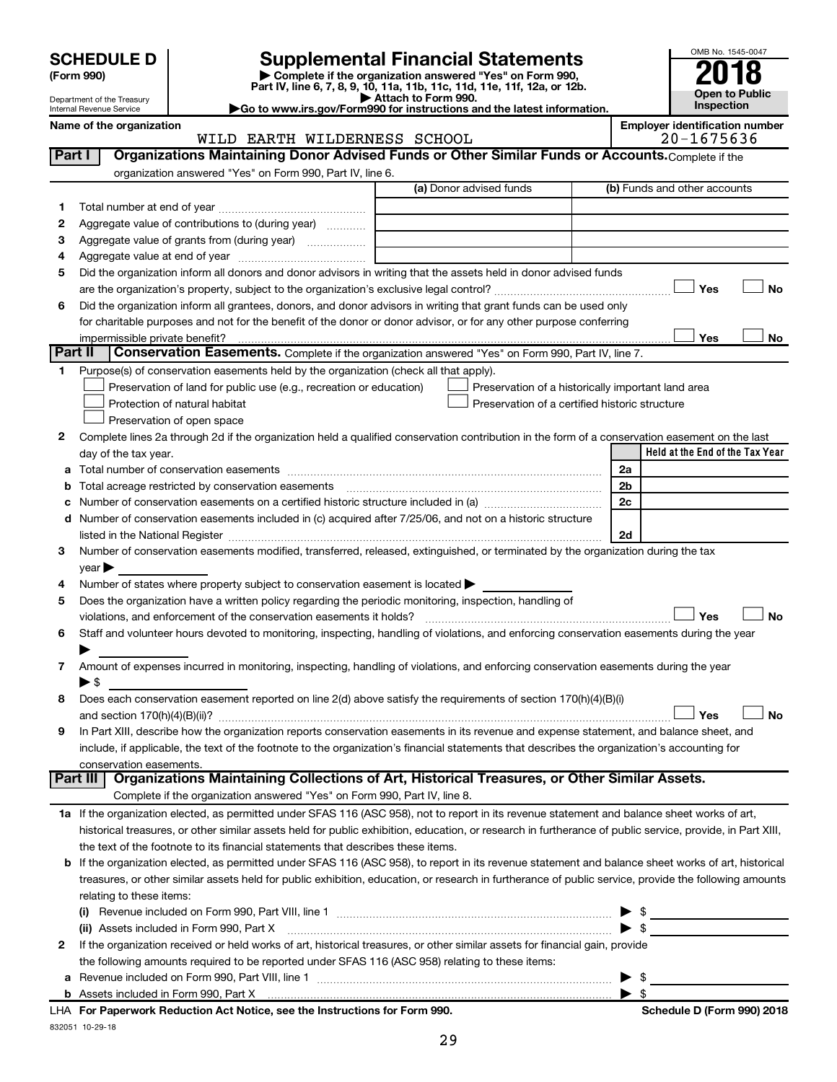| <b>SCHEDULE D</b> |  |  |  |
|-------------------|--|--|--|
|-------------------|--|--|--|

Department of the Treasury Internal Revenue Service

 $\overline{\phantom{a}}$ 

# **SCHEDULE D Supplemental Financial Statements**<br> **Form 990 2018**<br> **Part IV** line 6.7.8.9.10, 11a, 11b, 11d, 11d, 11d, 11d, 11d, 12a, 0r, 12b

**(Form 990) | Complete if the organization answered "Yes" on Form 990, Part IV, line 6, 7, 8, 9, 10, 11a, 11b, 11c, 11d, 11e, 11f, 12a, or 12b.**

**| Attach to Form 990. |Go to www.irs.gov/Form990 for instructions and the latest information.**



#### Name of the organization<br>
WILD EARTH WILDERNESS SCHOOL **EMACH EMACH CONVERSE**<br>
20-1675636 WILD EARTH WILDERNESS SCHOOL

| Part I  | Organizations Maintaining Donor Advised Funds or Other Similar Funds or Accounts. Complete if the                                                          |                         |                                                    |
|---------|------------------------------------------------------------------------------------------------------------------------------------------------------------|-------------------------|----------------------------------------------------|
|         | organization answered "Yes" on Form 990, Part IV, line 6.                                                                                                  | (a) Donor advised funds | (b) Funds and other accounts                       |
| 1       |                                                                                                                                                            |                         |                                                    |
| 2       | Aggregate value of contributions to (during year)                                                                                                          |                         |                                                    |
| З       | Aggregate value of grants from (during year)                                                                                                               |                         |                                                    |
| 4       |                                                                                                                                                            |                         |                                                    |
| 5       | Did the organization inform all donors and donor advisors in writing that the assets held in donor advised funds                                           |                         |                                                    |
|         |                                                                                                                                                            |                         | Yes<br>No                                          |
| 6       | Did the organization inform all grantees, donors, and donor advisors in writing that grant funds can be used only                                          |                         |                                                    |
|         | for charitable purposes and not for the benefit of the donor or donor advisor, or for any other purpose conferring                                         |                         |                                                    |
|         |                                                                                                                                                            |                         | Yes<br>No                                          |
| Part II | Conservation Easements. Complete if the organization answered "Yes" on Form 990, Part IV, line 7.                                                          |                         |                                                    |
| 1       | Purpose(s) of conservation easements held by the organization (check all that apply).                                                                      |                         |                                                    |
|         | Preservation of land for public use (e.g., recreation or education)                                                                                        |                         | Preservation of a historically important land area |
|         | Protection of natural habitat                                                                                                                              |                         | Preservation of a certified historic structure     |
|         | Preservation of open space                                                                                                                                 |                         |                                                    |
| 2       | Complete lines 2a through 2d if the organization held a qualified conservation contribution in the form of a conservation easement on the last             |                         |                                                    |
|         | day of the tax year.                                                                                                                                       |                         | Held at the End of the Tax Year                    |
| а       |                                                                                                                                                            |                         | 2a                                                 |
|         |                                                                                                                                                            |                         | 2 <sub>b</sub>                                     |
|         |                                                                                                                                                            |                         | 2c                                                 |
| d       | Number of conservation easements included in (c) acquired after 7/25/06, and not on a historic structure                                                   |                         |                                                    |
|         |                                                                                                                                                            |                         | 2d                                                 |
| 3       | Number of conservation easements modified, transferred, released, extinguished, or terminated by the organization during the tax                           |                         |                                                    |
|         | year                                                                                                                                                       |                         |                                                    |
| 4       | Number of states where property subject to conservation easement is located >                                                                              |                         |                                                    |
| 5       | Does the organization have a written policy regarding the periodic monitoring, inspection, handling of                                                     |                         |                                                    |
|         | violations, and enforcement of the conservation easements it holds?                                                                                        |                         | Yes<br>No                                          |
| 6       | Staff and volunteer hours devoted to monitoring, inspecting, handling of violations, and enforcing conservation easements during the year                  |                         |                                                    |
|         |                                                                                                                                                            |                         |                                                    |
| 7       | Amount of expenses incurred in monitoring, inspecting, handling of violations, and enforcing conservation easements during the year                        |                         |                                                    |
| 8       | ► \$<br>Does each conservation easement reported on line 2(d) above satisfy the requirements of section 170(h)(4)(B)(i)                                    |                         |                                                    |
|         |                                                                                                                                                            |                         | Yes<br><b>No</b>                                   |
| 9       | In Part XIII, describe how the organization reports conservation easements in its revenue and expense statement, and balance sheet, and                    |                         |                                                    |
|         | include, if applicable, the text of the footnote to the organization's financial statements that describes the organization's accounting for               |                         |                                                    |
|         | conservation easements.                                                                                                                                    |                         |                                                    |
|         | Organizations Maintaining Collections of Art, Historical Treasures, or Other Similar Assets.<br>Part III                                                   |                         |                                                    |
|         | Complete if the organization answered "Yes" on Form 990, Part IV, line 8.                                                                                  |                         |                                                    |
|         | 1a If the organization elected, as permitted under SFAS 116 (ASC 958), not to report in its revenue statement and balance sheet works of art,              |                         |                                                    |
|         | historical treasures, or other similar assets held for public exhibition, education, or research in furtherance of public service, provide, in Part XIII,  |                         |                                                    |
|         | the text of the footnote to its financial statements that describes these items.                                                                           |                         |                                                    |
|         | <b>b</b> If the organization elected, as permitted under SFAS 116 (ASC 958), to report in its revenue statement and balance sheet works of art, historical |                         |                                                    |
|         | treasures, or other similar assets held for public exhibition, education, or research in furtherance of public service, provide the following amounts      |                         |                                                    |
|         | relating to these items:                                                                                                                                   |                         |                                                    |
|         |                                                                                                                                                            |                         | - \$                                               |
|         | (ii) Assets included in Form 990, Part X                                                                                                                   |                         | $\triangleright$ \$                                |
| 2       | If the organization received or held works of art, historical treasures, or other similar assets for financial gain, provide                               |                         |                                                    |
|         | the following amounts required to be reported under SFAS 116 (ASC 958) relating to these items:                                                            |                         |                                                    |
| а       |                                                                                                                                                            |                         | -\$                                                |
|         |                                                                                                                                                            |                         | $\blacktriangleright$ s                            |
|         |                                                                                                                                                            |                         |                                                    |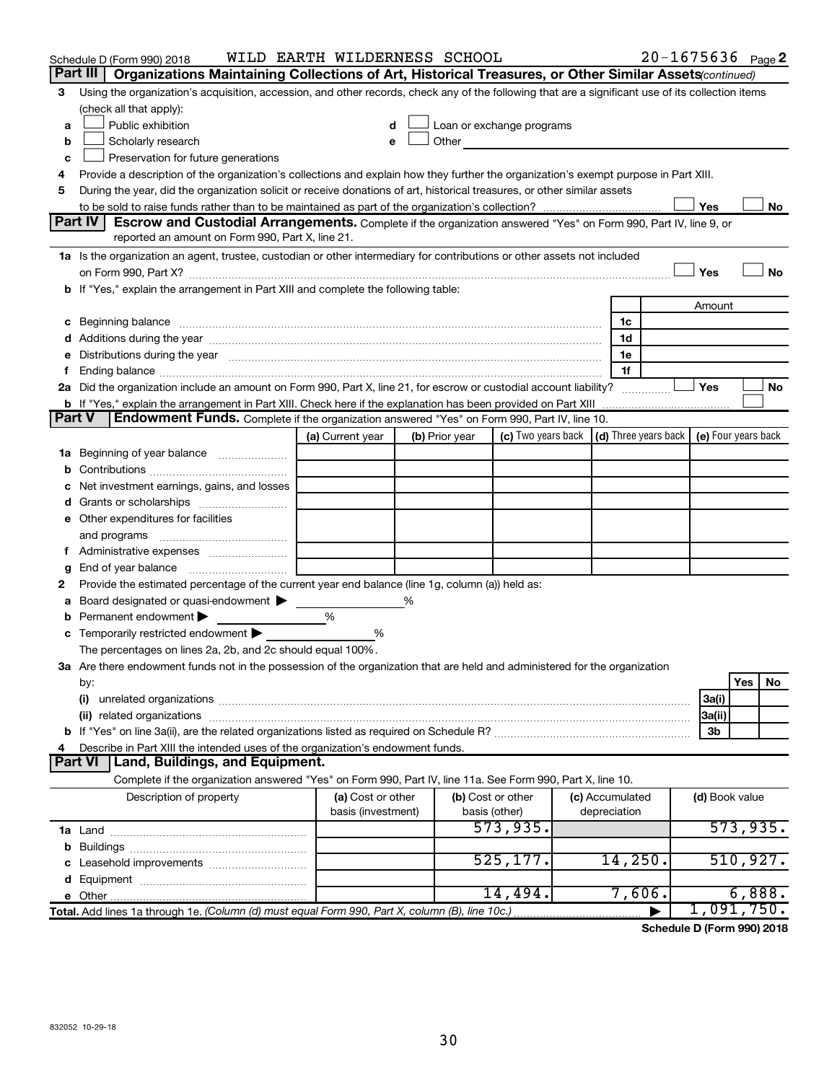|               | Schedule D (Form 990) 2018                                                                                                                                                                                                     | WILD EARTH WILDERNESS SCHOOL |   |                                                                                                                                                                                                                               |           |  |                                                                             |                | $20 - 1675636$ Page 2 |
|---------------|--------------------------------------------------------------------------------------------------------------------------------------------------------------------------------------------------------------------------------|------------------------------|---|-------------------------------------------------------------------------------------------------------------------------------------------------------------------------------------------------------------------------------|-----------|--|-----------------------------------------------------------------------------|----------------|-----------------------|
|               | Part III<br>Organizations Maintaining Collections of Art, Historical Treasures, or Other Similar Assets (continued)                                                                                                            |                              |   |                                                                                                                                                                                                                               |           |  |                                                                             |                |                       |
| 3             | Using the organization's acquisition, accession, and other records, check any of the following that are a significant use of its collection items                                                                              |                              |   |                                                                                                                                                                                                                               |           |  |                                                                             |                |                       |
|               | (check all that apply):                                                                                                                                                                                                        |                              |   |                                                                                                                                                                                                                               |           |  |                                                                             |                |                       |
| a             | Public exhibition                                                                                                                                                                                                              | d                            |   | Loan or exchange programs                                                                                                                                                                                                     |           |  |                                                                             |                |                       |
| b             | Scholarly research                                                                                                                                                                                                             |                              |   | Other and the contract of the contract of the contract of the contract of the contract of the contract of the contract of the contract of the contract of the contract of the contract of the contract of the contract of the |           |  |                                                                             |                |                       |
| с             | Preservation for future generations                                                                                                                                                                                            |                              |   |                                                                                                                                                                                                                               |           |  |                                                                             |                |                       |
| 4             | Provide a description of the organization's collections and explain how they further the organization's exempt purpose in Part XIII.                                                                                           |                              |   |                                                                                                                                                                                                                               |           |  |                                                                             |                |                       |
| 5             | During the year, did the organization solicit or receive donations of art, historical treasures, or other similar assets                                                                                                       |                              |   |                                                                                                                                                                                                                               |           |  |                                                                             |                |                       |
|               |                                                                                                                                                                                                                                |                              |   |                                                                                                                                                                                                                               |           |  |                                                                             | Yes            | No                    |
|               | Part IV I<br><b>Escrow and Custodial Arrangements.</b> Complete if the organization answered "Yes" on Form 990, Part IV, line 9, or<br>reported an amount on Form 990, Part X, line 21.                                        |                              |   |                                                                                                                                                                                                                               |           |  |                                                                             |                |                       |
|               | 1a Is the organization an agent, trustee, custodian or other intermediary for contributions or other assets not included                                                                                                       |                              |   |                                                                                                                                                                                                                               |           |  |                                                                             |                |                       |
|               |                                                                                                                                                                                                                                |                              |   |                                                                                                                                                                                                                               |           |  |                                                                             | Yes            | <b>No</b>             |
|               | b If "Yes," explain the arrangement in Part XIII and complete the following table:                                                                                                                                             |                              |   |                                                                                                                                                                                                                               |           |  |                                                                             |                |                       |
|               |                                                                                                                                                                                                                                |                              |   |                                                                                                                                                                                                                               |           |  |                                                                             | Amount         |                       |
|               |                                                                                                                                                                                                                                |                              |   |                                                                                                                                                                                                                               |           |  | 1c                                                                          |                |                       |
|               |                                                                                                                                                                                                                                |                              |   |                                                                                                                                                                                                                               |           |  | 1d                                                                          |                |                       |
|               | e Distributions during the year measurement contracts and all the product of the set of the set of the set of the set of the set of the set of the set of the set of the set of the set of the set of the set of the set of th |                              |   |                                                                                                                                                                                                                               |           |  | 1e                                                                          |                |                       |
|               |                                                                                                                                                                                                                                |                              |   |                                                                                                                                                                                                                               |           |  | 1f                                                                          |                |                       |
|               | 2a Did the organization include an amount on Form 990, Part X, line 21, for escrow or custodial account liability?                                                                                                             |                              |   |                                                                                                                                                                                                                               |           |  |                                                                             | Yes            | No                    |
|               | <b>b</b> If "Yes," explain the arrangement in Part XIII. Check here if the explanation has been provided on Part XIII                                                                                                          |                              |   |                                                                                                                                                                                                                               |           |  |                                                                             |                |                       |
| <b>Part V</b> | <b>Endowment Funds.</b> Complete if the organization answered "Yes" on Form 990, Part IV, line 10.                                                                                                                             |                              |   |                                                                                                                                                                                                                               |           |  |                                                                             |                |                       |
|               |                                                                                                                                                                                                                                | (a) Current year             |   | (b) Prior year                                                                                                                                                                                                                |           |  | (c) Two years back $\vert$ (d) Three years back $\vert$ (e) Four years back |                |                       |
|               | 1a Beginning of year balance                                                                                                                                                                                                   |                              |   |                                                                                                                                                                                                                               |           |  |                                                                             |                |                       |
| b             |                                                                                                                                                                                                                                |                              |   |                                                                                                                                                                                                                               |           |  |                                                                             |                |                       |
| с             | Net investment earnings, gains, and losses                                                                                                                                                                                     |                              |   |                                                                                                                                                                                                                               |           |  |                                                                             |                |                       |
|               |                                                                                                                                                                                                                                |                              |   |                                                                                                                                                                                                                               |           |  |                                                                             |                |                       |
|               | e Other expenditures for facilities                                                                                                                                                                                            |                              |   |                                                                                                                                                                                                                               |           |  |                                                                             |                |                       |
|               | and programs                                                                                                                                                                                                                   |                              |   |                                                                                                                                                                                                                               |           |  |                                                                             |                |                       |
|               |                                                                                                                                                                                                                                |                              |   |                                                                                                                                                                                                                               |           |  |                                                                             |                |                       |
| g             |                                                                                                                                                                                                                                |                              |   |                                                                                                                                                                                                                               |           |  |                                                                             |                |                       |
| 2             | Provide the estimated percentage of the current year end balance (line 1g, column (a)) held as:                                                                                                                                |                              |   |                                                                                                                                                                                                                               |           |  |                                                                             |                |                       |
| а             | Board designated or quasi-endowment >                                                                                                                                                                                          |                              | % |                                                                                                                                                                                                                               |           |  |                                                                             |                |                       |
| b             | Permanent endowment                                                                                                                                                                                                            | %                            |   |                                                                                                                                                                                                                               |           |  |                                                                             |                |                       |
|               | <b>c</b> Temporarily restricted endowment $\blacktriangleright$                                                                                                                                                                | %                            |   |                                                                                                                                                                                                                               |           |  |                                                                             |                |                       |
|               | The percentages on lines 2a, 2b, and 2c should equal 100%.                                                                                                                                                                     |                              |   |                                                                                                                                                                                                                               |           |  |                                                                             |                |                       |
|               | 3a Are there endowment funds not in the possession of the organization that are held and administered for the organization                                                                                                     |                              |   |                                                                                                                                                                                                                               |           |  |                                                                             |                |                       |
|               | by:                                                                                                                                                                                                                            |                              |   |                                                                                                                                                                                                                               |           |  |                                                                             |                | Yes<br>No             |
|               | (i)                                                                                                                                                                                                                            |                              |   |                                                                                                                                                                                                                               |           |  |                                                                             | 3a(i)          |                       |
|               |                                                                                                                                                                                                                                |                              |   |                                                                                                                                                                                                                               |           |  |                                                                             | 3a(ii)         |                       |
|               |                                                                                                                                                                                                                                |                              |   |                                                                                                                                                                                                                               |           |  |                                                                             | 3b             |                       |
| 4             | Describe in Part XIII the intended uses of the organization's endowment funds.                                                                                                                                                 |                              |   |                                                                                                                                                                                                                               |           |  |                                                                             |                |                       |
|               | Land, Buildings, and Equipment.<br><b>Part VI</b>                                                                                                                                                                              |                              |   |                                                                                                                                                                                                                               |           |  |                                                                             |                |                       |
|               | Complete if the organization answered "Yes" on Form 990, Part IV, line 11a. See Form 990, Part X, line 10.                                                                                                                     |                              |   |                                                                                                                                                                                                                               |           |  |                                                                             |                |                       |
|               | Description of property                                                                                                                                                                                                        | (a) Cost or other            |   | (b) Cost or other                                                                                                                                                                                                             |           |  | (c) Accumulated                                                             | (d) Book value |                       |
|               | basis (investment)<br>depreciation<br>basis (other)                                                                                                                                                                            |                              |   |                                                                                                                                                                                                                               |           |  |                                                                             |                |                       |
|               |                                                                                                                                                                                                                                |                              |   |                                                                                                                                                                                                                               | 573,935.  |  |                                                                             |                | 573,935.              |
|               |                                                                                                                                                                                                                                |                              |   |                                                                                                                                                                                                                               |           |  |                                                                             |                |                       |
|               | c Leasehold improvements                                                                                                                                                                                                       |                              |   |                                                                                                                                                                                                                               | 525, 177. |  | 14,250.                                                                     |                | 510, 927.             |
|               |                                                                                                                                                                                                                                |                              |   |                                                                                                                                                                                                                               |           |  |                                                                             |                |                       |
|               |                                                                                                                                                                                                                                |                              |   |                                                                                                                                                                                                                               | 14,494.   |  | 7,606.                                                                      |                | 6,888.                |
|               | Total. Add lines 1a through 1e. (Column (d) must equal Form 990, Part X, column (B), line 10c.)                                                                                                                                |                              |   |                                                                                                                                                                                                                               |           |  |                                                                             |                | 1,091,750.            |

**Schedule D (Form 990) 2018**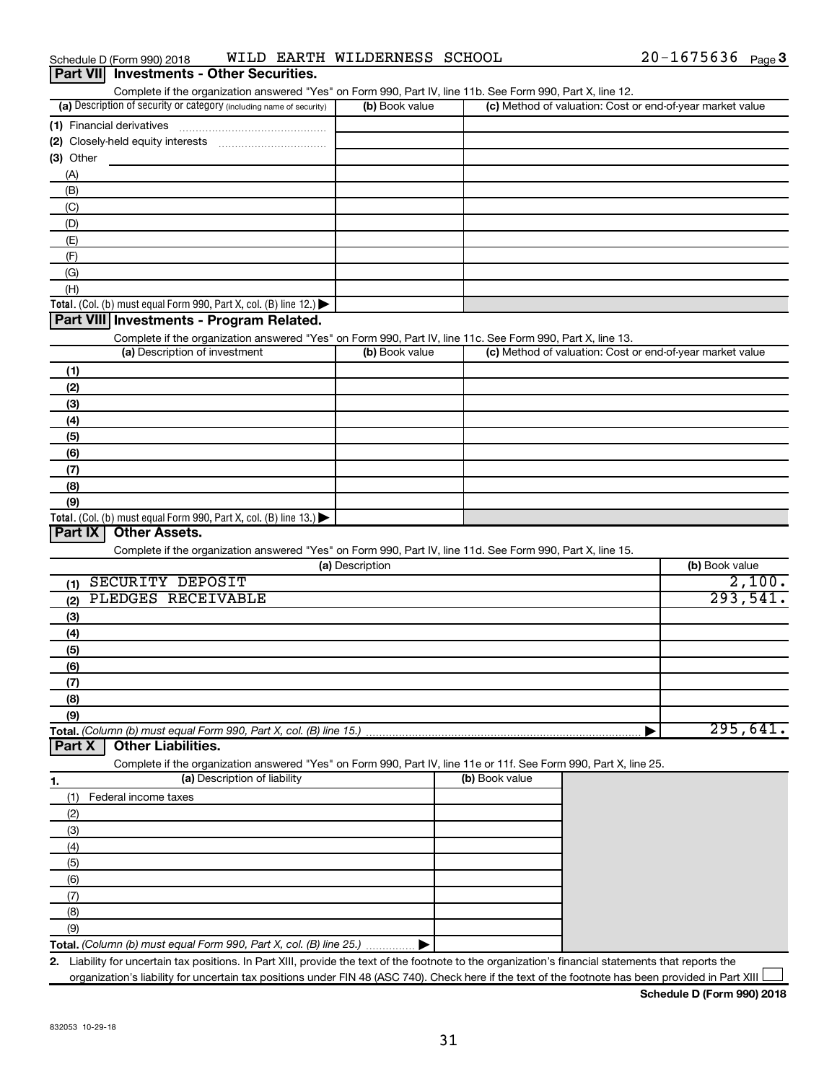|  | Schedule D (Form 990) 2018                      |  | WILD EARTH WILDERNESS SCHOOL | $20 - 1675636$ Page 3 |  |
|--|-------------------------------------------------|--|------------------------------|-----------------------|--|
|  | <b>Part VII</b> Investments - Other Securities. |  |                              |                       |  |

| Complete if the organization answered "Yes" on Form 990, Part IV, line 11b. See Form 990, Part X, line 12. |                |                                                           |  |  |  |  |
|------------------------------------------------------------------------------------------------------------|----------------|-----------------------------------------------------------|--|--|--|--|
| (a) Description of security or category (including name of security)                                       | (b) Book value | (c) Method of valuation: Cost or end-of-year market value |  |  |  |  |
| (1) Financial derivatives                                                                                  |                |                                                           |  |  |  |  |
| (2) Closely-held equity interests                                                                          |                |                                                           |  |  |  |  |
| (3) Other                                                                                                  |                |                                                           |  |  |  |  |
| (A)                                                                                                        |                |                                                           |  |  |  |  |
| (B)                                                                                                        |                |                                                           |  |  |  |  |
| (C)                                                                                                        |                |                                                           |  |  |  |  |
| (D)                                                                                                        |                |                                                           |  |  |  |  |
| (E)                                                                                                        |                |                                                           |  |  |  |  |
| (F)                                                                                                        |                |                                                           |  |  |  |  |
| (G)                                                                                                        |                |                                                           |  |  |  |  |
| (H)                                                                                                        |                |                                                           |  |  |  |  |
| <b>Total.</b> (Col. (b) must equal Form 990, Part X, col. (B) line 12.) $\blacktriangleright$              |                |                                                           |  |  |  |  |
| <b>Dart VIII Investments Dreamen Belgted</b>                                                               |                |                                                           |  |  |  |  |

#### **Part VIII Investments - Program Related.**

Complete if the organization answered "Yes" on Form 990, Part IV, line 11c. See Form 990, Part X, line 13.

| (a) Description of investment                                                           | (b) Book value | (c) Method of valuation: Cost or end-of-year market value |
|-----------------------------------------------------------------------------------------|----------------|-----------------------------------------------------------|
| (1)                                                                                     |                |                                                           |
| (2)                                                                                     |                |                                                           |
| (3)                                                                                     |                |                                                           |
| (4)                                                                                     |                |                                                           |
| (5)                                                                                     |                |                                                           |
| (6)                                                                                     |                |                                                           |
| (7)                                                                                     |                |                                                           |
| (8)                                                                                     |                |                                                           |
| (9)                                                                                     |                |                                                           |
| Total. (Col. (b) must equal Form 990, Part X, col. (B) line $13.$ $\blacktriangleright$ |                |                                                           |

# **Part IX Other Assets.**

Complete if the organization answered "Yes" on Form 990, Part IV, line 11d. See Form 990, Part X, line 15.

| (a) Description           | (b) Book value |
|---------------------------|----------------|
| SECURITY DEPOSIT<br>(1)   | 2,100.         |
| PLEDGES RECEIVABLE<br>(2) | 293,541.       |
| $\left(3\right)$          |                |
| (4)                       |                |
| (5)                       |                |
| (6)                       |                |
| (7)                       |                |
| (8)                       |                |
| (9)                       |                |
|                           | 295,641.       |

#### **Part X Other Liabilities.**

Complete if the organization answered "Yes" on Form 990, Part IV, line 11e or 11f. See Form 990, Part X, line 25.

| -1. | (a) Description of liability                                       | (b) Book value |
|-----|--------------------------------------------------------------------|----------------|
|     | Federal income taxes                                               |                |
| (2) |                                                                    |                |
| (3) |                                                                    |                |
| (4) |                                                                    |                |
| (5) |                                                                    |                |
| (6) |                                                                    |                |
|     |                                                                    |                |
| (8) |                                                                    |                |
| (9) |                                                                    |                |
|     | Total. (Column (b) must equal Form 990, Part X, col. (B) line 25.) |                |

**2.** Liability for uncertain tax positions. In Part XIII, provide the text of the footnote to the organization's financial statements that reports the organization's liability for uncertain tax positions under FIN 48 (ASC 740). Check here if the text of the footnote has been provided in Part XIII  $\Box$ 

**Schedule D (Form 990) 2018**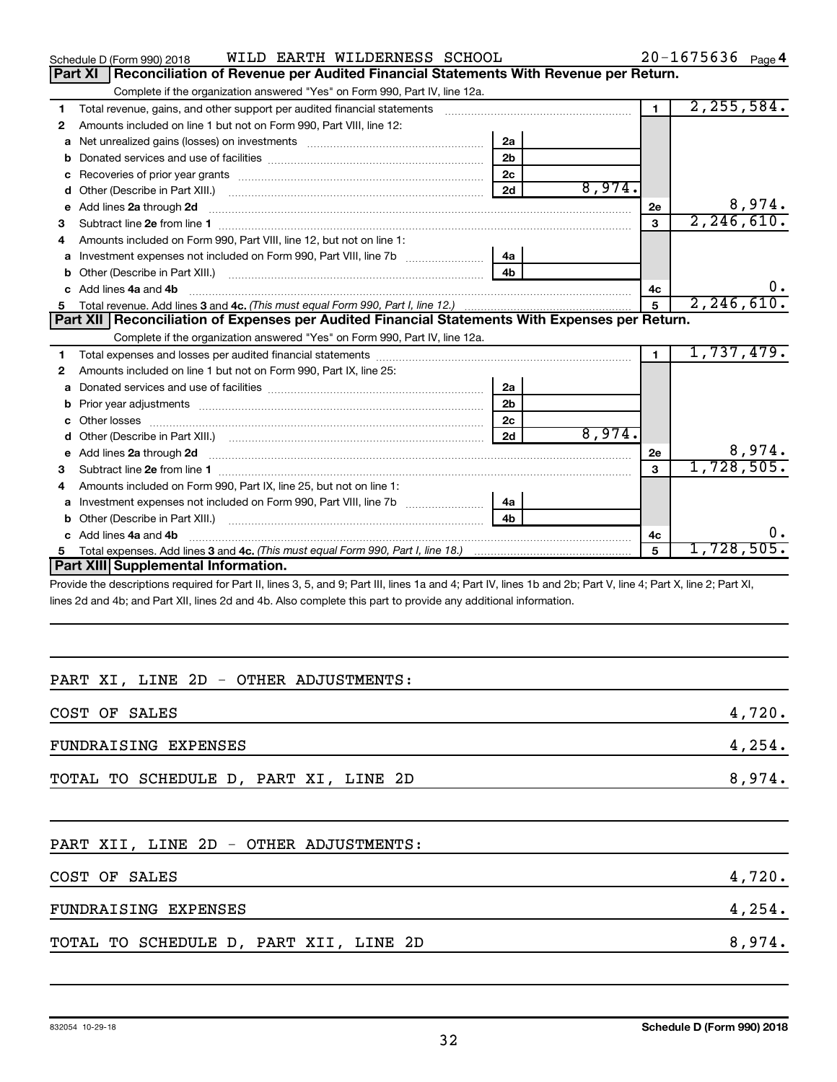|    | WILD EARTH WILDERNESS SCHOOL<br>Schedule D (Form 990) 2018                                                                                                                                                                          |                |        |                | $20 - 1675636$ Page 4 |
|----|-------------------------------------------------------------------------------------------------------------------------------------------------------------------------------------------------------------------------------------|----------------|--------|----------------|-----------------------|
|    | Reconciliation of Revenue per Audited Financial Statements With Revenue per Return.<br>Part XI                                                                                                                                      |                |        |                |                       |
|    | Complete if the organization answered "Yes" on Form 990, Part IV, line 12a.                                                                                                                                                         |                |        |                |                       |
| 1  | Total revenue, gains, and other support per audited financial statements                                                                                                                                                            |                |        | $\blacksquare$ | 2, 255, 584.          |
| 2  | Amounts included on line 1 but not on Form 990, Part VIII, line 12:                                                                                                                                                                 |                |        |                |                       |
| a  |                                                                                                                                                                                                                                     | 2a             |        |                |                       |
| b  |                                                                                                                                                                                                                                     | 2 <sub>b</sub> |        |                |                       |
|    | Recoveries of prior year grants [111] Recoveries of prior year grants [11] Recoveries of prior year grants                                                                                                                          | 2c             |        |                |                       |
| d  |                                                                                                                                                                                                                                     | 2d             | 8,974. |                |                       |
| е  | Add lines 2a through 2d                                                                                                                                                                                                             |                |        | 2e             | 8,974.                |
| 3  |                                                                                                                                                                                                                                     |                |        | 3              | 2, 246, 610.          |
| 4  | Amounts included on Form 990, Part VIII, line 12, but not on line 1:                                                                                                                                                                |                |        |                |                       |
| a  |                                                                                                                                                                                                                                     | 4a             |        |                |                       |
|    |                                                                                                                                                                                                                                     | 4h             |        |                |                       |
|    | Add lines 4a and 4b                                                                                                                                                                                                                 |                |        | 4c             | 0.                    |
| 5  |                                                                                                                                                                                                                                     |                |        |                | 2, 246, 610.          |
|    | Part XII   Reconciliation of Expenses per Audited Financial Statements With Expenses per Return.                                                                                                                                    |                |        |                |                       |
|    | Complete if the organization answered "Yes" on Form 990, Part IV, line 12a.                                                                                                                                                         |                |        |                |                       |
| 1  |                                                                                                                                                                                                                                     |                |        | $\blacksquare$ | 1,737,479.            |
| 2  | Amounts included on line 1 but not on Form 990, Part IX, line 25:                                                                                                                                                                   |                |        |                |                       |
| a  |                                                                                                                                                                                                                                     | 2a             |        |                |                       |
| b  | Prior year adjustments <b>communications</b> and contained a state of the contained and contained a state of the contained and contained a state of the contained and contained a state of the contained and contained a state of t | 2 <sub>b</sub> |        |                |                       |
| C  |                                                                                                                                                                                                                                     | 2c             |        |                |                       |
| d  |                                                                                                                                                                                                                                     | 2d             | 8,974. |                |                       |
| e  | Add lines 2a through 2d <b>manufactures</b> in the contract of the contract of the contract of the contract of the contract of the contract of the contract of the contract of the contract of the contract of the contract of the  |                |        | 2e             | 8,974.                |
| 3  |                                                                                                                                                                                                                                     |                |        | $\mathbf{a}$   | 1,728,505.            |
|    | Amounts included on Form 990, Part IX, line 25, but not on line 1:                                                                                                                                                                  |                |        |                |                       |
| a  | Investment expenses not included on Form 990, Part VIII, line 7b [100] [100] [100] [100] [100] [100] [100] [10                                                                                                                      | 4a             |        |                |                       |
| b  | Other (Describe in Part XIII.) <b>Construction Contract Construction</b> Chemistry Chemistry Chemistry Chemistry Chemistry                                                                                                          | 4 <sub>b</sub> |        |                |                       |
| C. | Add lines 4a and 4b                                                                                                                                                                                                                 |                |        | 4с             | υ.                    |
| 5. |                                                                                                                                                                                                                                     |                |        | 5              | 1,728,505.            |
|    | <b>Part XIII Supplemental Information.</b>                                                                                                                                                                                          |                |        |                |                       |
|    | Dravide the descriptions required for Dart II, lines $9.5$ and $0.0$ Dart III, lines to and $4.0$ Dart IV, lines the and $2b$ , Dart V, line $4.0$ Dart V, line $2.0$ Dart VI.                                                      |                |        |                |                       |

Provide the descriptions required for Part II, lines 3, 5, and 9; Part III, lines 1a and 4; Part IV, lines 1b and 2b; Part V, line 4; Part X, line 2; Part XI, lines 2d and 4b; and Part XII, lines 2d and 4b. Also complete this part to provide any additional information.

# PART XI, LINE 2D - OTHER ADJUSTMENTS:

| COST OF SALES                         | 4,720. |
|---------------------------------------|--------|
| FUNDRAISING EXPENSES                  | 4,254. |
| TOTAL TO SCHEDULE D, PART XI, LINE 2D | 8,974. |

# PART XII, LINE 2D - OTHER ADJUSTMENTS:

| COST OF SALES                          | 4,720. |
|----------------------------------------|--------|
| FUNDRAISING EXPENSES                   | 4,254. |
| TOTAL TO SCHEDULE D, PART XII, LINE 2D | 8,974. |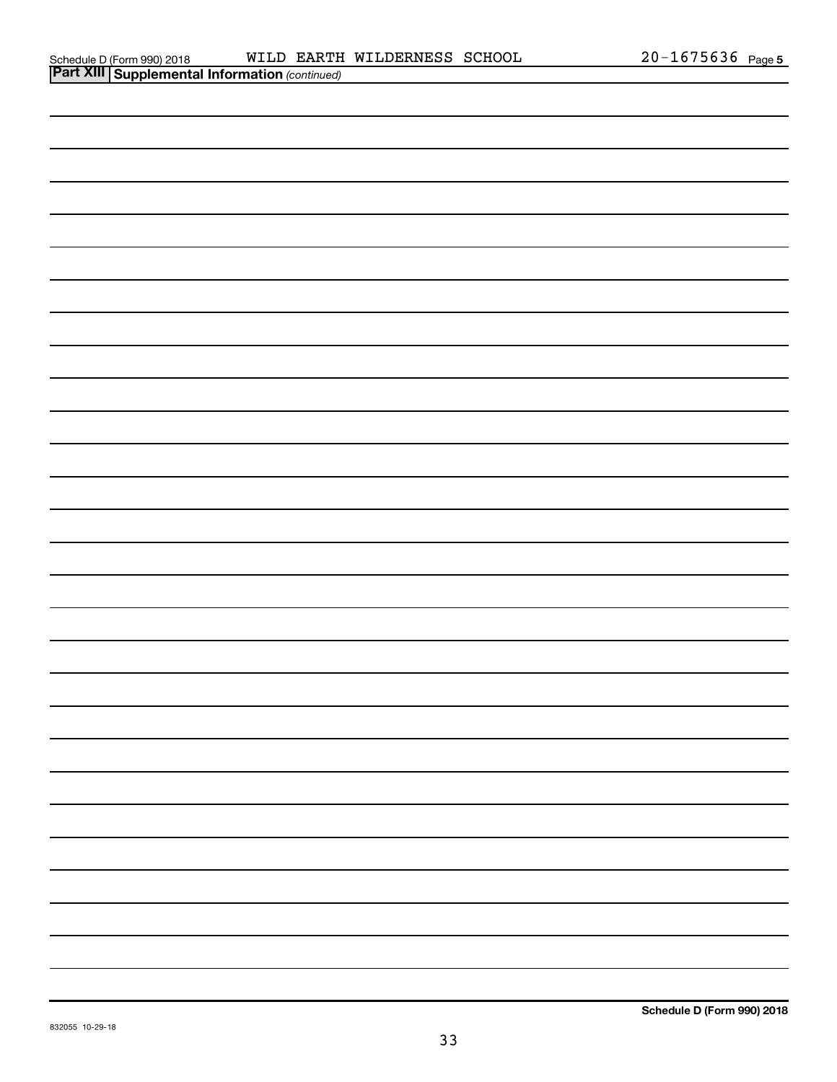| <b>Part XIII   Supplemental Information (continued)</b> |  |
|---------------------------------------------------------|--|
|                                                         |  |
|                                                         |  |
|                                                         |  |
|                                                         |  |
|                                                         |  |
|                                                         |  |
|                                                         |  |
|                                                         |  |
|                                                         |  |
|                                                         |  |
|                                                         |  |
|                                                         |  |
|                                                         |  |
|                                                         |  |
|                                                         |  |
|                                                         |  |
|                                                         |  |
|                                                         |  |
|                                                         |  |
|                                                         |  |
|                                                         |  |
|                                                         |  |
|                                                         |  |
|                                                         |  |
|                                                         |  |
|                                                         |  |
|                                                         |  |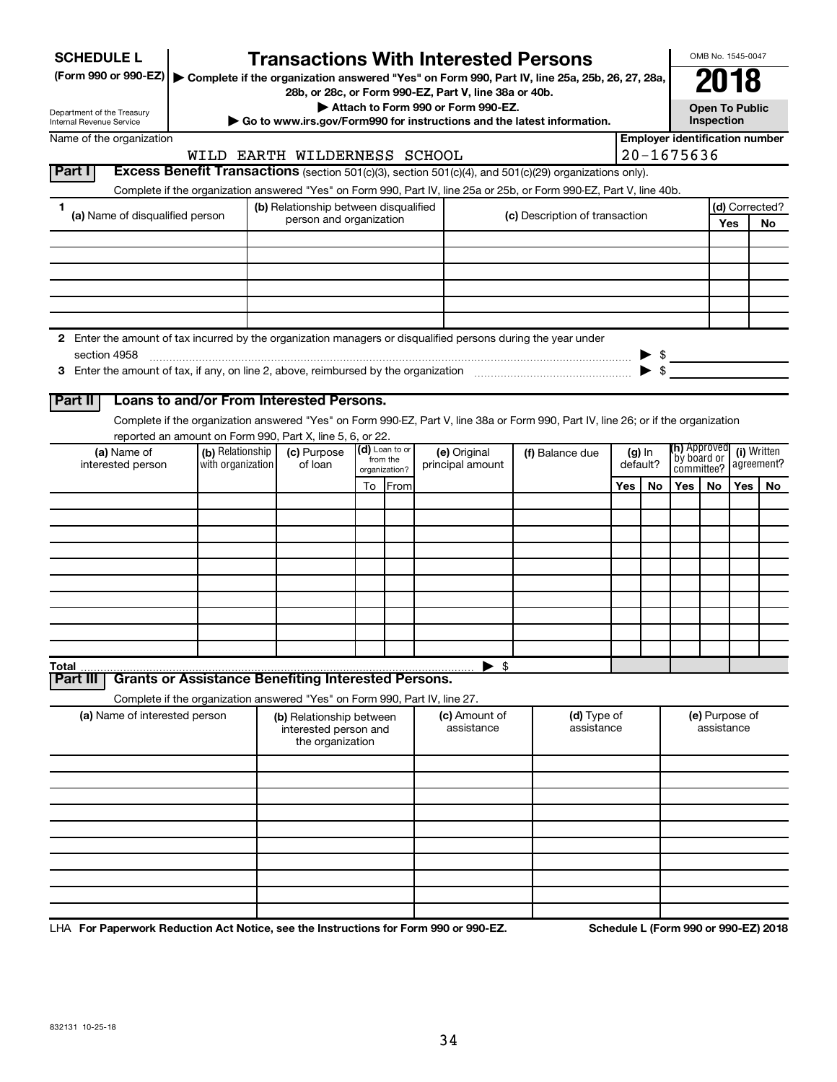| <b>SCHEDULE L</b><br>(Form 990 or 990-EZ)   Complete if the organization answered "Yes" on Form 990, Part IV, line 25a, 25b, 26, 27, 28a, |                                                                            |                                                                                                                                                                       |                                                                       |                           |                | <b>Transactions With Interested Persons</b> |  |                                                                                                                                    |                                       |                         |                                            |                            | OMB No. 1545-0047 |                |
|-------------------------------------------------------------------------------------------------------------------------------------------|----------------------------------------------------------------------------|-----------------------------------------------------------------------------------------------------------------------------------------------------------------------|-----------------------------------------------------------------------|---------------------------|----------------|---------------------------------------------|--|------------------------------------------------------------------------------------------------------------------------------------|---------------------------------------|-------------------------|--------------------------------------------|----------------------------|-------------------|----------------|
| Department of the Treasury<br>Internal Revenue Service                                                                                    |                                                                            | 28b, or 28c, or Form 990-EZ, Part V, line 38a or 40b.<br>Attach to Form 990 or Form 990-EZ.<br>Go to www.irs.gov/Form990 for instructions and the latest information. |                                                                       |                           |                |                                             |  |                                                                                                                                    |                                       |                         | <b>Open To Public</b><br><b>Inspection</b> |                            |                   |                |
| Name of the organization                                                                                                                  |                                                                            |                                                                                                                                                                       |                                                                       |                           |                |                                             |  |                                                                                                                                    | <b>Employer identification number</b> |                         |                                            |                            |                   |                |
|                                                                                                                                           |                                                                            | $20 - 1675636$<br>WILD EARTH WILDERNESS SCHOOL                                                                                                                        |                                                                       |                           |                |                                             |  |                                                                                                                                    |                                       |                         |                                            |                            |                   |                |
| Part I                                                                                                                                    |                                                                            |                                                                                                                                                                       |                                                                       |                           |                |                                             |  | Excess Benefit Transactions (section 501(c)(3), section 501(c)(4), and 501(c)(29) organizations only).                             |                                       |                         |                                            |                            |                   |                |
|                                                                                                                                           |                                                                            |                                                                                                                                                                       |                                                                       |                           |                |                                             |  | Complete if the organization answered "Yes" on Form 990, Part IV, line 25a or 25b, or Form 990-EZ, Part V, line 40b.               |                                       |                         |                                            |                            |                   |                |
| 1<br>(a) Name of disqualified person                                                                                                      |                                                                            |                                                                                                                                                                       | (b) Relationship between disqualified                                 |                           |                |                                             |  | (c) Description of transaction                                                                                                     |                                       |                         |                                            |                            |                   | (d) Corrected? |
|                                                                                                                                           |                                                                            |                                                                                                                                                                       | person and organization                                               |                           |                |                                             |  |                                                                                                                                    |                                       |                         |                                            |                            | Yes               | No             |
|                                                                                                                                           |                                                                            |                                                                                                                                                                       |                                                                       |                           |                |                                             |  |                                                                                                                                    |                                       |                         |                                            |                            |                   |                |
|                                                                                                                                           |                                                                            |                                                                                                                                                                       |                                                                       |                           |                |                                             |  |                                                                                                                                    |                                       |                         |                                            |                            |                   |                |
|                                                                                                                                           |                                                                            |                                                                                                                                                                       |                                                                       |                           |                |                                             |  |                                                                                                                                    |                                       |                         |                                            |                            |                   |                |
|                                                                                                                                           |                                                                            |                                                                                                                                                                       |                                                                       |                           |                |                                             |  |                                                                                                                                    |                                       |                         |                                            |                            |                   |                |
|                                                                                                                                           |                                                                            |                                                                                                                                                                       |                                                                       |                           |                |                                             |  |                                                                                                                                    |                                       |                         |                                            |                            |                   |                |
| 2 Enter the amount of tax incurred by the organization managers or disqualified persons during the year under<br>section 4958             |                                                                            |                                                                                                                                                                       |                                                                       |                           |                |                                             |  |                                                                                                                                    |                                       | $\blacktriangleright$ s |                                            |                            |                   |                |
|                                                                                                                                           |                                                                            |                                                                                                                                                                       |                                                                       |                           |                |                                             |  |                                                                                                                                    |                                       | $\blacktriangleright$ s |                                            |                            |                   |                |
|                                                                                                                                           |                                                                            |                                                                                                                                                                       |                                                                       |                           |                |                                             |  |                                                                                                                                    |                                       |                         |                                            |                            |                   |                |
| Part II                                                                                                                                   | Loans to and/or From Interested Persons.                                   |                                                                                                                                                                       |                                                                       |                           |                |                                             |  |                                                                                                                                    |                                       |                         |                                            |                            |                   |                |
|                                                                                                                                           |                                                                            |                                                                                                                                                                       |                                                                       |                           |                |                                             |  | Complete if the organization answered "Yes" on Form 990-EZ, Part V, line 38a or Form 990, Part IV, line 26; or if the organization |                                       |                         |                                            |                            |                   |                |
|                                                                                                                                           | reported an amount on Form 990, Part X, line 5, 6, or 22.                  |                                                                                                                                                                       |                                                                       |                           | (d) Loan to or |                                             |  |                                                                                                                                    |                                       |                         | (h) Approved                               |                            |                   | (i) Written    |
| (a) Name of<br>interested person                                                                                                          | (b) Relationship<br>with organization                                      | (c) Purpose<br>of loan                                                                                                                                                |                                                                       | from the<br>organization? |                | (e) Original<br>principal amount            |  | (f) Balance due                                                                                                                    | $(g)$ In<br>default?                  |                         |                                            | `by board or<br>committee? |                   | agreement?     |
|                                                                                                                                           |                                                                            |                                                                                                                                                                       |                                                                       | To                        | From           |                                             |  |                                                                                                                                    | Yes                                   | No                      | Yes                                        | No.                        | Yes               | No             |
|                                                                                                                                           |                                                                            |                                                                                                                                                                       |                                                                       |                           |                |                                             |  |                                                                                                                                    |                                       |                         |                                            |                            |                   |                |
|                                                                                                                                           |                                                                            |                                                                                                                                                                       |                                                                       |                           |                |                                             |  |                                                                                                                                    |                                       |                         |                                            |                            |                   |                |
|                                                                                                                                           |                                                                            |                                                                                                                                                                       |                                                                       |                           |                |                                             |  |                                                                                                                                    |                                       |                         |                                            |                            |                   |                |
|                                                                                                                                           |                                                                            |                                                                                                                                                                       |                                                                       |                           |                |                                             |  |                                                                                                                                    |                                       |                         |                                            |                            |                   |                |
|                                                                                                                                           |                                                                            |                                                                                                                                                                       |                                                                       |                           |                |                                             |  |                                                                                                                                    |                                       |                         |                                            |                            |                   |                |
|                                                                                                                                           |                                                                            |                                                                                                                                                                       |                                                                       |                           |                |                                             |  |                                                                                                                                    |                                       |                         |                                            |                            |                   |                |
|                                                                                                                                           |                                                                            |                                                                                                                                                                       |                                                                       |                           |                |                                             |  |                                                                                                                                    |                                       |                         |                                            |                            |                   |                |
|                                                                                                                                           |                                                                            |                                                                                                                                                                       |                                                                       |                           |                |                                             |  |                                                                                                                                    |                                       |                         |                                            |                            |                   |                |
|                                                                                                                                           |                                                                            |                                                                                                                                                                       |                                                                       |                           |                |                                             |  |                                                                                                                                    |                                       |                         |                                            |                            |                   |                |
| Total<br>Part III                                                                                                                         | <b>Grants or Assistance Benefiting Interested Persons.</b>                 |                                                                                                                                                                       |                                                                       |                           |                | $\blacktriangleright$ \$                    |  |                                                                                                                                    |                                       |                         |                                            |                            |                   |                |
|                                                                                                                                           | Complete if the organization answered "Yes" on Form 990, Part IV, line 27. |                                                                                                                                                                       |                                                                       |                           |                |                                             |  |                                                                                                                                    |                                       |                         |                                            |                            |                   |                |
| (a) Name of interested person                                                                                                             |                                                                            |                                                                                                                                                                       | (b) Relationship between<br>interested person and<br>the organization |                           |                | (c) Amount of<br>assistance                 |  | (d) Type of<br>assistance                                                                                                          |                                       |                         |                                            | assistance                 | (e) Purpose of    |                |
|                                                                                                                                           |                                                                            |                                                                                                                                                                       |                                                                       |                           |                |                                             |  |                                                                                                                                    |                                       |                         |                                            |                            |                   |                |
|                                                                                                                                           |                                                                            |                                                                                                                                                                       |                                                                       |                           |                |                                             |  |                                                                                                                                    |                                       |                         |                                            |                            |                   |                |
|                                                                                                                                           |                                                                            |                                                                                                                                                                       |                                                                       |                           |                |                                             |  |                                                                                                                                    |                                       |                         |                                            |                            |                   |                |
|                                                                                                                                           |                                                                            |                                                                                                                                                                       |                                                                       |                           |                |                                             |  |                                                                                                                                    |                                       |                         |                                            |                            |                   |                |
|                                                                                                                                           |                                                                            |                                                                                                                                                                       |                                                                       |                           |                |                                             |  |                                                                                                                                    |                                       |                         |                                            |                            |                   |                |
|                                                                                                                                           |                                                                            |                                                                                                                                                                       |                                                                       |                           |                |                                             |  |                                                                                                                                    |                                       |                         |                                            |                            |                   |                |
|                                                                                                                                           |                                                                            |                                                                                                                                                                       |                                                                       |                           |                |                                             |  |                                                                                                                                    |                                       |                         |                                            |                            |                   |                |
|                                                                                                                                           |                                                                            |                                                                                                                                                                       |                                                                       |                           |                |                                             |  |                                                                                                                                    |                                       |                         |                                            |                            |                   |                |
|                                                                                                                                           |                                                                            |                                                                                                                                                                       |                                                                       |                           |                |                                             |  |                                                                                                                                    |                                       |                         |                                            |                            |                   |                |

LHA For Paperwork Reduction Act Notice, see the Instructions for Form 990 or 990-EZ. Schedule L (Form 990 or 990-EZ) 2018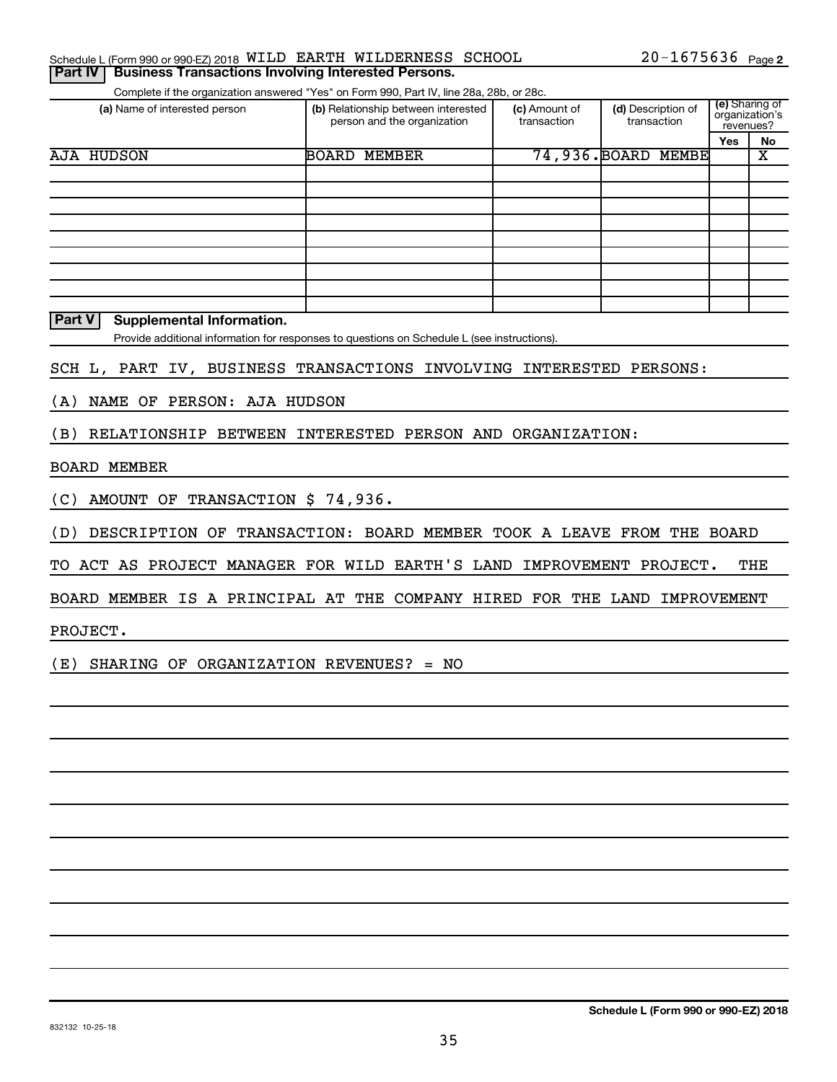| $20 - 1675636$ Page 2<br>Schedule L (Form 990 or 990-EZ) 2018 WILD EARTH WILDERNESS SCHOOL |  |  |
|--------------------------------------------------------------------------------------------|--|--|
|--------------------------------------------------------------------------------------------|--|--|

Complete if the organization answered "Yes" on Form 990, Part IV, line 28a, 28b, or 28c. **Part IV** Business Transactions Involving Interested Persons.

|                               | OUTIDICIO II GIO ORGANIZACIONI ANOVOLCO - TOJ - ON ITONIN JUJI, FANTIV, INIC ZOA, ZOD, OF ZOC. |                              |                                   |                                               |    |  |  |  |  |
|-------------------------------|------------------------------------------------------------------------------------------------|------------------------------|-----------------------------------|-----------------------------------------------|----|--|--|--|--|
| (a) Name of interested person | (b) Relationship between interested<br>person and the organization                             | (c) Amount of<br>transaction | (d) Description of<br>transaction | (e) Sharing of<br>organization's<br>revenues? |    |  |  |  |  |
|                               |                                                                                                |                              |                                   | Yes                                           | No |  |  |  |  |
| AJA HUDSON                    | BOARD<br>MEMBER                                                                                |                              | 74,936. BOARD MEMBE               |                                               | х  |  |  |  |  |
|                               |                                                                                                |                              |                                   |                                               |    |  |  |  |  |
|                               |                                                                                                |                              |                                   |                                               |    |  |  |  |  |
|                               |                                                                                                |                              |                                   |                                               |    |  |  |  |  |
|                               |                                                                                                |                              |                                   |                                               |    |  |  |  |  |
|                               |                                                                                                |                              |                                   |                                               |    |  |  |  |  |
|                               |                                                                                                |                              |                                   |                                               |    |  |  |  |  |
|                               |                                                                                                |                              |                                   |                                               |    |  |  |  |  |
|                               |                                                                                                |                              |                                   |                                               |    |  |  |  |  |
|                               |                                                                                                |                              |                                   |                                               |    |  |  |  |  |

**Part V** Supplemental Information.

Provide additional information for responses to questions on Schedule L (see instructions).

SCH L, PART IV, BUSINESS TRANSACTIONS INVOLVING INTERESTED PERSONS:

(A) NAME OF PERSON: AJA HUDSON

(B) RELATIONSHIP BETWEEN INTERESTED PERSON AND ORGANIZATION:

#### BOARD MEMBER

(C) AMOUNT OF TRANSACTION \$ 74,936.

(D) DESCRIPTION OF TRANSACTION: BOARD MEMBER TOOK A LEAVE FROM THE BOARD

TO ACT AS PROJECT MANAGER FOR WILD EARTH'S LAND IMPROVEMENT PROJECT. THE

BOARD MEMBER IS A PRINCIPAL AT THE COMPANY HIRED FOR THE LAND IMPROVEMENT

PROJECT.

(E) SHARING OF ORGANIZATION REVENUES? = NO